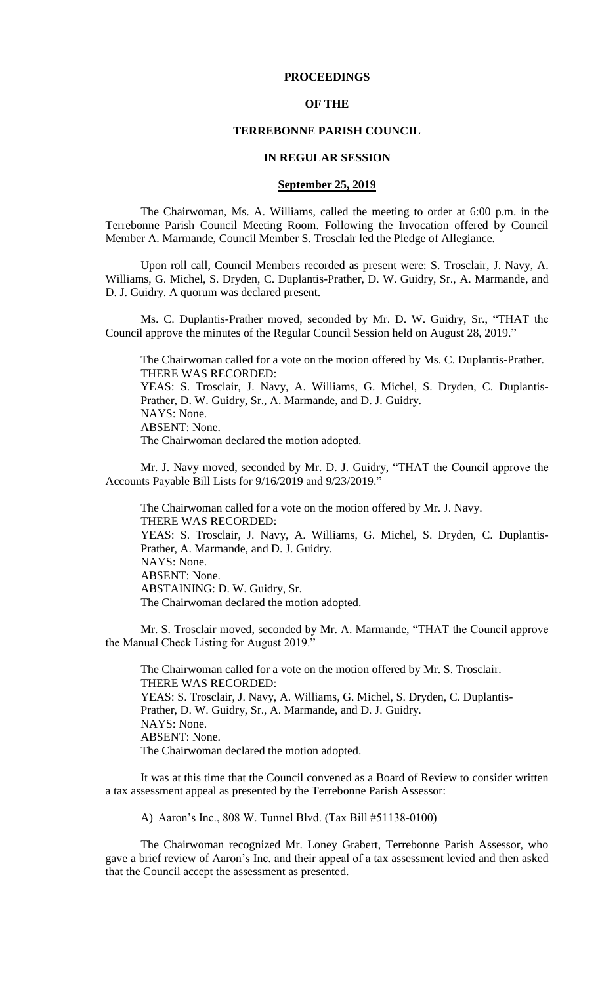## **PROCEEDINGS**

## **OF THE**

#### **TERREBONNE PARISH COUNCIL**

#### **IN REGULAR SESSION**

## **September 25, 2019**

The Chairwoman, Ms. A. Williams, called the meeting to order at 6:00 p.m. in the Terrebonne Parish Council Meeting Room. Following the Invocation offered by Council Member A. Marmande, Council Member S. Trosclair led the Pledge of Allegiance.

Upon roll call, Council Members recorded as present were: S. Trosclair, J. Navy, A. Williams, G. Michel, S. Dryden, C. Duplantis-Prather, D. W. Guidry, Sr., A. Marmande, and D. J. Guidry. A quorum was declared present.

Ms. C. Duplantis-Prather moved, seconded by Mr. D. W. Guidry, Sr., "THAT the Council approve the minutes of the Regular Council Session held on August 28, 2019."

The Chairwoman called for a vote on the motion offered by Ms. C. Duplantis-Prather. THERE WAS RECORDED:

YEAS: S. Trosclair, J. Navy, A. Williams, G. Michel, S. Dryden, C. Duplantis-Prather, D. W. Guidry, Sr., A. Marmande, and D. J. Guidry. NAYS: None. ABSENT: None.

The Chairwoman declared the motion adopted.

Mr. J. Navy moved, seconded by Mr. D. J. Guidry, "THAT the Council approve the Accounts Payable Bill Lists for 9/16/2019 and 9/23/2019."

The Chairwoman called for a vote on the motion offered by Mr. J. Navy. THERE WAS RECORDED: YEAS: S. Trosclair, J. Navy, A. Williams, G. Michel, S. Dryden, C. Duplantis-Prather, A. Marmande, and D. J. Guidry. NAYS: None. ABSENT: None. ABSTAINING: D. W. Guidry, Sr. The Chairwoman declared the motion adopted.

Mr. S. Trosclair moved, seconded by Mr. A. Marmande, "THAT the Council approve the Manual Check Listing for August 2019."

The Chairwoman called for a vote on the motion offered by Mr. S. Trosclair. THERE WAS RECORDED: YEAS: S. Trosclair, J. Navy, A. Williams, G. Michel, S. Dryden, C. Duplantis-Prather, D. W. Guidry, Sr., A. Marmande, and D. J. Guidry. NAYS: None. ABSENT: None. The Chairwoman declared the motion adopted.

It was at this time that the Council convened as a Board of Review to consider written a tax assessment appeal as presented by the Terrebonne Parish Assessor:

A) Aaron's Inc., 808 W. Tunnel Blvd. (Tax Bill #51138-0100)

The Chairwoman recognized Mr. Loney Grabert, Terrebonne Parish Assessor, who gave a brief review of Aaron's Inc. and their appeal of a tax assessment levied and then asked that the Council accept the assessment as presented.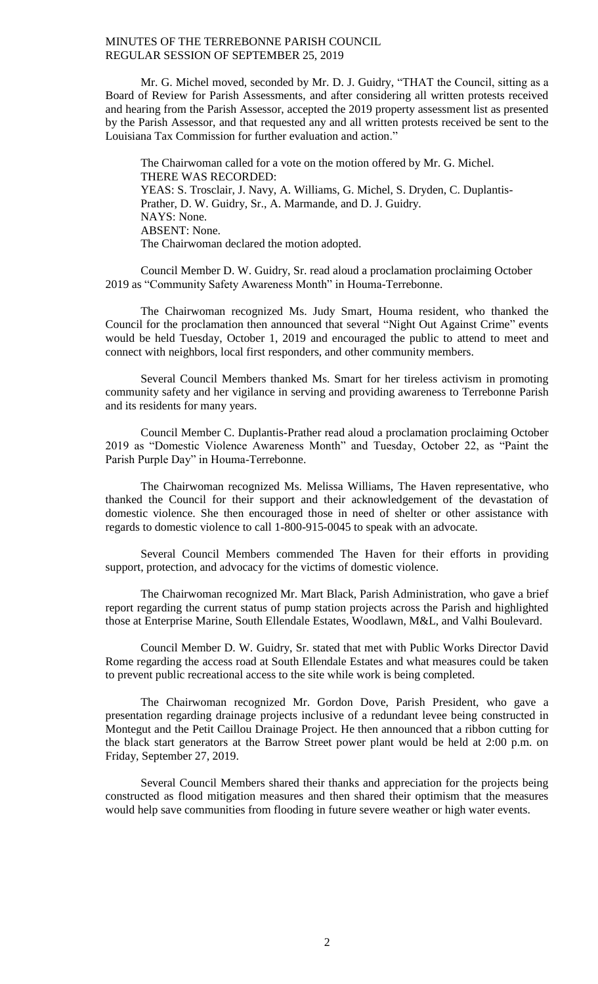Mr. G. Michel moved, seconded by Mr. D. J. Guidry, "THAT the Council, sitting as a Board of Review for Parish Assessments, and after considering all written protests received and hearing from the Parish Assessor, accepted the 2019 property assessment list as presented by the Parish Assessor, and that requested any and all written protests received be sent to the Louisiana Tax Commission for further evaluation and action."

The Chairwoman called for a vote on the motion offered by Mr. G. Michel. THERE WAS RECORDED: YEAS: S. Trosclair, J. Navy, A. Williams, G. Michel, S. Dryden, C. Duplantis-Prather, D. W. Guidry, Sr., A. Marmande, and D. J. Guidry. NAYS: None. ABSENT: None. The Chairwoman declared the motion adopted.

Council Member D. W. Guidry, Sr. read aloud a proclamation proclaiming October 2019 as "Community Safety Awareness Month" in Houma-Terrebonne.

The Chairwoman recognized Ms. Judy Smart, Houma resident, who thanked the Council for the proclamation then announced that several "Night Out Against Crime" events would be held Tuesday, October 1, 2019 and encouraged the public to attend to meet and connect with neighbors, local first responders, and other community members.

Several Council Members thanked Ms. Smart for her tireless activism in promoting community safety and her vigilance in serving and providing awareness to Terrebonne Parish and its residents for many years.

Council Member C. Duplantis-Prather read aloud a proclamation proclaiming October 2019 as "Domestic Violence Awareness Month" and Tuesday, October 22, as "Paint the Parish Purple Day" in Houma-Terrebonne.

The Chairwoman recognized Ms. Melissa Williams, The Haven representative, who thanked the Council for their support and their acknowledgement of the devastation of domestic violence. She then encouraged those in need of shelter or other assistance with regards to domestic violence to call 1-800-915-0045 to speak with an advocate.

Several Council Members commended The Haven for their efforts in providing support, protection, and advocacy for the victims of domestic violence.

The Chairwoman recognized Mr. Mart Black, Parish Administration, who gave a brief report regarding the current status of pump station projects across the Parish and highlighted those at Enterprise Marine, South Ellendale Estates, Woodlawn, M&L, and Valhi Boulevard.

Council Member D. W. Guidry, Sr. stated that met with Public Works Director David Rome regarding the access road at South Ellendale Estates and what measures could be taken to prevent public recreational access to the site while work is being completed.

The Chairwoman recognized Mr. Gordon Dove, Parish President, who gave a presentation regarding drainage projects inclusive of a redundant levee being constructed in Montegut and the Petit Caillou Drainage Project. He then announced that a ribbon cutting for the black start generators at the Barrow Street power plant would be held at 2:00 p.m. on Friday, September 27, 2019.

Several Council Members shared their thanks and appreciation for the projects being constructed as flood mitigation measures and then shared their optimism that the measures would help save communities from flooding in future severe weather or high water events.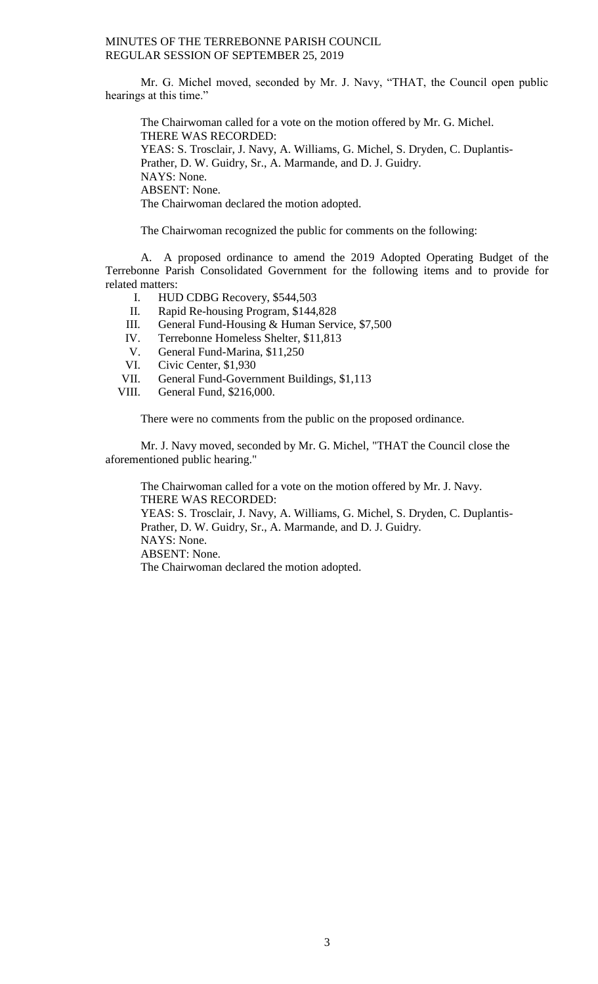Mr. G. Michel moved, seconded by Mr. J. Navy, "THAT, the Council open public hearings at this time."

The Chairwoman called for a vote on the motion offered by Mr. G. Michel. THERE WAS RECORDED: YEAS: S. Trosclair, J. Navy, A. Williams, G. Michel, S. Dryden, C. Duplantis-Prather, D. W. Guidry, Sr., A. Marmande, and D. J. Guidry. NAYS: None. ABSENT: None. The Chairwoman declared the motion adopted.

The Chairwoman recognized the public for comments on the following:

A. A proposed ordinance to amend the 2019 Adopted Operating Budget of the Terrebonne Parish Consolidated Government for the following items and to provide for related matters:

- I. HUD CDBG Recovery, \$544,503
- II. Rapid Re-housing Program, \$144,828
- III. General Fund-Housing & Human Service, \$7,500
- IV. Terrebonne Homeless Shelter, \$11,813
- V. General Fund-Marina, \$11,250
- VI. Civic Center, \$1,930
- VII. General Fund-Government Buildings, \$1,113
- VIII. General Fund, \$216,000.

There were no comments from the public on the proposed ordinance.

Mr. J. Navy moved, seconded by Mr. G. Michel, "THAT the Council close the aforementioned public hearing."

The Chairwoman called for a vote on the motion offered by Mr. J. Navy. THERE WAS RECORDED: YEAS: S. Trosclair, J. Navy, A. Williams, G. Michel, S. Dryden, C. Duplantis-Prather, D. W. Guidry, Sr., A. Marmande, and D. J. Guidry. NAYS: None. ABSENT: None. The Chairwoman declared the motion adopted.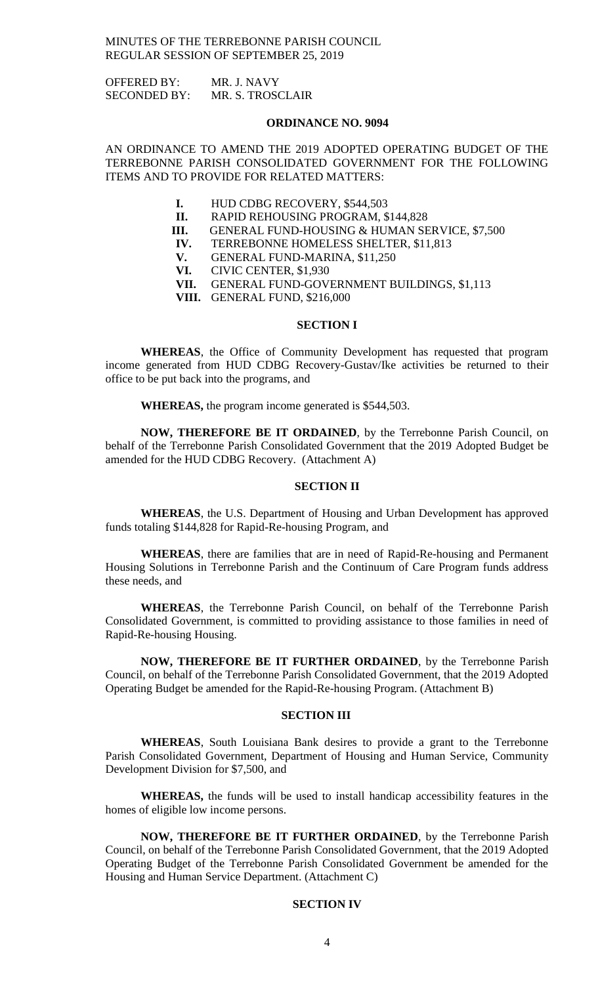OFFERED BY: MR. J. NAVY SECONDED BY: MR. S. TROSCLAIR

#### **ORDINANCE NO. 9094**

AN ORDINANCE TO AMEND THE 2019 ADOPTED OPERATING BUDGET OF THE TERREBONNE PARISH CONSOLIDATED GOVERNMENT FOR THE FOLLOWING ITEMS AND TO PROVIDE FOR RELATED MATTERS:

- **I.** HUD CDBG RECOVERY, \$544,503
- **II.** RAPID REHOUSING PROGRAM, \$144,828
- **III.** GENERAL FUND-HOUSING & HUMAN SERVICE, \$7,500
- **IV.** TERREBONNE HOMELESS SHELTER, \$11,813
	- **V.** GENERAL FUND-MARINA, \$11,250
	- **VI.** CIVIC CENTER, \$1,930
	- **VII.** GENERAL FUND-GOVERNMENT BUILDINGS, \$1,113
	- **VIII.** GENERAL FUND, \$216,000

## **SECTION I**

**WHEREAS**, the Office of Community Development has requested that program income generated from HUD CDBG Recovery-Gustav/Ike activities be returned to their office to be put back into the programs, and

**WHEREAS,** the program income generated is \$544,503.

**NOW, THEREFORE BE IT ORDAINED**, by the Terrebonne Parish Council, on behalf of the Terrebonne Parish Consolidated Government that the 2019 Adopted Budget be amended for the HUD CDBG Recovery. (Attachment A)

## **SECTION II**

**WHEREAS**, the U.S. Department of Housing and Urban Development has approved funds totaling \$144,828 for Rapid-Re-housing Program, and

**WHEREAS**, there are families that are in need of Rapid-Re-housing and Permanent Housing Solutions in Terrebonne Parish and the Continuum of Care Program funds address these needs, and

**WHEREAS**, the Terrebonne Parish Council, on behalf of the Terrebonne Parish Consolidated Government, is committed to providing assistance to those families in need of Rapid-Re-housing Housing.

**NOW, THEREFORE BE IT FURTHER ORDAINED**, by the Terrebonne Parish Council, on behalf of the Terrebonne Parish Consolidated Government, that the 2019 Adopted Operating Budget be amended for the Rapid-Re-housing Program. (Attachment B)

#### **SECTION III**

**WHEREAS**, South Louisiana Bank desires to provide a grant to the Terrebonne Parish Consolidated Government, Department of Housing and Human Service, Community Development Division for \$7,500, and

**WHEREAS,** the funds will be used to install handicap accessibility features in the homes of eligible low income persons.

**NOW, THEREFORE BE IT FURTHER ORDAINED**, by the Terrebonne Parish Council, on behalf of the Terrebonne Parish Consolidated Government, that the 2019 Adopted Operating Budget of the Terrebonne Parish Consolidated Government be amended for the Housing and Human Service Department. (Attachment C)

## **SECTION IV**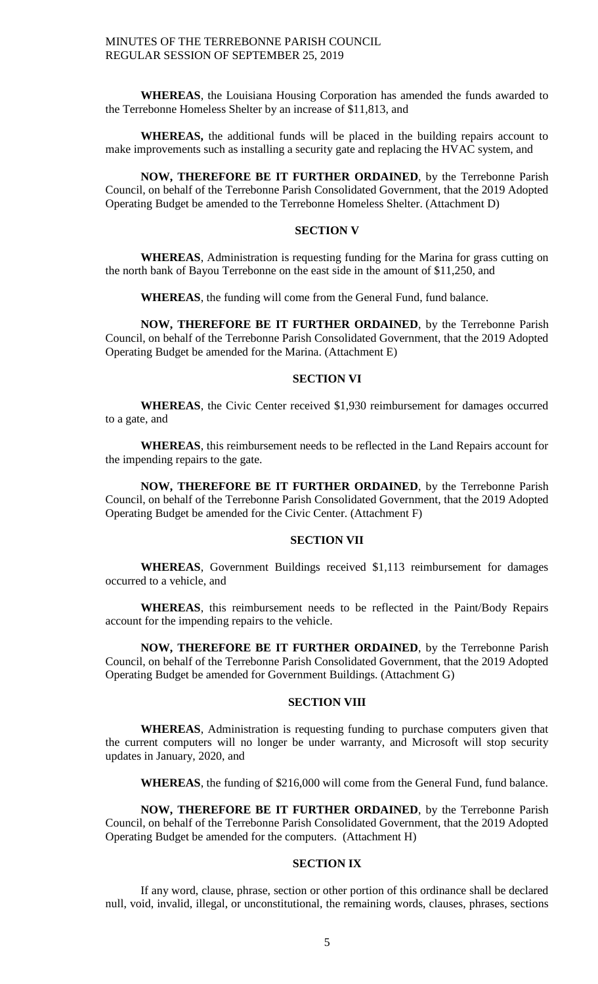**WHEREAS**, the Louisiana Housing Corporation has amended the funds awarded to the Terrebonne Homeless Shelter by an increase of \$11,813, and

**WHEREAS,** the additional funds will be placed in the building repairs account to make improvements such as installing a security gate and replacing the HVAC system, and

**NOW, THEREFORE BE IT FURTHER ORDAINED**, by the Terrebonne Parish Council, on behalf of the Terrebonne Parish Consolidated Government, that the 2019 Adopted Operating Budget be amended to the Terrebonne Homeless Shelter. (Attachment D)

# **SECTION V**

**WHEREAS**, Administration is requesting funding for the Marina for grass cutting on the north bank of Bayou Terrebonne on the east side in the amount of \$11,250, and

**WHEREAS**, the funding will come from the General Fund, fund balance.

**NOW, THEREFORE BE IT FURTHER ORDAINED**, by the Terrebonne Parish Council, on behalf of the Terrebonne Parish Consolidated Government, that the 2019 Adopted Operating Budget be amended for the Marina. (Attachment E)

# **SECTION VI**

**WHEREAS**, the Civic Center received \$1,930 reimbursement for damages occurred to a gate, and

**WHEREAS**, this reimbursement needs to be reflected in the Land Repairs account for the impending repairs to the gate.

**NOW, THEREFORE BE IT FURTHER ORDAINED**, by the Terrebonne Parish Council, on behalf of the Terrebonne Parish Consolidated Government, that the 2019 Adopted Operating Budget be amended for the Civic Center. (Attachment F)

#### **SECTION VII**

**WHEREAS**, Government Buildings received \$1,113 reimbursement for damages occurred to a vehicle, and

**WHEREAS**, this reimbursement needs to be reflected in the Paint/Body Repairs account for the impending repairs to the vehicle.

**NOW, THEREFORE BE IT FURTHER ORDAINED**, by the Terrebonne Parish Council, on behalf of the Terrebonne Parish Consolidated Government, that the 2019 Adopted Operating Budget be amended for Government Buildings. (Attachment G)

### **SECTION VIII**

**WHEREAS**, Administration is requesting funding to purchase computers given that the current computers will no longer be under warranty, and Microsoft will stop security updates in January, 2020, and

**WHEREAS**, the funding of \$216,000 will come from the General Fund, fund balance.

**NOW, THEREFORE BE IT FURTHER ORDAINED**, by the Terrebonne Parish Council, on behalf of the Terrebonne Parish Consolidated Government, that the 2019 Adopted Operating Budget be amended for the computers. (Attachment H)

## **SECTION IX**

If any word, clause, phrase, section or other portion of this ordinance shall be declared null, void, invalid, illegal, or unconstitutional, the remaining words, clauses, phrases, sections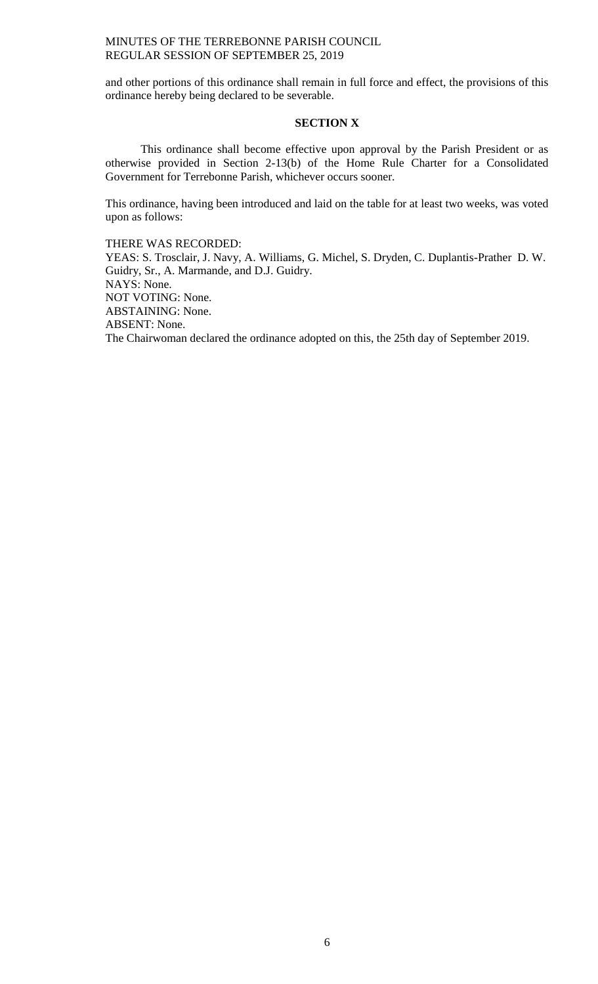and other portions of this ordinance shall remain in full force and effect, the provisions of this ordinance hereby being declared to be severable.

## **SECTION X**

This ordinance shall become effective upon approval by the Parish President or as otherwise provided in Section 2-13(b) of the Home Rule Charter for a Consolidated Government for Terrebonne Parish, whichever occurs sooner.

This ordinance, having been introduced and laid on the table for at least two weeks, was voted upon as follows:

THERE WAS RECORDED:

YEAS: S. Trosclair, J. Navy, A. Williams, G. Michel, S. Dryden, C. Duplantis-Prather D. W. Guidry, Sr., A. Marmande, and D.J. Guidry. NAYS: None. NOT VOTING: None. ABSTAINING: None. ABSENT: None.

The Chairwoman declared the ordinance adopted on this, the 25th day of September 2019.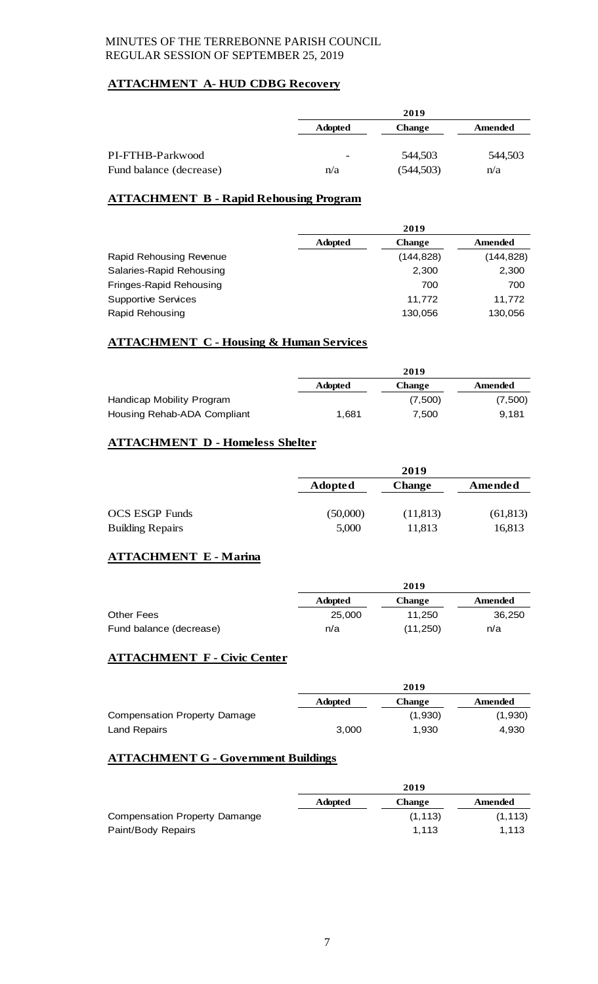# **ATTACHMENT A- HUD CDBG Recovery**

|                         |                          | 2019          |         |
|-------------------------|--------------------------|---------------|---------|
|                         | <b>Adopted</b>           | <b>Change</b> | Amended |
|                         |                          |               |         |
| PI-FTHB-Parkwood        | $\overline{\phantom{0}}$ | 544,503       | 544,503 |
| Fund balance (decrease) | n/a                      | (544, 503)    | n/a     |

# **ATTACHMENT B - Rapid Rehousing Program**

|                            | 2019           |               |            |
|----------------------------|----------------|---------------|------------|
|                            | <b>Adopted</b> | <b>Change</b> | Amended    |
| Rapid Rehousing Revenue    |                | (144, 828)    | (144, 828) |
| Salaries-Rapid Rehousing   |                | 2,300         | 2,300      |
| Fringes-Rapid Rehousing    |                | 700           | 700        |
| <b>Supportive Services</b> |                | 11.772        | 11.772     |
| Rapid Rehousing            |                | 130,056       | 130,056    |

# **ATTACHMENT C - Housing & Human Services**

|                             | 2019           |               |         |
|-----------------------------|----------------|---------------|---------|
|                             | <b>Adopted</b> | <b>Change</b> | Amended |
| Handicap Mobility Program   |                | (7,500)       | (7,500) |
| Housing Rehab-ADA Compliant | 1.681          | 7.500         | 9.181   |

# **ATTACHMENT D - Homeless Shelter**

|                         |                | 2019          |           |
|-------------------------|----------------|---------------|-----------|
|                         | <b>Adopted</b> | <b>Change</b> | Amended   |
|                         |                |               |           |
| <b>OCS ESGP Funds</b>   | (50,000)       | (11, 813)     | (61, 813) |
| <b>Building Repairs</b> | 5,000          | 11,813        | 16,813    |

# **ATTACHMENT E - Marina**

|                         |                | 2019          |         |
|-------------------------|----------------|---------------|---------|
|                         | <b>Adopted</b> | <b>Change</b> | Amended |
| <b>Other Fees</b>       | 25,000         | 11.250        | 36,250  |
| Fund balance (decrease) | n/a            | (11, 250)     | n/a     |

# **ATTACHMENT F - Civic Center**

|                              | 2019           |               |         |
|------------------------------|----------------|---------------|---------|
|                              | <b>Adopted</b> | <b>Change</b> | Amended |
| Compensation Property Damage |                | (1,930)       | (1,930) |
| <b>Land Repairs</b>          | 3.000          | 1.930         | 4.930   |

# **ATTACHMENT G - Government Buildings**

|                                      | 2019           |               |          |
|--------------------------------------|----------------|---------------|----------|
|                                      | <b>Adopted</b> | <b>Change</b> | Amended  |
| <b>Compensation Property Damange</b> |                | (1, 113)      | (1, 113) |
| Paint/Body Repairs                   |                | 1.113         | 1.113    |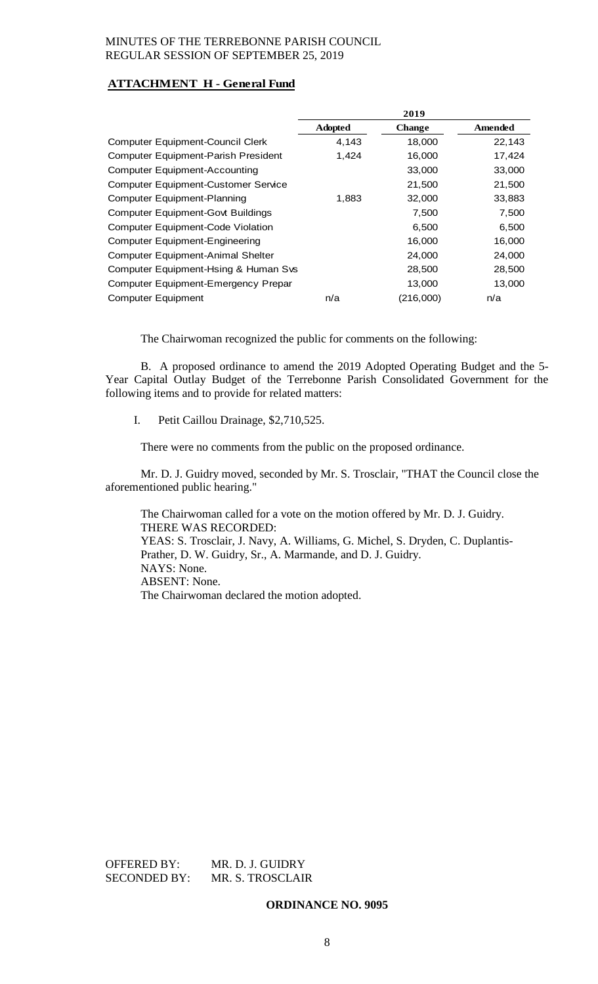# **ATTACHMENT H - General Fund**

|                                            | 2019           |               |         |
|--------------------------------------------|----------------|---------------|---------|
|                                            | <b>Adopted</b> | <b>Change</b> | Amended |
| <b>Computer Equipment-Council Clerk</b>    | 4,143          | 18,000        | 22,143  |
| <b>Computer Equipment-Parish President</b> | 1,424          | 16,000        | 17,424  |
| <b>Computer Equipment-Accounting</b>       |                | 33,000        | 33,000  |
| <b>Computer Equipment-Customer Service</b> |                | 21,500        | 21,500  |
| <b>Computer Equipment-Planning</b>         | 1,883          | 32,000        | 33,883  |
| <b>Computer Equipment-Govt Buildings</b>   |                | 7,500         | 7,500   |
| <b>Computer Equipment-Code Violation</b>   |                | 6,500         | 6,500   |
| <b>Computer Equipment-Engineering</b>      |                | 16,000        | 16,000  |
| <b>Computer Equipment-Animal Shelter</b>   |                | 24,000        | 24,000  |
| Computer Equipment-Hsing & Human Svs       |                | 28,500        | 28,500  |
| Computer Equipment-Emergency Prepar        |                | 13,000        | 13,000  |
| <b>Computer Equipment</b>                  | n/a            | (216,000)     | n/a     |

The Chairwoman recognized the public for comments on the following:

B. A proposed ordinance to amend the 2019 Adopted Operating Budget and the 5- Year Capital Outlay Budget of the Terrebonne Parish Consolidated Government for the following items and to provide for related matters:

I. Petit Caillou Drainage, \$2,710,525.

There were no comments from the public on the proposed ordinance.

Mr. D. J. Guidry moved, seconded by Mr. S. Trosclair, "THAT the Council close the aforementioned public hearing."

The Chairwoman called for a vote on the motion offered by Mr. D. J. Guidry. THERE WAS RECORDED: YEAS: S. Trosclair, J. Navy, A. Williams, G. Michel, S. Dryden, C. Duplantis-Prather, D. W. Guidry, Sr., A. Marmande, and D. J. Guidry. NAYS: None. ABSENT: None. The Chairwoman declared the motion adopted.

OFFERED BY: MR. D. J. GUIDRY<br>SECONDED BY: MR. S. TROSCLAII MR. S. TROSCLAIR

**ORDINANCE NO. 9095**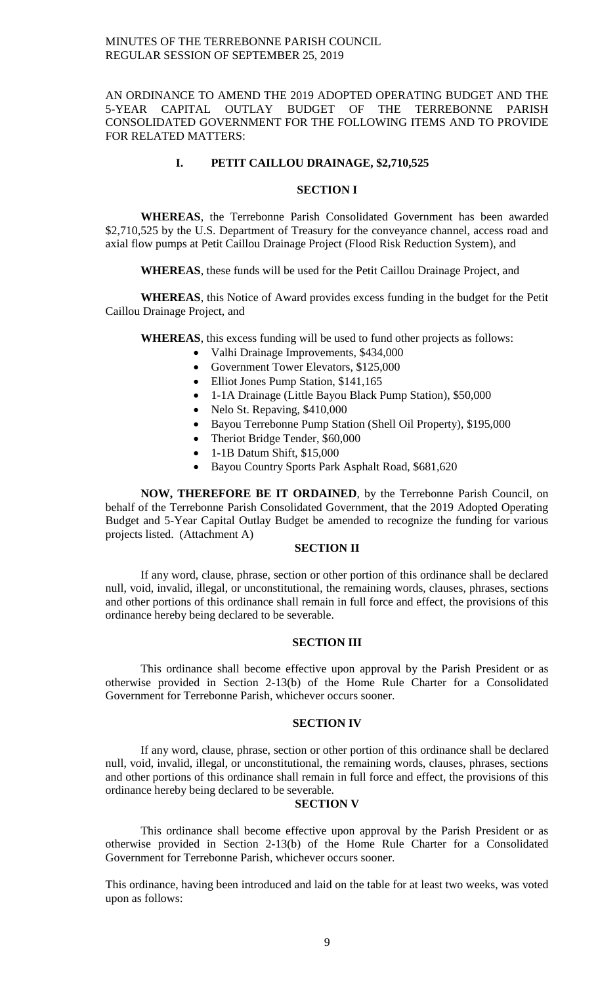## AN ORDINANCE TO AMEND THE 2019 ADOPTED OPERATING BUDGET AND THE 5-YEAR CAPITAL OUTLAY BUDGET OF THE TERREBONNE PARISH CONSOLIDATED GOVERNMENT FOR THE FOLLOWING ITEMS AND TO PROVIDE FOR RELATED MATTERS:

## **I. PETIT CAILLOU DRAINAGE, \$2,710,525**

## **SECTION I**

**WHEREAS**, the Terrebonne Parish Consolidated Government has been awarded \$2,710,525 by the U.S. Department of Treasury for the conveyance channel, access road and axial flow pumps at Petit Caillou Drainage Project (Flood Risk Reduction System), and

**WHEREAS**, these funds will be used for the Petit Caillou Drainage Project, and

**WHEREAS**, this Notice of Award provides excess funding in the budget for the Petit Caillou Drainage Project, and

**WHEREAS**, this excess funding will be used to fund other projects as follows:

- Valhi Drainage Improvements, \$434,000
- Government Tower Elevators, \$125,000
- Elliot Jones Pump Station, \$141,165
- 1-1A Drainage (Little Bayou Black Pump Station), \$50,000
- Nelo St. Repaving, \$410,000
- Bayou Terrebonne Pump Station (Shell Oil Property), \$195,000
- Theriot Bridge Tender, \$60,000
- 1-1B Datum Shift, \$15,000
- Bayou Country Sports Park Asphalt Road, \$681,620

**NOW, THEREFORE BE IT ORDAINED**, by the Terrebonne Parish Council, on behalf of the Terrebonne Parish Consolidated Government, that the 2019 Adopted Operating Budget and 5-Year Capital Outlay Budget be amended to recognize the funding for various projects listed. (Attachment A)

## **SECTION II**

If any word, clause, phrase, section or other portion of this ordinance shall be declared null, void, invalid, illegal, or unconstitutional, the remaining words, clauses, phrases, sections and other portions of this ordinance shall remain in full force and effect, the provisions of this ordinance hereby being declared to be severable.

# **SECTION III**

This ordinance shall become effective upon approval by the Parish President or as otherwise provided in Section 2-13(b) of the Home Rule Charter for a Consolidated Government for Terrebonne Parish, whichever occurs sooner.

## **SECTION IV**

If any word, clause, phrase, section or other portion of this ordinance shall be declared null, void, invalid, illegal, or unconstitutional, the remaining words, clauses, phrases, sections and other portions of this ordinance shall remain in full force and effect, the provisions of this ordinance hereby being declared to be severable.

## **SECTION V**

This ordinance shall become effective upon approval by the Parish President or as otherwise provided in Section 2-13(b) of the Home Rule Charter for a Consolidated Government for Terrebonne Parish, whichever occurs sooner.

This ordinance, having been introduced and laid on the table for at least two weeks, was voted upon as follows: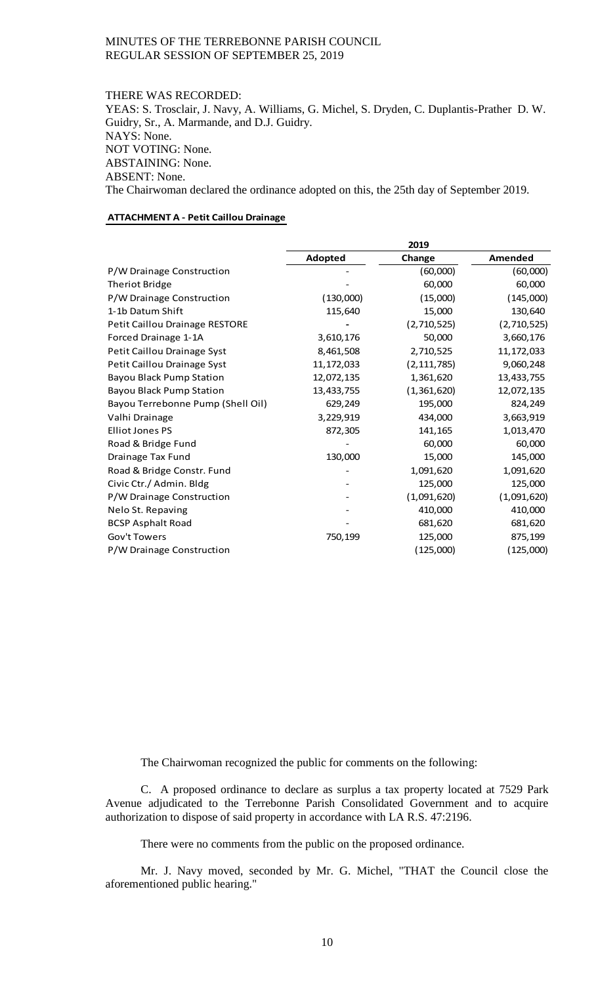#### THERE WAS RECORDED:

YEAS: S. Trosclair, J. Navy, A. Williams, G. Michel, S. Dryden, C. Duplantis-Prather D. W. Guidry, Sr., A. Marmande, and D.J. Guidry. NAYS: None. NOT VOTING: None. ABSTAINING: None. ABSENT: None. The Chairwoman declared the ordinance adopted on this, the 25th day of September 2019.

#### **ATTACHMENT A - Petit Caillou Drainage**

|                                   | 2019         |               |              |
|-----------------------------------|--------------|---------------|--------------|
|                                   | Adopted      | Change        | Amended      |
| P/W Drainage Construction         |              | (60,000)      | (60,000)     |
| <b>Theriot Bridge</b>             |              | 60,000        | 60,000       |
| P/W Drainage Construction         | (130,000)    | (15,000)      | (145,000)    |
| 1-1b Datum Shift                  | 115,640      | 15,000        | 130,640      |
| Petit Caillou Drainage RESTORE    |              | (2,710,525)   | (2,710,525)  |
| Forced Drainage 1-1A              | 3,610,176    | 50,000        | 3,660,176    |
| Petit Caillou Drainage Syst       | 8,461,508    | 2,710,525     | 11, 172, 033 |
| Petit Caillou Drainage Syst       | 11, 172, 033 | (2, 111, 785) | 9,060,248    |
| <b>Bayou Black Pump Station</b>   | 12,072,135   | 1,361,620     | 13,433,755   |
| <b>Bayou Black Pump Station</b>   | 13,433,755   | (1,361,620)   | 12,072,135   |
| Bayou Terrebonne Pump (Shell Oil) | 629,249      | 195,000       | 824,249      |
| Valhi Drainage                    | 3,229,919    | 434,000       | 3,663,919    |
| <b>Elliot Jones PS</b>            | 872,305      | 141,165       | 1,013,470    |
| Road & Bridge Fund                |              | 60,000        | 60,000       |
| Drainage Tax Fund                 | 130,000      | 15,000        | 145,000      |
| Road & Bridge Constr. Fund        |              | 1,091,620     | 1,091,620    |
| Civic Ctr./ Admin. Bldg           |              | 125,000       | 125,000      |
| P/W Drainage Construction         |              | (1,091,620)   | (1,091,620)  |
| Nelo St. Repaving                 |              | 410,000       | 410,000      |
| <b>BCSP Asphalt Road</b>          |              | 681,620       | 681,620      |
| Gov't Towers                      | 750,199      | 125,000       | 875,199      |
| P/W Drainage Construction         |              | (125,000)     | (125,000)    |

The Chairwoman recognized the public for comments on the following:

C. A proposed ordinance to declare as surplus a tax property located at 7529 Park Avenue adjudicated to the Terrebonne Parish Consolidated Government and to acquire authorization to dispose of said property in accordance with LA R.S. 47:2196.

There were no comments from the public on the proposed ordinance.

Mr. J. Navy moved, seconded by Mr. G. Michel, "THAT the Council close the aforementioned public hearing."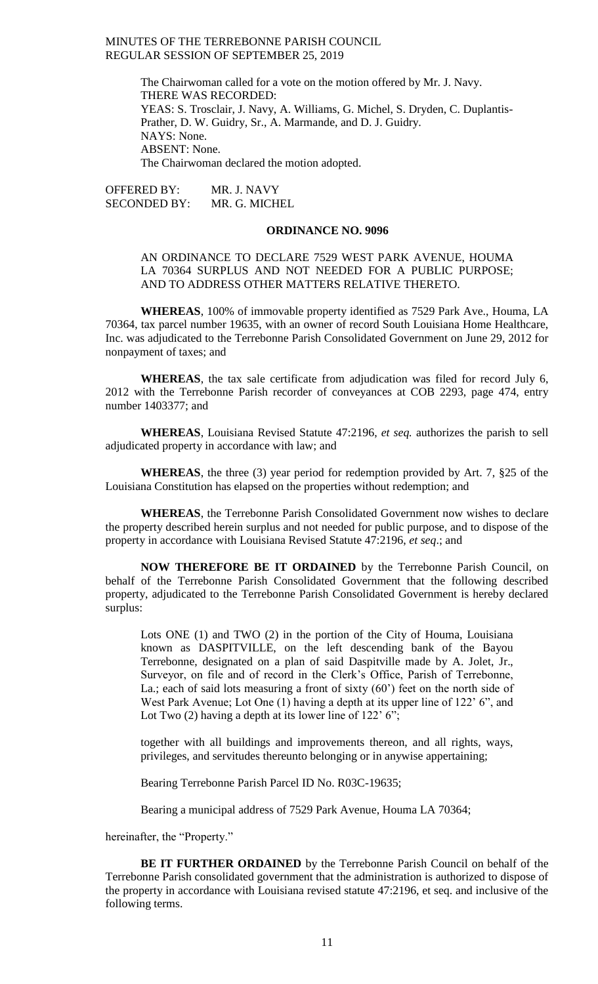> The Chairwoman called for a vote on the motion offered by Mr. J. Navy. THERE WAS RECORDED: YEAS: S. Trosclair, J. Navy, A. Williams, G. Michel, S. Dryden, C. Duplantis-Prather, D. W. Guidry, Sr., A. Marmande, and D. J. Guidry. NAYS: None. ABSENT: None. The Chairwoman declared the motion adopted.

OFFERED BY: MR. J. NAVY SECONDED BY: MR. G. MICHEL

# **ORDINANCE NO. 9096**

## AN ORDINANCE TO DECLARE 7529 WEST PARK AVENUE, HOUMA LA 70364 SURPLUS AND NOT NEEDED FOR A PUBLIC PURPOSE; AND TO ADDRESS OTHER MATTERS RELATIVE THERETO.

**WHEREAS**, 100% of immovable property identified as 7529 Park Ave., Houma, LA 70364, tax parcel number 19635, with an owner of record South Louisiana Home Healthcare, Inc. was adjudicated to the Terrebonne Parish Consolidated Government on June 29, 2012 for nonpayment of taxes; and

**WHEREAS**, the tax sale certificate from adjudication was filed for record July 6, 2012 with the Terrebonne Parish recorder of conveyances at COB 2293, page 474, entry number 1403377; and

**WHEREAS**, Louisiana Revised Statute 47:2196, *et seq.* authorizes the parish to sell adjudicated property in accordance with law; and

**WHEREAS**, the three (3) year period for redemption provided by Art. 7, §25 of the Louisiana Constitution has elapsed on the properties without redemption; and

**WHEREAS**, the Terrebonne Parish Consolidated Government now wishes to declare the property described herein surplus and not needed for public purpose, and to dispose of the property in accordance with Louisiana Revised Statute 47:2196, *et seq*.; and

**NOW THEREFORE BE IT ORDAINED** by the Terrebonne Parish Council, on behalf of the Terrebonne Parish Consolidated Government that the following described property, adjudicated to the Terrebonne Parish Consolidated Government is hereby declared surplus:

Lots ONE (1) and TWO (2) in the portion of the City of Houma, Louisiana known as DASPITVILLE, on the left descending bank of the Bayou Terrebonne, designated on a plan of said Daspitville made by A. Jolet, Jr., Surveyor, on file and of record in the Clerk's Office, Parish of Terrebonne, La.; each of said lots measuring a front of sixty (60') feet on the north side of West Park Avenue; Lot One (1) having a depth at its upper line of 122' 6", and Lot Two  $(2)$  having a depth at its lower line of  $122'$  6";

together with all buildings and improvements thereon, and all rights, ways, privileges, and servitudes thereunto belonging or in anywise appertaining;

Bearing Terrebonne Parish Parcel ID No. R03C-19635;

Bearing a municipal address of 7529 Park Avenue, Houma LA 70364;

hereinafter, the "Property."

**BE IT FURTHER ORDAINED** by the Terrebonne Parish Council on behalf of the Terrebonne Parish consolidated government that the administration is authorized to dispose of the property in accordance with Louisiana revised statute 47:2196, et seq. and inclusive of the following terms.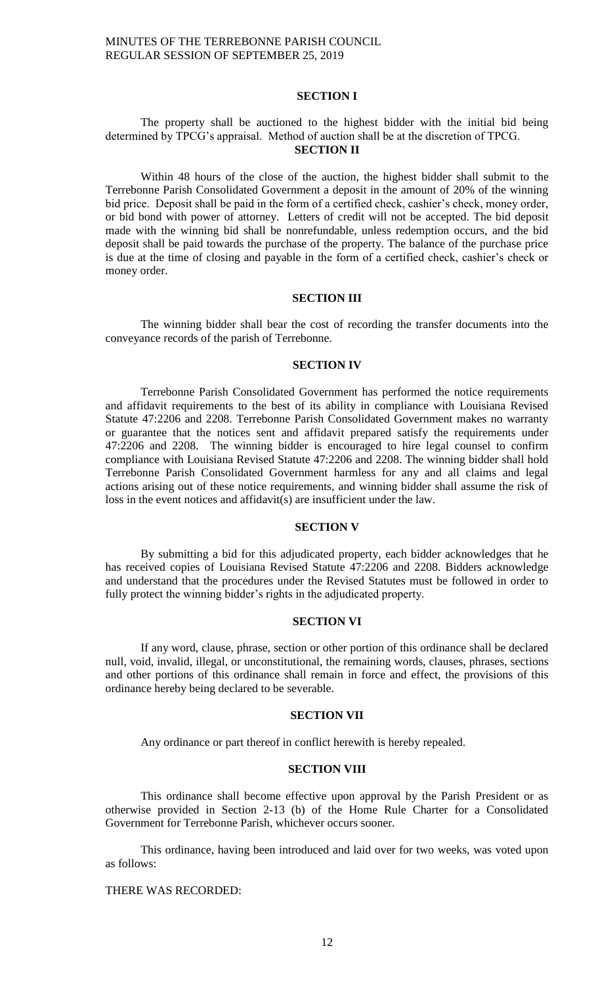### **SECTION I**

## The property shall be auctioned to the highest bidder with the initial bid being determined by TPCG's appraisal. Method of auction shall be at the discretion of TPCG. **SECTION II**

Within 48 hours of the close of the auction, the highest bidder shall submit to the Terrebonne Parish Consolidated Government a deposit in the amount of 20% of the winning bid price. Deposit shall be paid in the form of a certified check, cashier's check, money order, or bid bond with power of attorney. Letters of credit will not be accepted. The bid deposit made with the winning bid shall be nonrefundable, unless redemption occurs, and the bid deposit shall be paid towards the purchase of the property. The balance of the purchase price is due at the time of closing and payable in the form of a certified check, cashier's check or money order.

### **SECTION III**

The winning bidder shall bear the cost of recording the transfer documents into the conveyance records of the parish of Terrebonne.

#### **SECTION IV**

Terrebonne Parish Consolidated Government has performed the notice requirements and affidavit requirements to the best of its ability in compliance with Louisiana Revised Statute 47:2206 and 2208. Terrebonne Parish Consolidated Government makes no warranty or guarantee that the notices sent and affidavit prepared satisfy the requirements under 47:2206 and 2208. The winning bidder is encouraged to hire legal counsel to confirm compliance with Louisiana Revised Statute 47:2206 and 2208. The winning bidder shall hold Terrebonne Parish Consolidated Government harmless for any and all claims and legal actions arising out of these notice requirements, and winning bidder shall assume the risk of loss in the event notices and affidavit(s) are insufficient under the law.

#### **SECTION V**

By submitting a bid for this adjudicated property, each bidder acknowledges that he has received copies of Louisiana Revised Statute 47:2206 and 2208. Bidders acknowledge and understand that the procedures under the Revised Statutes must be followed in order to fully protect the winning bidder's rights in the adjudicated property.

## **SECTION VI**

If any word, clause, phrase, section or other portion of this ordinance shall be declared null, void, invalid, illegal, or unconstitutional, the remaining words, clauses, phrases, sections and other portions of this ordinance shall remain in force and effect, the provisions of this ordinance hereby being declared to be severable.

## **SECTION VII**

Any ordinance or part thereof in conflict herewith is hereby repealed.

## **SECTION VIII**

This ordinance shall become effective upon approval by the Parish President or as otherwise provided in Section 2-13 (b) of the Home Rule Charter for a Consolidated Government for Terrebonne Parish, whichever occurs sooner.

This ordinance, having been introduced and laid over for two weeks, was voted upon as follows:

# THERE WAS RECORDED: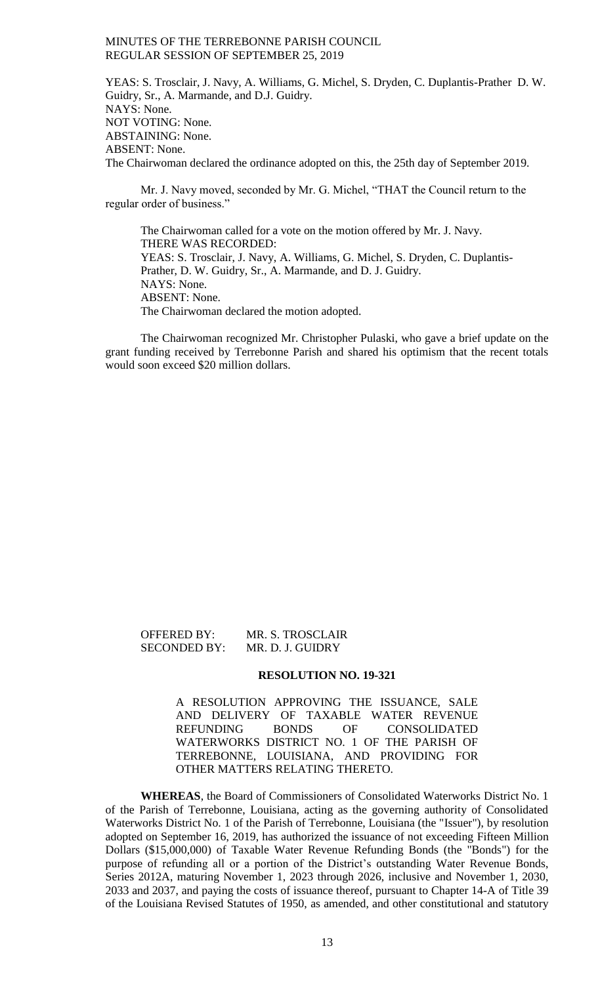YEAS: S. Trosclair, J. Navy, A. Williams, G. Michel, S. Dryden, C. Duplantis-Prather D. W. Guidry, Sr., A. Marmande, and D.J. Guidry. NAYS: None. NOT VOTING: None. ABSTAINING: None. ABSENT: None. The Chairwoman declared the ordinance adopted on this, the 25th day of September 2019.

Mr. J. Navy moved, seconded by Mr. G. Michel, "THAT the Council return to the regular order of business."

The Chairwoman called for a vote on the motion offered by Mr. J. Navy. THERE WAS RECORDED: YEAS: S. Trosclair, J. Navy, A. Williams, G. Michel, S. Dryden, C. Duplantis-Prather, D. W. Guidry, Sr., A. Marmande, and D. J. Guidry. NAYS: None. ABSENT: None. The Chairwoman declared the motion adopted.

The Chairwoman recognized Mr. Christopher Pulaski, who gave a brief update on the grant funding received by Terrebonne Parish and shared his optimism that the recent totals would soon exceed \$20 million dollars.

OFFERED BY: MR. S. TROSCLAIR<br>SECONDED BY: MR. D. J. GUIDRY MR. D. J. GUIDRY

#### **RESOLUTION NO. 19-321**

A RESOLUTION APPROVING THE ISSUANCE, SALE AND DELIVERY OF TAXABLE WATER REVENUE REFUNDING BONDS OF CONSOLIDATED WATERWORKS DISTRICT NO. 1 OF THE PARISH OF TERREBONNE, LOUISIANA, AND PROVIDING FOR OTHER MATTERS RELATING THERETO.

**WHEREAS**, the Board of Commissioners of Consolidated Waterworks District No. 1 of the Parish of Terrebonne, Louisiana, acting as the governing authority of Consolidated Waterworks District No. 1 of the Parish of Terrebonne, Louisiana (the "Issuer"), by resolution adopted on September 16, 2019, has authorized the issuance of not exceeding Fifteen Million Dollars (\$15,000,000) of Taxable Water Revenue Refunding Bonds (the "Bonds") for the purpose of refunding all or a portion of the District's outstanding Water Revenue Bonds, Series 2012A, maturing November 1, 2023 through 2026, inclusive and November 1, 2030, 2033 and 2037, and paying the costs of issuance thereof, pursuant to Chapter 14-A of Title 39 of the Louisiana Revised Statutes of 1950, as amended, and other constitutional and statutory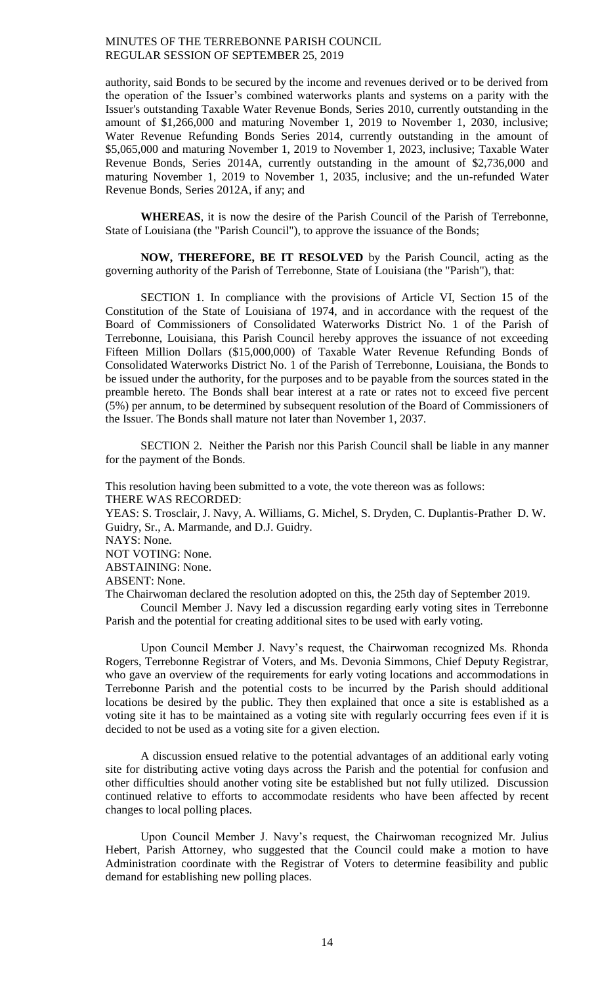authority, said Bonds to be secured by the income and revenues derived or to be derived from the operation of the Issuer's combined waterworks plants and systems on a parity with the Issuer's outstanding Taxable Water Revenue Bonds, Series 2010, currently outstanding in the amount of \$1,266,000 and maturing November 1, 2019 to November 1, 2030, inclusive; Water Revenue Refunding Bonds Series 2014, currently outstanding in the amount of \$5,065,000 and maturing November 1, 2019 to November 1, 2023, inclusive; Taxable Water Revenue Bonds, Series 2014A, currently outstanding in the amount of \$2,736,000 and maturing November 1, 2019 to November 1, 2035, inclusive; and the un-refunded Water Revenue Bonds, Series 2012A, if any; and

**WHEREAS**, it is now the desire of the Parish Council of the Parish of Terrebonne, State of Louisiana (the "Parish Council"), to approve the issuance of the Bonds;

**NOW, THEREFORE, BE IT RESOLVED** by the Parish Council, acting as the governing authority of the Parish of Terrebonne, State of Louisiana (the "Parish"), that:

SECTION 1. In compliance with the provisions of Article VI, Section 15 of the Constitution of the State of Louisiana of 1974, and in accordance with the request of the Board of Commissioners of Consolidated Waterworks District No. 1 of the Parish of Terrebonne, Louisiana, this Parish Council hereby approves the issuance of not exceeding Fifteen Million Dollars (\$15,000,000) of Taxable Water Revenue Refunding Bonds of Consolidated Waterworks District No. 1 of the Parish of Terrebonne, Louisiana, the Bonds to be issued under the authority, for the purposes and to be payable from the sources stated in the preamble hereto. The Bonds shall bear interest at a rate or rates not to exceed five percent (5%) per annum, to be determined by subsequent resolution of the Board of Commissioners of the Issuer. The Bonds shall mature not later than November 1, 2037.

SECTION 2. Neither the Parish nor this Parish Council shall be liable in any manner for the payment of the Bonds.

This resolution having been submitted to a vote, the vote thereon was as follows: THERE WAS RECORDED:

YEAS: S. Trosclair, J. Navy, A. Williams, G. Michel, S. Dryden, C. Duplantis-Prather D. W. Guidry, Sr., A. Marmande, and D.J. Guidry.

NAYS: None.

NOT VOTING: None.

ABSTAINING: None.

ABSENT: None.

The Chairwoman declared the resolution adopted on this, the 25th day of September 2019.

Council Member J. Navy led a discussion regarding early voting sites in Terrebonne Parish and the potential for creating additional sites to be used with early voting.

Upon Council Member J. Navy's request, the Chairwoman recognized Ms. Rhonda Rogers, Terrebonne Registrar of Voters, and Ms. Devonia Simmons, Chief Deputy Registrar, who gave an overview of the requirements for early voting locations and accommodations in Terrebonne Parish and the potential costs to be incurred by the Parish should additional locations be desired by the public. They then explained that once a site is established as a voting site it has to be maintained as a voting site with regularly occurring fees even if it is decided to not be used as a voting site for a given election.

A discussion ensued relative to the potential advantages of an additional early voting site for distributing active voting days across the Parish and the potential for confusion and other difficulties should another voting site be established but not fully utilized. Discussion continued relative to efforts to accommodate residents who have been affected by recent changes to local polling places.

Upon Council Member J. Navy's request, the Chairwoman recognized Mr. Julius Hebert, Parish Attorney, who suggested that the Council could make a motion to have Administration coordinate with the Registrar of Voters to determine feasibility and public demand for establishing new polling places.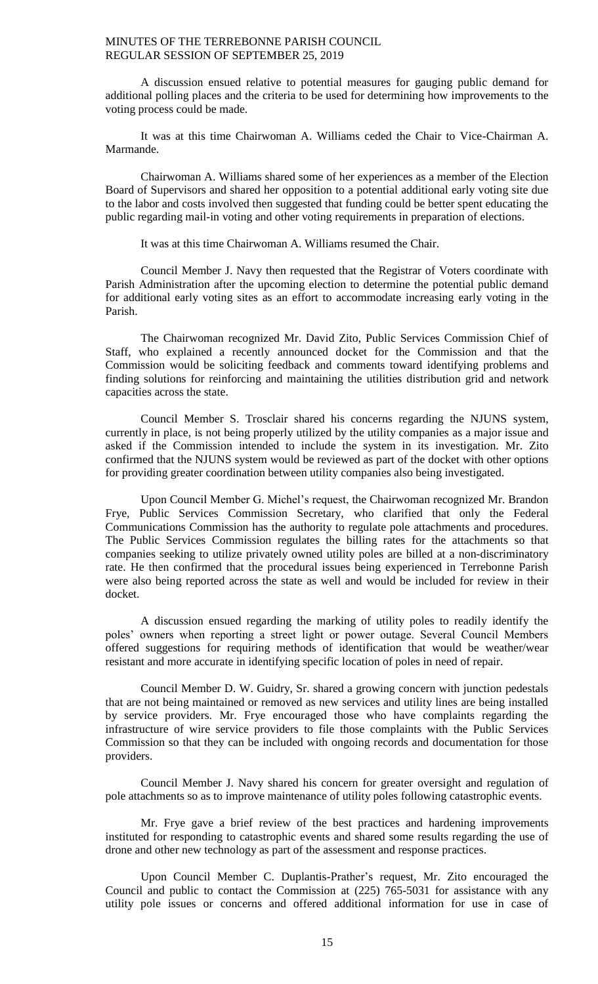A discussion ensued relative to potential measures for gauging public demand for additional polling places and the criteria to be used for determining how improvements to the voting process could be made.

It was at this time Chairwoman A. Williams ceded the Chair to Vice-Chairman A. Marmande.

Chairwoman A. Williams shared some of her experiences as a member of the Election Board of Supervisors and shared her opposition to a potential additional early voting site due to the labor and costs involved then suggested that funding could be better spent educating the public regarding mail-in voting and other voting requirements in preparation of elections.

It was at this time Chairwoman A. Williams resumed the Chair.

Council Member J. Navy then requested that the Registrar of Voters coordinate with Parish Administration after the upcoming election to determine the potential public demand for additional early voting sites as an effort to accommodate increasing early voting in the Parish.

The Chairwoman recognized Mr. David Zito, Public Services Commission Chief of Staff, who explained a recently announced docket for the Commission and that the Commission would be soliciting feedback and comments toward identifying problems and finding solutions for reinforcing and maintaining the utilities distribution grid and network capacities across the state.

Council Member S. Trosclair shared his concerns regarding the NJUNS system, currently in place, is not being properly utilized by the utility companies as a major issue and asked if the Commission intended to include the system in its investigation. Mr. Zito confirmed that the NJUNS system would be reviewed as part of the docket with other options for providing greater coordination between utility companies also being investigated.

Upon Council Member G. Michel's request, the Chairwoman recognized Mr. Brandon Frye, Public Services Commission Secretary, who clarified that only the Federal Communications Commission has the authority to regulate pole attachments and procedures. The Public Services Commission regulates the billing rates for the attachments so that companies seeking to utilize privately owned utility poles are billed at a non-discriminatory rate. He then confirmed that the procedural issues being experienced in Terrebonne Parish were also being reported across the state as well and would be included for review in their docket.

A discussion ensued regarding the marking of utility poles to readily identify the poles' owners when reporting a street light or power outage. Several Council Members offered suggestions for requiring methods of identification that would be weather/wear resistant and more accurate in identifying specific location of poles in need of repair.

Council Member D. W. Guidry, Sr. shared a growing concern with junction pedestals that are not being maintained or removed as new services and utility lines are being installed by service providers. Mr. Frye encouraged those who have complaints regarding the infrastructure of wire service providers to file those complaints with the Public Services Commission so that they can be included with ongoing records and documentation for those providers.

Council Member J. Navy shared his concern for greater oversight and regulation of pole attachments so as to improve maintenance of utility poles following catastrophic events.

Mr. Frye gave a brief review of the best practices and hardening improvements instituted for responding to catastrophic events and shared some results regarding the use of drone and other new technology as part of the assessment and response practices.

Upon Council Member C. Duplantis-Prather's request, Mr. Zito encouraged the Council and public to contact the Commission at (225) 765-5031 for assistance with any utility pole issues or concerns and offered additional information for use in case of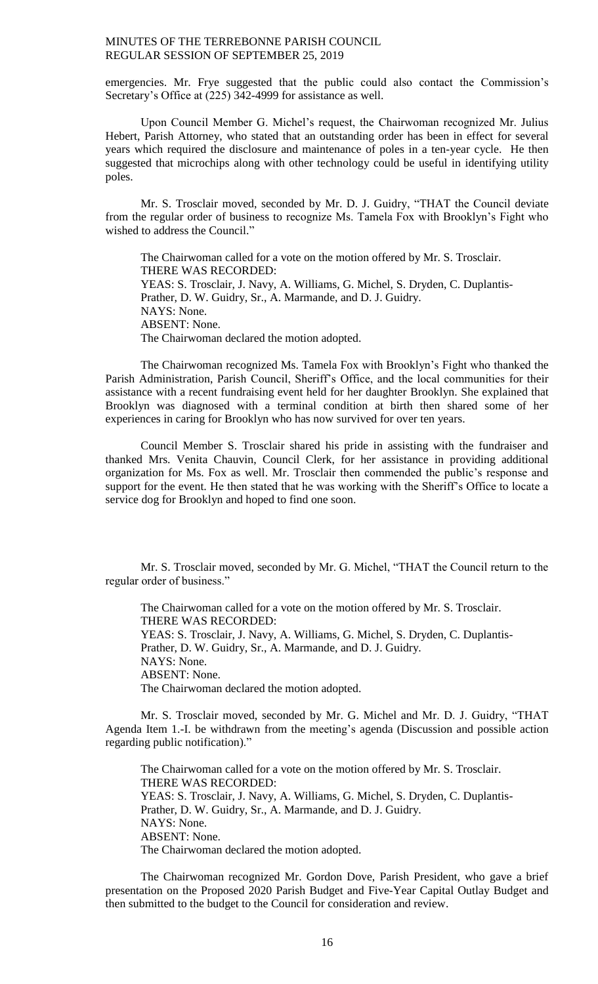emergencies. Mr. Frye suggested that the public could also contact the Commission's Secretary's Office at (225) 342-4999 for assistance as well.

Upon Council Member G. Michel's request, the Chairwoman recognized Mr. Julius Hebert, Parish Attorney, who stated that an outstanding order has been in effect for several years which required the disclosure and maintenance of poles in a ten-year cycle. He then suggested that microchips along with other technology could be useful in identifying utility poles.

Mr. S. Trosclair moved, seconded by Mr. D. J. Guidry, "THAT the Council deviate from the regular order of business to recognize Ms. Tamela Fox with Brooklyn's Fight who wished to address the Council."

The Chairwoman called for a vote on the motion offered by Mr. S. Trosclair. THERE WAS RECORDED: YEAS: S. Trosclair, J. Navy, A. Williams, G. Michel, S. Dryden, C. Duplantis-Prather, D. W. Guidry, Sr., A. Marmande, and D. J. Guidry. NAYS: None. ABSENT: None. The Chairwoman declared the motion adopted.

The Chairwoman recognized Ms. Tamela Fox with Brooklyn's Fight who thanked the Parish Administration, Parish Council, Sheriff's Office, and the local communities for their assistance with a recent fundraising event held for her daughter Brooklyn. She explained that Brooklyn was diagnosed with a terminal condition at birth then shared some of her experiences in caring for Brooklyn who has now survived for over ten years.

Council Member S. Trosclair shared his pride in assisting with the fundraiser and thanked Mrs. Venita Chauvin, Council Clerk, for her assistance in providing additional organization for Ms. Fox as well. Mr. Trosclair then commended the public's response and support for the event. He then stated that he was working with the Sheriff's Office to locate a service dog for Brooklyn and hoped to find one soon.

Mr. S. Trosclair moved, seconded by Mr. G. Michel, "THAT the Council return to the regular order of business."

The Chairwoman called for a vote on the motion offered by Mr. S. Trosclair. THERE WAS RECORDED: YEAS: S. Trosclair, J. Navy, A. Williams, G. Michel, S. Dryden, C. Duplantis-Prather, D. W. Guidry, Sr., A. Marmande, and D. J. Guidry. NAYS: None. ABSENT: None. The Chairwoman declared the motion adopted.

Mr. S. Trosclair moved, seconded by Mr. G. Michel and Mr. D. J. Guidry, "THAT Agenda Item 1.-I. be withdrawn from the meeting's agenda (Discussion and possible action regarding public notification)."

The Chairwoman called for a vote on the motion offered by Mr. S. Trosclair. THERE WAS RECORDED: YEAS: S. Trosclair, J. Navy, A. Williams, G. Michel, S. Dryden, C. Duplantis-Prather, D. W. Guidry, Sr., A. Marmande, and D. J. Guidry. NAYS: None. ABSENT: None. The Chairwoman declared the motion adopted.

The Chairwoman recognized Mr. Gordon Dove, Parish President, who gave a brief presentation on the Proposed 2020 Parish Budget and Five-Year Capital Outlay Budget and then submitted to the budget to the Council for consideration and review.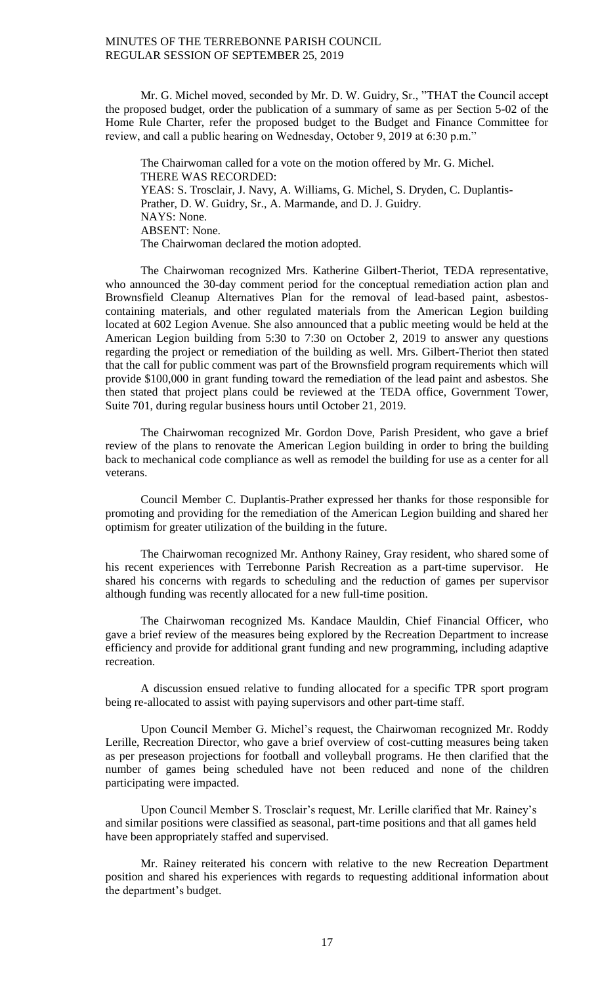Mr. G. Michel moved, seconded by Mr. D. W. Guidry, Sr., "THAT the Council accept the proposed budget, order the publication of a summary of same as per Section 5-02 of the Home Rule Charter, refer the proposed budget to the Budget and Finance Committee for review, and call a public hearing on Wednesday, October 9, 2019 at 6:30 p.m."

The Chairwoman called for a vote on the motion offered by Mr. G. Michel. THERE WAS RECORDED: YEAS: S. Trosclair, J. Navy, A. Williams, G. Michel, S. Dryden, C. Duplantis-Prather, D. W. Guidry, Sr., A. Marmande, and D. J. Guidry. NAYS: None. ABSENT: None. The Chairwoman declared the motion adopted.

The Chairwoman recognized Mrs. Katherine Gilbert-Theriot, TEDA representative, who announced the 30-day comment period for the conceptual remediation action plan and Brownsfield Cleanup Alternatives Plan for the removal of lead-based paint, asbestoscontaining materials, and other regulated materials from the American Legion building located at 602 Legion Avenue. She also announced that a public meeting would be held at the American Legion building from 5:30 to 7:30 on October 2, 2019 to answer any questions regarding the project or remediation of the building as well. Mrs. Gilbert-Theriot then stated that the call for public comment was part of the Brownsfield program requirements which will provide \$100,000 in grant funding toward the remediation of the lead paint and asbestos. She then stated that project plans could be reviewed at the TEDA office, Government Tower, Suite 701, during regular business hours until October 21, 2019.

The Chairwoman recognized Mr. Gordon Dove, Parish President, who gave a brief review of the plans to renovate the American Legion building in order to bring the building back to mechanical code compliance as well as remodel the building for use as a center for all veterans.

Council Member C. Duplantis-Prather expressed her thanks for those responsible for promoting and providing for the remediation of the American Legion building and shared her optimism for greater utilization of the building in the future.

The Chairwoman recognized Mr. Anthony Rainey, Gray resident, who shared some of his recent experiences with Terrebonne Parish Recreation as a part-time supervisor. He shared his concerns with regards to scheduling and the reduction of games per supervisor although funding was recently allocated for a new full-time position.

The Chairwoman recognized Ms. Kandace Mauldin, Chief Financial Officer, who gave a brief review of the measures being explored by the Recreation Department to increase efficiency and provide for additional grant funding and new programming, including adaptive recreation.

A discussion ensued relative to funding allocated for a specific TPR sport program being re-allocated to assist with paying supervisors and other part-time staff.

Upon Council Member G. Michel's request, the Chairwoman recognized Mr. Roddy Lerille, Recreation Director, who gave a brief overview of cost-cutting measures being taken as per preseason projections for football and volleyball programs. He then clarified that the number of games being scheduled have not been reduced and none of the children participating were impacted.

Upon Council Member S. Trosclair's request, Mr. Lerille clarified that Mr. Rainey's and similar positions were classified as seasonal, part-time positions and that all games held have been appropriately staffed and supervised.

Mr. Rainey reiterated his concern with relative to the new Recreation Department position and shared his experiences with regards to requesting additional information about the department's budget.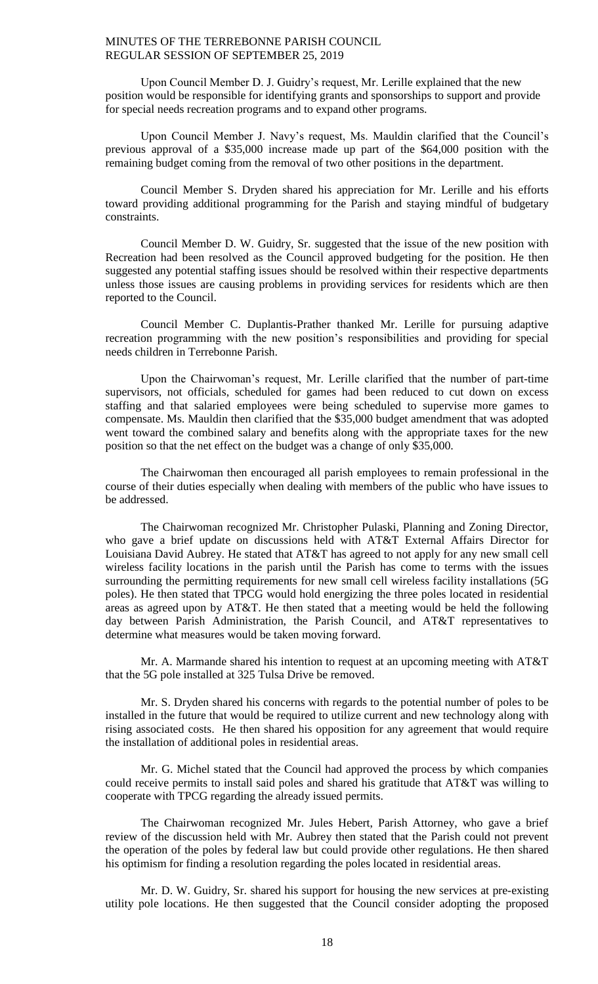Upon Council Member D. J. Guidry's request, Mr. Lerille explained that the new position would be responsible for identifying grants and sponsorships to support and provide for special needs recreation programs and to expand other programs.

Upon Council Member J. Navy's request, Ms. Mauldin clarified that the Council's previous approval of a \$35,000 increase made up part of the \$64,000 position with the remaining budget coming from the removal of two other positions in the department.

Council Member S. Dryden shared his appreciation for Mr. Lerille and his efforts toward providing additional programming for the Parish and staying mindful of budgetary constraints.

Council Member D. W. Guidry, Sr. suggested that the issue of the new position with Recreation had been resolved as the Council approved budgeting for the position. He then suggested any potential staffing issues should be resolved within their respective departments unless those issues are causing problems in providing services for residents which are then reported to the Council.

Council Member C. Duplantis-Prather thanked Mr. Lerille for pursuing adaptive recreation programming with the new position's responsibilities and providing for special needs children in Terrebonne Parish.

Upon the Chairwoman's request, Mr. Lerille clarified that the number of part-time supervisors, not officials, scheduled for games had been reduced to cut down on excess staffing and that salaried employees were being scheduled to supervise more games to compensate. Ms. Mauldin then clarified that the \$35,000 budget amendment that was adopted went toward the combined salary and benefits along with the appropriate taxes for the new position so that the net effect on the budget was a change of only \$35,000.

The Chairwoman then encouraged all parish employees to remain professional in the course of their duties especially when dealing with members of the public who have issues to be addressed.

The Chairwoman recognized Mr. Christopher Pulaski, Planning and Zoning Director, who gave a brief update on discussions held with AT&T External Affairs Director for Louisiana David Aubrey. He stated that AT&T has agreed to not apply for any new small cell wireless facility locations in the parish until the Parish has come to terms with the issues surrounding the permitting requirements for new small cell wireless facility installations (5G poles). He then stated that TPCG would hold energizing the three poles located in residential areas as agreed upon by AT&T. He then stated that a meeting would be held the following day between Parish Administration, the Parish Council, and AT&T representatives to determine what measures would be taken moving forward.

Mr. A. Marmande shared his intention to request at an upcoming meeting with AT&T that the 5G pole installed at 325 Tulsa Drive be removed.

Mr. S. Dryden shared his concerns with regards to the potential number of poles to be installed in the future that would be required to utilize current and new technology along with rising associated costs. He then shared his opposition for any agreement that would require the installation of additional poles in residential areas.

Mr. G. Michel stated that the Council had approved the process by which companies could receive permits to install said poles and shared his gratitude that AT&T was willing to cooperate with TPCG regarding the already issued permits.

The Chairwoman recognized Mr. Jules Hebert, Parish Attorney, who gave a brief review of the discussion held with Mr. Aubrey then stated that the Parish could not prevent the operation of the poles by federal law but could provide other regulations. He then shared his optimism for finding a resolution regarding the poles located in residential areas.

Mr. D. W. Guidry, Sr. shared his support for housing the new services at pre-existing utility pole locations. He then suggested that the Council consider adopting the proposed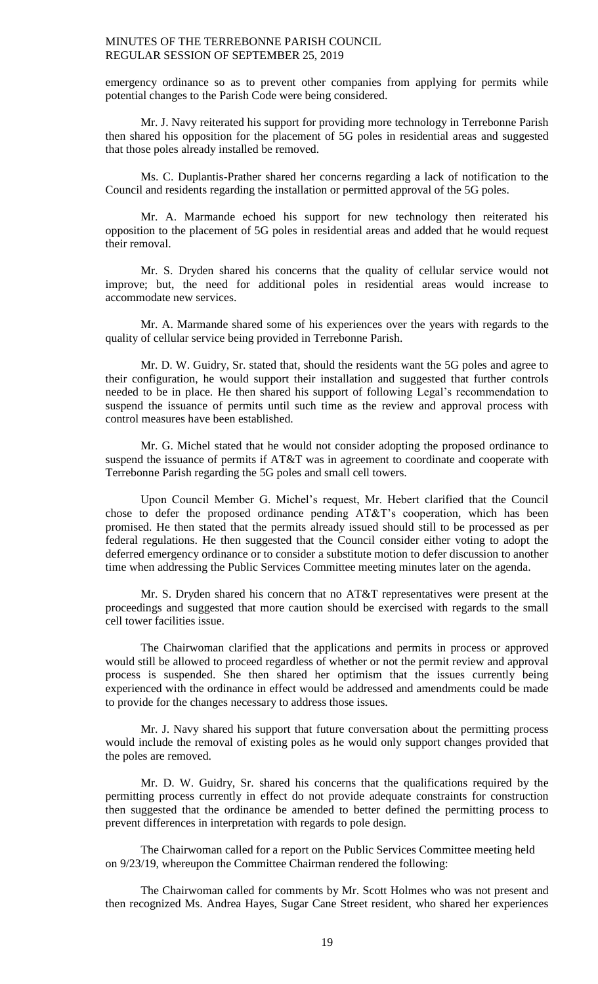emergency ordinance so as to prevent other companies from applying for permits while potential changes to the Parish Code were being considered.

Mr. J. Navy reiterated his support for providing more technology in Terrebonne Parish then shared his opposition for the placement of 5G poles in residential areas and suggested that those poles already installed be removed.

Ms. C. Duplantis-Prather shared her concerns regarding a lack of notification to the Council and residents regarding the installation or permitted approval of the 5G poles.

Mr. A. Marmande echoed his support for new technology then reiterated his opposition to the placement of 5G poles in residential areas and added that he would request their removal.

Mr. S. Dryden shared his concerns that the quality of cellular service would not improve; but, the need for additional poles in residential areas would increase to accommodate new services.

Mr. A. Marmande shared some of his experiences over the years with regards to the quality of cellular service being provided in Terrebonne Parish.

Mr. D. W. Guidry, Sr. stated that, should the residents want the 5G poles and agree to their configuration, he would support their installation and suggested that further controls needed to be in place. He then shared his support of following Legal's recommendation to suspend the issuance of permits until such time as the review and approval process with control measures have been established.

Mr. G. Michel stated that he would not consider adopting the proposed ordinance to suspend the issuance of permits if AT&T was in agreement to coordinate and cooperate with Terrebonne Parish regarding the 5G poles and small cell towers.

Upon Council Member G. Michel's request, Mr. Hebert clarified that the Council chose to defer the proposed ordinance pending AT&T's cooperation, which has been promised. He then stated that the permits already issued should still to be processed as per federal regulations. He then suggested that the Council consider either voting to adopt the deferred emergency ordinance or to consider a substitute motion to defer discussion to another time when addressing the Public Services Committee meeting minutes later on the agenda.

Mr. S. Dryden shared his concern that no AT&T representatives were present at the proceedings and suggested that more caution should be exercised with regards to the small cell tower facilities issue.

The Chairwoman clarified that the applications and permits in process or approved would still be allowed to proceed regardless of whether or not the permit review and approval process is suspended. She then shared her optimism that the issues currently being experienced with the ordinance in effect would be addressed and amendments could be made to provide for the changes necessary to address those issues.

Mr. J. Navy shared his support that future conversation about the permitting process would include the removal of existing poles as he would only support changes provided that the poles are removed.

Mr. D. W. Guidry, Sr. shared his concerns that the qualifications required by the permitting process currently in effect do not provide adequate constraints for construction then suggested that the ordinance be amended to better defined the permitting process to prevent differences in interpretation with regards to pole design.

The Chairwoman called for a report on the Public Services Committee meeting held on 9/23/19, whereupon the Committee Chairman rendered the following:

The Chairwoman called for comments by Mr. Scott Holmes who was not present and then recognized Ms. Andrea Hayes, Sugar Cane Street resident, who shared her experiences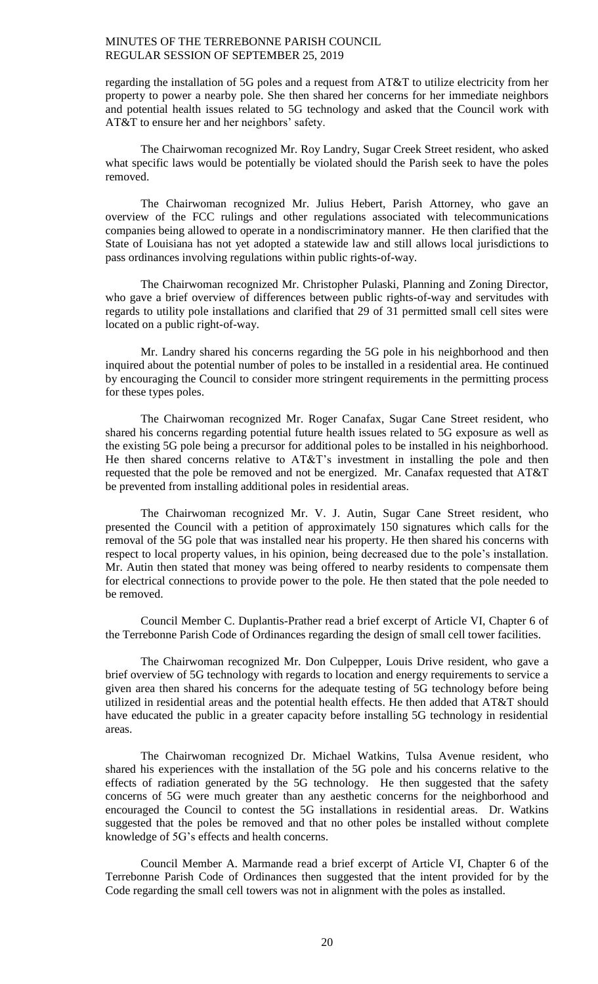regarding the installation of 5G poles and a request from AT&T to utilize electricity from her property to power a nearby pole. She then shared her concerns for her immediate neighbors and potential health issues related to 5G technology and asked that the Council work with AT&T to ensure her and her neighbors' safety.

The Chairwoman recognized Mr. Roy Landry, Sugar Creek Street resident, who asked what specific laws would be potentially be violated should the Parish seek to have the poles removed.

The Chairwoman recognized Mr. Julius Hebert, Parish Attorney, who gave an overview of the FCC rulings and other regulations associated with telecommunications companies being allowed to operate in a nondiscriminatory manner. He then clarified that the State of Louisiana has not yet adopted a statewide law and still allows local jurisdictions to pass ordinances involving regulations within public rights-of-way.

The Chairwoman recognized Mr. Christopher Pulaski, Planning and Zoning Director, who gave a brief overview of differences between public rights-of-way and servitudes with regards to utility pole installations and clarified that 29 of 31 permitted small cell sites were located on a public right-of-way.

Mr. Landry shared his concerns regarding the 5G pole in his neighborhood and then inquired about the potential number of poles to be installed in a residential area. He continued by encouraging the Council to consider more stringent requirements in the permitting process for these types poles.

The Chairwoman recognized Mr. Roger Canafax, Sugar Cane Street resident, who shared his concerns regarding potential future health issues related to 5G exposure as well as the existing 5G pole being a precursor for additional poles to be installed in his neighborhood. He then shared concerns relative to AT&T's investment in installing the pole and then requested that the pole be removed and not be energized. Mr. Canafax requested that AT&T be prevented from installing additional poles in residential areas.

The Chairwoman recognized Mr. V. J. Autin, Sugar Cane Street resident, who presented the Council with a petition of approximately 150 signatures which calls for the removal of the 5G pole that was installed near his property. He then shared his concerns with respect to local property values, in his opinion, being decreased due to the pole's installation. Mr. Autin then stated that money was being offered to nearby residents to compensate them for electrical connections to provide power to the pole. He then stated that the pole needed to be removed.

Council Member C. Duplantis-Prather read a brief excerpt of Article VI, Chapter 6 of the Terrebonne Parish Code of Ordinances regarding the design of small cell tower facilities.

The Chairwoman recognized Mr. Don Culpepper, Louis Drive resident, who gave a brief overview of 5G technology with regards to location and energy requirements to service a given area then shared his concerns for the adequate testing of 5G technology before being utilized in residential areas and the potential health effects. He then added that AT&T should have educated the public in a greater capacity before installing 5G technology in residential areas.

The Chairwoman recognized Dr. Michael Watkins, Tulsa Avenue resident, who shared his experiences with the installation of the 5G pole and his concerns relative to the effects of radiation generated by the 5G technology. He then suggested that the safety concerns of 5G were much greater than any aesthetic concerns for the neighborhood and encouraged the Council to contest the 5G installations in residential areas. Dr. Watkins suggested that the poles be removed and that no other poles be installed without complete knowledge of 5G's effects and health concerns.

Council Member A. Marmande read a brief excerpt of Article VI, Chapter 6 of the Terrebonne Parish Code of Ordinances then suggested that the intent provided for by the Code regarding the small cell towers was not in alignment with the poles as installed.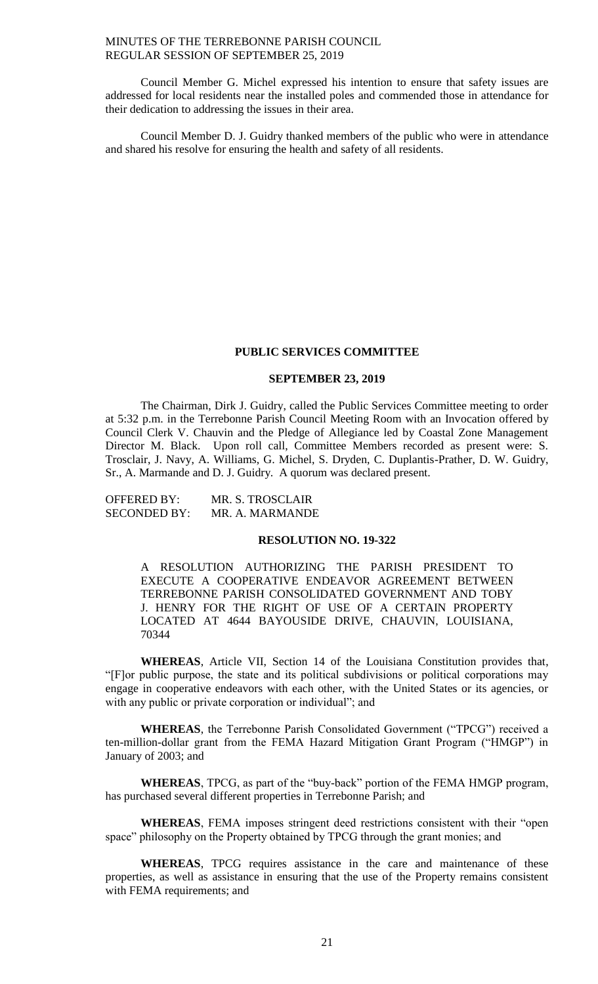Council Member G. Michel expressed his intention to ensure that safety issues are addressed for local residents near the installed poles and commended those in attendance for their dedication to addressing the issues in their area.

Council Member D. J. Guidry thanked members of the public who were in attendance and shared his resolve for ensuring the health and safety of all residents.

#### **PUBLIC SERVICES COMMITTEE**

# **SEPTEMBER 23, 2019**

The Chairman, Dirk J. Guidry, called the Public Services Committee meeting to order at 5:32 p.m. in the Terrebonne Parish Council Meeting Room with an Invocation offered by Council Clerk V. Chauvin and the Pledge of Allegiance led by Coastal Zone Management Director M. Black. Upon roll call, Committee Members recorded as present were: S. Trosclair, J. Navy, A. Williams, G. Michel, S. Dryden, C. Duplantis-Prather, D. W. Guidry, Sr., A. Marmande and D. J. Guidry. A quorum was declared present.

| OFFERED BY:  | MR. S. TROSCLAIR |
|--------------|------------------|
| SECONDED BY: | MR. A. MARMANDE  |

#### **RESOLUTION NO. 19-322**

A RESOLUTION AUTHORIZING THE PARISH PRESIDENT TO EXECUTE A COOPERATIVE ENDEAVOR AGREEMENT BETWEEN TERREBONNE PARISH CONSOLIDATED GOVERNMENT AND TOBY J. HENRY FOR THE RIGHT OF USE OF A CERTAIN PROPERTY LOCATED AT 4644 BAYOUSIDE DRIVE, CHAUVIN, LOUISIANA, 70344

**WHEREAS**, Article VII, Section 14 of the Louisiana Constitution provides that, "[F]or public purpose, the state and its political subdivisions or political corporations may engage in cooperative endeavors with each other, with the United States or its agencies, or with any public or private corporation or individual"; and

**WHEREAS**, the Terrebonne Parish Consolidated Government ("TPCG") received a ten-million-dollar grant from the FEMA Hazard Mitigation Grant Program ("HMGP") in January of 2003; and

**WHEREAS**, TPCG, as part of the "buy-back" portion of the FEMA HMGP program, has purchased several different properties in Terrebonne Parish; and

**WHEREAS**, FEMA imposes stringent deed restrictions consistent with their "open space" philosophy on the Property obtained by TPCG through the grant monies; and

**WHEREAS**, TPCG requires assistance in the care and maintenance of these properties, as well as assistance in ensuring that the use of the Property remains consistent with FEMA requirements; and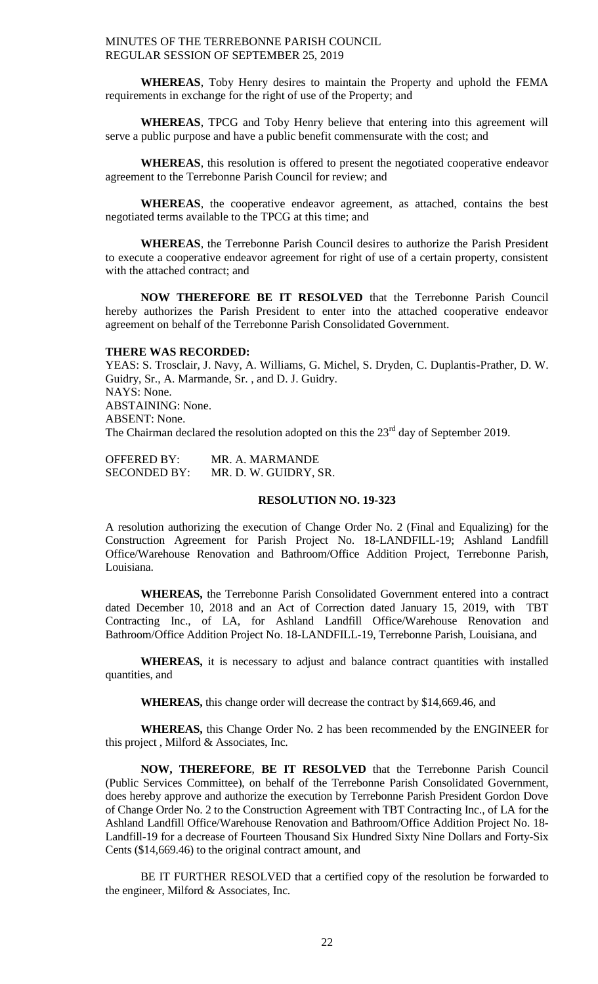**WHEREAS**, Toby Henry desires to maintain the Property and uphold the FEMA requirements in exchange for the right of use of the Property; and

**WHEREAS**, TPCG and Toby Henry believe that entering into this agreement will serve a public purpose and have a public benefit commensurate with the cost; and

**WHEREAS**, this resolution is offered to present the negotiated cooperative endeavor agreement to the Terrebonne Parish Council for review; and

**WHEREAS**, the cooperative endeavor agreement, as attached, contains the best negotiated terms available to the TPCG at this time; and

**WHEREAS**, the Terrebonne Parish Council desires to authorize the Parish President to execute a cooperative endeavor agreement for right of use of a certain property, consistent with the attached contract; and

**NOW THEREFORE BE IT RESOLVED** that the Terrebonne Parish Council hereby authorizes the Parish President to enter into the attached cooperative endeavor agreement on behalf of the Terrebonne Parish Consolidated Government.

## **THERE WAS RECORDED:**

YEAS: S. Trosclair, J. Navy, A. Williams, G. Michel, S. Dryden, C. Duplantis-Prather, D. W. Guidry, Sr., A. Marmande, Sr. , and D. J. Guidry. NAYS: None. ABSTAINING: None. ABSENT: None. The Chairman declared the resolution adopted on this the  $23<sup>rd</sup>$  day of September 2019.

OFFERED BY: MR. A. MARMANDE SECONDED BY: MR. D. W. GUIDRY, SR.

### **RESOLUTION NO. 19-323**

A resolution authorizing the execution of Change Order No. 2 (Final and Equalizing) for the Construction Agreement for Parish Project No. 18-LANDFILL-19; Ashland Landfill Office/Warehouse Renovation and Bathroom/Office Addition Project, Terrebonne Parish, Louisiana.

**WHEREAS,** the Terrebonne Parish Consolidated Government entered into a contract dated December 10, 2018 and an Act of Correction dated January 15, 2019, with TBT Contracting Inc., of LA, for Ashland Landfill Office/Warehouse Renovation and Bathroom/Office Addition Project No. 18-LANDFILL-19, Terrebonne Parish, Louisiana, and

**WHEREAS,** it is necessary to adjust and balance contract quantities with installed quantities, and

**WHEREAS,** this change order will decrease the contract by \$14,669.46, and

**WHEREAS,** this Change Order No. 2 has been recommended by the ENGINEER for this project , Milford & Associates, Inc.

**NOW, THEREFORE**, **BE IT RESOLVED** that the Terrebonne Parish Council (Public Services Committee), on behalf of the Terrebonne Parish Consolidated Government, does hereby approve and authorize the execution by Terrebonne Parish President Gordon Dove of Change Order No. 2 to the Construction Agreement with TBT Contracting Inc., of LA for the Ashland Landfill Office/Warehouse Renovation and Bathroom/Office Addition Project No. 18- Landfill-19 for a decrease of Fourteen Thousand Six Hundred Sixty Nine Dollars and Forty-Six Cents (\$14,669.46) to the original contract amount, and

BE IT FURTHER RESOLVED that a certified copy of the resolution be forwarded to the engineer, Milford & Associates, Inc.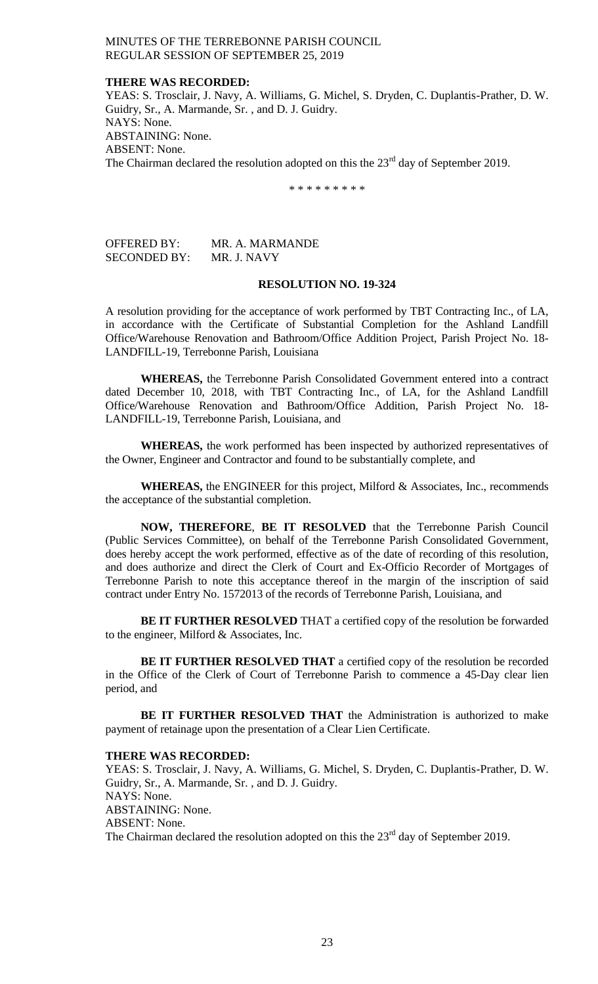### **THERE WAS RECORDED:**

YEAS: S. Trosclair, J. Navy, A. Williams, G. Michel, S. Dryden, C. Duplantis-Prather, D. W. Guidry, Sr., A. Marmande, Sr. , and D. J. Guidry. NAYS: None. ABSTAINING: None. ABSENT: None. The Chairman declared the resolution adopted on this the  $23<sup>rd</sup>$  day of September 2019.

\* \* \* \* \* \* \* \* \*

OFFERED BY: MR. A. MARMANDE SECONDED BY: MR. J. NAVY

### **RESOLUTION NO. 19-324**

A resolution providing for the acceptance of work performed by TBT Contracting Inc., of LA, in accordance with the Certificate of Substantial Completion for the Ashland Landfill Office/Warehouse Renovation and Bathroom/Office Addition Project, Parish Project No. 18- LANDFILL-19, Terrebonne Parish, Louisiana

**WHEREAS,** the Terrebonne Parish Consolidated Government entered into a contract dated December 10, 2018, with TBT Contracting Inc., of LA, for the Ashland Landfill Office/Warehouse Renovation and Bathroom/Office Addition, Parish Project No. 18- LANDFILL-19, Terrebonne Parish, Louisiana, and

**WHEREAS,** the work performed has been inspected by authorized representatives of the Owner, Engineer and Contractor and found to be substantially complete, and

**WHEREAS,** the ENGINEER for this project, Milford & Associates, Inc., recommends the acceptance of the substantial completion.

**NOW, THEREFORE**, **BE IT RESOLVED** that the Terrebonne Parish Council (Public Services Committee), on behalf of the Terrebonne Parish Consolidated Government, does hereby accept the work performed, effective as of the date of recording of this resolution, and does authorize and direct the Clerk of Court and Ex-Officio Recorder of Mortgages of Terrebonne Parish to note this acceptance thereof in the margin of the inscription of said contract under Entry No. 1572013 of the records of Terrebonne Parish, Louisiana, and

**BE IT FURTHER RESOLVED** THAT a certified copy of the resolution be forwarded to the engineer, Milford & Associates, Inc.

**BE IT FURTHER RESOLVED THAT** a certified copy of the resolution be recorded in the Office of the Clerk of Court of Terrebonne Parish to commence a 45-Day clear lien period, and

**BE IT FURTHER RESOLVED THAT** the Administration is authorized to make payment of retainage upon the presentation of a Clear Lien Certificate.

#### **THERE WAS RECORDED:**

YEAS: S. Trosclair, J. Navy, A. Williams, G. Michel, S. Dryden, C. Duplantis-Prather, D. W. Guidry, Sr., A. Marmande, Sr. , and D. J. Guidry. NAYS: None. ABSTAINING: None. ABSENT: None. The Chairman declared the resolution adopted on this the  $23<sup>rd</sup>$  day of September 2019.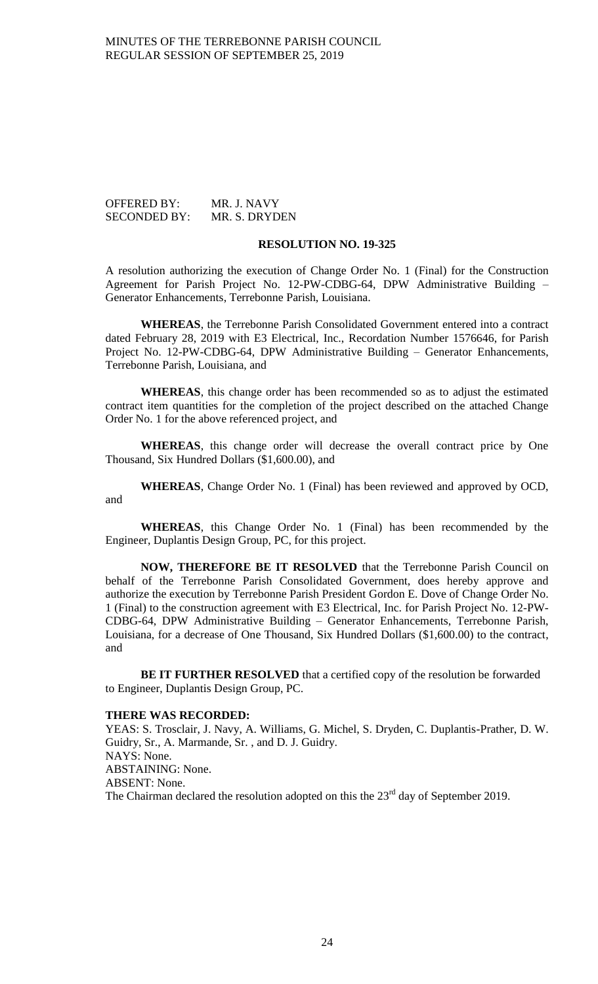## OFFERED BY: MR. J. NAVY SECONDED BY: MR. S. DRYDEN

## **RESOLUTION NO. 19-325**

A resolution authorizing the execution of Change Order No. 1 (Final) for the Construction Agreement for Parish Project No. 12-PW-CDBG-64, DPW Administrative Building – Generator Enhancements, Terrebonne Parish, Louisiana.

**WHEREAS**, the Terrebonne Parish Consolidated Government entered into a contract dated February 28, 2019 with E3 Electrical, Inc., Recordation Number 1576646, for Parish Project No. 12-PW-CDBG-64, DPW Administrative Building – Generator Enhancements, Terrebonne Parish, Louisiana, and

**WHEREAS**, this change order has been recommended so as to adjust the estimated contract item quantities for the completion of the project described on the attached Change Order No. 1 for the above referenced project, and

**WHEREAS**, this change order will decrease the overall contract price by One Thousand, Six Hundred Dollars (\$1,600.00), and

**WHEREAS**, Change Order No. 1 (Final) has been reviewed and approved by OCD, and

**WHEREAS**, this Change Order No. 1 (Final) has been recommended by the Engineer, Duplantis Design Group, PC, for this project.

**NOW, THEREFORE BE IT RESOLVED** that the Terrebonne Parish Council on behalf of the Terrebonne Parish Consolidated Government, does hereby approve and authorize the execution by Terrebonne Parish President Gordon E. Dove of Change Order No. 1 (Final) to the construction agreement with E3 Electrical, Inc. for Parish Project No. 12-PW-CDBG-64, DPW Administrative Building – Generator Enhancements, Terrebonne Parish, Louisiana, for a decrease of One Thousand, Six Hundred Dollars (\$1,600.00) to the contract, and

**BE IT FURTHER RESOLVED** that a certified copy of the resolution be forwarded to Engineer, Duplantis Design Group, PC.

## **THERE WAS RECORDED:**

YEAS: S. Trosclair, J. Navy, A. Williams, G. Michel, S. Dryden, C. Duplantis-Prather, D. W. Guidry, Sr., A. Marmande, Sr. , and D. J. Guidry. NAYS: None. ABSTAINING: None. ABSENT: None. The Chairman declared the resolution adopted on this the  $23<sup>rd</sup>$  day of September 2019.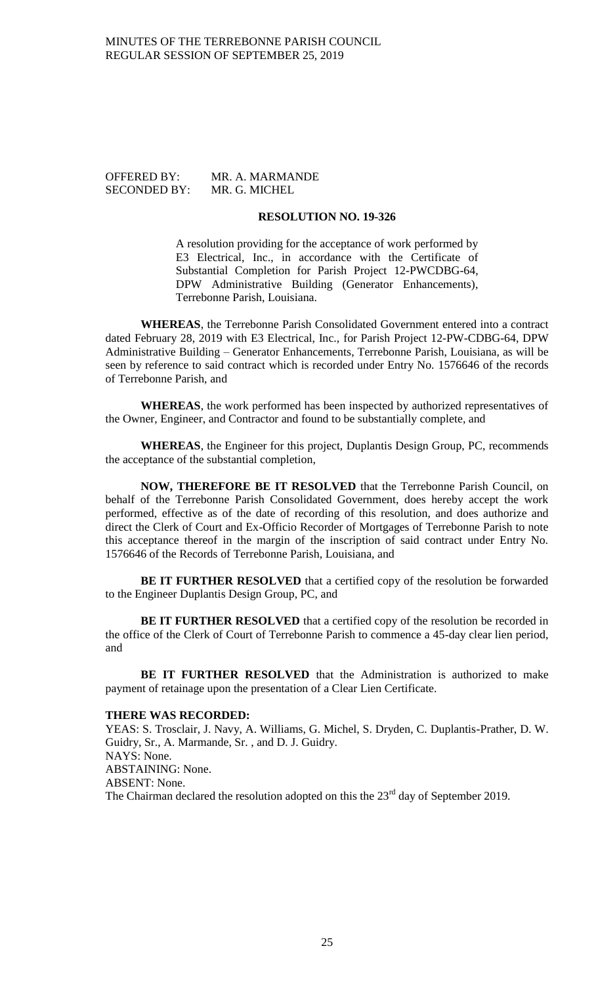SECONDED BY: MR. G. MICHEL

OFFERED BY: MR. A. MARMANDE

# **RESOLUTION NO. 19-326**

A resolution providing for the acceptance of work performed by E3 Electrical, Inc., in accordance with the Certificate of Substantial Completion for Parish Project 12-PWCDBG-64, DPW Administrative Building (Generator Enhancements), Terrebonne Parish, Louisiana.

**WHEREAS**, the Terrebonne Parish Consolidated Government entered into a contract dated February 28, 2019 with E3 Electrical, Inc., for Parish Project 12-PW-CDBG-64, DPW Administrative Building – Generator Enhancements, Terrebonne Parish, Louisiana, as will be seen by reference to said contract which is recorded under Entry No. 1576646 of the records of Terrebonne Parish, and

**WHEREAS**, the work performed has been inspected by authorized representatives of the Owner, Engineer, and Contractor and found to be substantially complete, and

**WHEREAS**, the Engineer for this project, Duplantis Design Group, PC, recommends the acceptance of the substantial completion,

**NOW, THEREFORE BE IT RESOLVED** that the Terrebonne Parish Council, on behalf of the Terrebonne Parish Consolidated Government, does hereby accept the work performed, effective as of the date of recording of this resolution, and does authorize and direct the Clerk of Court and Ex-Officio Recorder of Mortgages of Terrebonne Parish to note this acceptance thereof in the margin of the inscription of said contract under Entry No. 1576646 of the Records of Terrebonne Parish, Louisiana, and

**BE IT FURTHER RESOLVED** that a certified copy of the resolution be forwarded to the Engineer Duplantis Design Group, PC, and

**BE IT FURTHER RESOLVED** that a certified copy of the resolution be recorded in the office of the Clerk of Court of Terrebonne Parish to commence a 45-day clear lien period, and

**BE IT FURTHER RESOLVED** that the Administration is authorized to make payment of retainage upon the presentation of a Clear Lien Certificate.

## **THERE WAS RECORDED:**

YEAS: S. Trosclair, J. Navy, A. Williams, G. Michel, S. Dryden, C. Duplantis-Prather, D. W. Guidry, Sr., A. Marmande, Sr. , and D. J. Guidry. NAYS: None. ABSTAINING: None. ABSENT: None.

The Chairman declared the resolution adopted on this the  $23<sup>rd</sup>$  day of September 2019.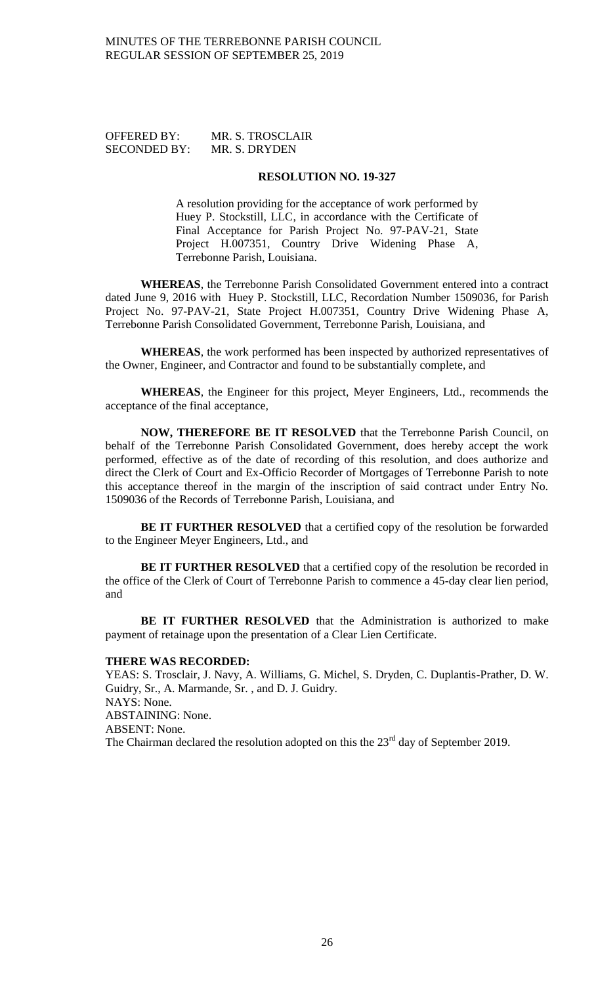# OFFERED BY: MR. S. TROSCLAIR SECONDED BY: MR. S. DRYDEN

#### **RESOLUTION NO. 19-327**

A resolution providing for the acceptance of work performed by Huey P. Stockstill, LLC, in accordance with the Certificate of Final Acceptance for Parish Project No. 97-PAV-21, State Project H.007351, Country Drive Widening Phase A, Terrebonne Parish, Louisiana.

**WHEREAS**, the Terrebonne Parish Consolidated Government entered into a contract dated June 9, 2016 with Huey P. Stockstill, LLC, Recordation Number 1509036, for Parish Project No. 97-PAV-21, State Project H.007351, Country Drive Widening Phase A, Terrebonne Parish Consolidated Government, Terrebonne Parish, Louisiana, and

**WHEREAS**, the work performed has been inspected by authorized representatives of the Owner, Engineer, and Contractor and found to be substantially complete, and

**WHEREAS**, the Engineer for this project, Meyer Engineers, Ltd., recommends the acceptance of the final acceptance,

**NOW, THEREFORE BE IT RESOLVED** that the Terrebonne Parish Council, on behalf of the Terrebonne Parish Consolidated Government, does hereby accept the work performed, effective as of the date of recording of this resolution, and does authorize and direct the Clerk of Court and Ex-Officio Recorder of Mortgages of Terrebonne Parish to note this acceptance thereof in the margin of the inscription of said contract under Entry No. 1509036 of the Records of Terrebonne Parish, Louisiana, and

**BE IT FURTHER RESOLVED** that a certified copy of the resolution be forwarded to the Engineer Meyer Engineers, Ltd., and

**BE IT FURTHER RESOLVED** that a certified copy of the resolution be recorded in the office of the Clerk of Court of Terrebonne Parish to commence a 45-day clear lien period, and

**BE IT FURTHER RESOLVED** that the Administration is authorized to make payment of retainage upon the presentation of a Clear Lien Certificate.

### **THERE WAS RECORDED:**

YEAS: S. Trosclair, J. Navy, A. Williams, G. Michel, S. Dryden, C. Duplantis-Prather, D. W. Guidry, Sr., A. Marmande, Sr. , and D. J. Guidry. NAYS: None. ABSTAINING: None. ABSENT: None. The Chairman declared the resolution adopted on this the  $23<sup>rd</sup>$  day of September 2019.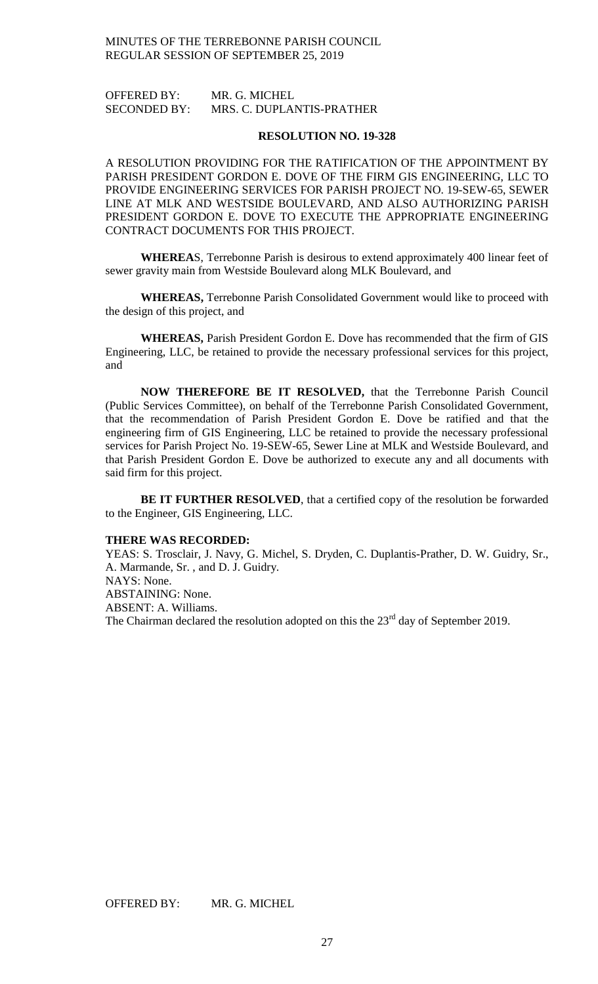OFFERED BY: MR. G. MICHEL<br>SECONDED BY: MRS. C. DUPLAI MRS. C. DUPLANTIS-PRATHER

#### **RESOLUTION NO. 19-328**

A RESOLUTION PROVIDING FOR THE RATIFICATION OF THE APPOINTMENT BY PARISH PRESIDENT GORDON E. DOVE OF THE FIRM GIS ENGINEERING, LLC TO PROVIDE ENGINEERING SERVICES FOR PARISH PROJECT NO. 19-SEW-65, SEWER LINE AT MLK AND WESTSIDE BOULEVARD, AND ALSO AUTHORIZING PARISH PRESIDENT GORDON E. DOVE TO EXECUTE THE APPROPRIATE ENGINEERING CONTRACT DOCUMENTS FOR THIS PROJECT.

**WHEREA**S, Terrebonne Parish is desirous to extend approximately 400 linear feet of sewer gravity main from Westside Boulevard along MLK Boulevard, and

**WHEREAS,** Terrebonne Parish Consolidated Government would like to proceed with the design of this project, and

**WHEREAS,** Parish President Gordon E. Dove has recommended that the firm of GIS Engineering, LLC, be retained to provide the necessary professional services for this project, and

**NOW THEREFORE BE IT RESOLVED,** that the Terrebonne Parish Council (Public Services Committee), on behalf of the Terrebonne Parish Consolidated Government, that the recommendation of Parish President Gordon E. Dove be ratified and that the engineering firm of GIS Engineering, LLC be retained to provide the necessary professional services for Parish Project No. 19-SEW-65, Sewer Line at MLK and Westside Boulevard, and that Parish President Gordon E. Dove be authorized to execute any and all documents with said firm for this project.

**BE IT FURTHER RESOLVED**, that a certified copy of the resolution be forwarded to the Engineer, GIS Engineering, LLC.

#### **THERE WAS RECORDED:**

YEAS: S. Trosclair, J. Navy, G. Michel, S. Dryden, C. Duplantis-Prather, D. W. Guidry, Sr., A. Marmande, Sr. , and D. J. Guidry. NAYS: None. ABSTAINING: None. ABSENT: A. Williams. The Chairman declared the resolution adopted on this the  $23<sup>rd</sup>$  day of September 2019.

OFFERED BY: MR. G. MICHEL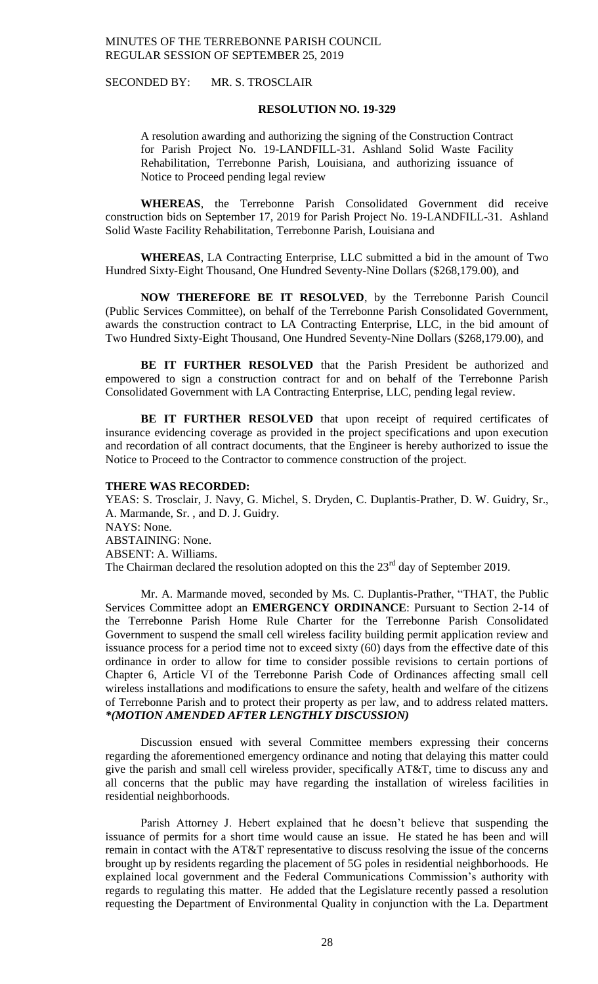SECONDED BY: MR. S. TROSCLAIR

#### **RESOLUTION NO. 19-329**

A resolution awarding and authorizing the signing of the Construction Contract for Parish Project No. 19-LANDFILL-31. Ashland Solid Waste Facility Rehabilitation, Terrebonne Parish, Louisiana, and authorizing issuance of Notice to Proceed pending legal review

**WHEREAS**, the Terrebonne Parish Consolidated Government did receive construction bids on September 17, 2019 for Parish Project No. 19-LANDFILL-31. Ashland Solid Waste Facility Rehabilitation, Terrebonne Parish, Louisiana and

**WHEREAS**, LA Contracting Enterprise, LLC submitted a bid in the amount of Two Hundred Sixty-Eight Thousand, One Hundred Seventy-Nine Dollars (\$268,179.00), and

**NOW THEREFORE BE IT RESOLVED**, by the Terrebonne Parish Council (Public Services Committee), on behalf of the Terrebonne Parish Consolidated Government, awards the construction contract to LA Contracting Enterprise, LLC, in the bid amount of Two Hundred Sixty-Eight Thousand, One Hundred Seventy-Nine Dollars (\$268,179.00), and

**BE IT FURTHER RESOLVED** that the Parish President be authorized and empowered to sign a construction contract for and on behalf of the Terrebonne Parish Consolidated Government with LA Contracting Enterprise, LLC, pending legal review.

BE IT FURTHER RESOLVED that upon receipt of required certificates of insurance evidencing coverage as provided in the project specifications and upon execution and recordation of all contract documents, that the Engineer is hereby authorized to issue the Notice to Proceed to the Contractor to commence construction of the project.

#### **THERE WAS RECORDED:**

YEAS: S. Trosclair, J. Navy, G. Michel, S. Dryden, C. Duplantis-Prather, D. W. Guidry, Sr., A. Marmande, Sr. , and D. J. Guidry. NAYS: None. ABSTAINING: None. ABSENT: A. Williams. The Chairman declared the resolution adopted on this the  $23<sup>rd</sup>$  day of September 2019.

Mr. A. Marmande moved, seconded by Ms. C. Duplantis-Prather, "THAT, the Public Services Committee adopt an **EMERGENCY ORDINANCE**: Pursuant to Section 2-14 of the Terrebonne Parish Home Rule Charter for the Terrebonne Parish Consolidated Government to suspend the small cell wireless facility building permit application review and issuance process for a period time not to exceed sixty (60) days from the effective date of this ordinance in order to allow for time to consider possible revisions to certain portions of Chapter 6, Article VI of the Terrebonne Parish Code of Ordinances affecting small cell wireless installations and modifications to ensure the safety, health and welfare of the citizens of Terrebonne Parish and to protect their property as per law, and to address related matters. *\*(MOTION AMENDED AFTER LENGTHLY DISCUSSION)*

Discussion ensued with several Committee members expressing their concerns regarding the aforementioned emergency ordinance and noting that delaying this matter could give the parish and small cell wireless provider, specifically AT&T, time to discuss any and all concerns that the public may have regarding the installation of wireless facilities in residential neighborhoods.

Parish Attorney J. Hebert explained that he doesn't believe that suspending the issuance of permits for a short time would cause an issue. He stated he has been and will remain in contact with the AT&T representative to discuss resolving the issue of the concerns brought up by residents regarding the placement of 5G poles in residential neighborhoods. He explained local government and the Federal Communications Commission's authority with regards to regulating this matter. He added that the Legislature recently passed a resolution requesting the Department of Environmental Quality in conjunction with the La. Department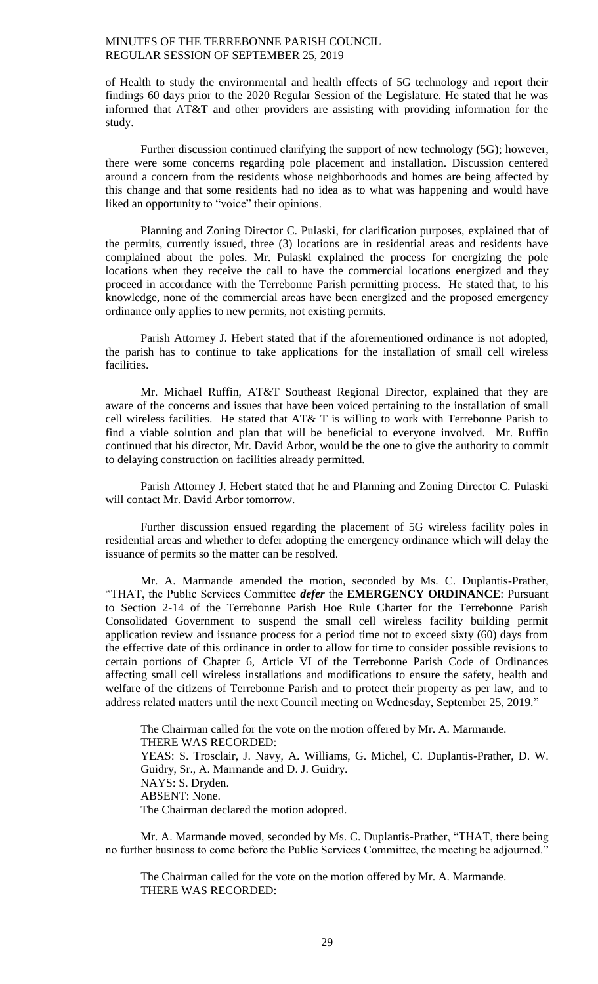of Health to study the environmental and health effects of 5G technology and report their findings 60 days prior to the 2020 Regular Session of the Legislature. He stated that he was informed that AT&T and other providers are assisting with providing information for the study.

Further discussion continued clarifying the support of new technology (5G); however, there were some concerns regarding pole placement and installation. Discussion centered around a concern from the residents whose neighborhoods and homes are being affected by this change and that some residents had no idea as to what was happening and would have liked an opportunity to "voice" their opinions.

Planning and Zoning Director C. Pulaski, for clarification purposes, explained that of the permits, currently issued, three (3) locations are in residential areas and residents have complained about the poles. Mr. Pulaski explained the process for energizing the pole locations when they receive the call to have the commercial locations energized and they proceed in accordance with the Terrebonne Parish permitting process. He stated that, to his knowledge, none of the commercial areas have been energized and the proposed emergency ordinance only applies to new permits, not existing permits.

Parish Attorney J. Hebert stated that if the aforementioned ordinance is not adopted, the parish has to continue to take applications for the installation of small cell wireless facilities.

Mr. Michael Ruffin, AT&T Southeast Regional Director, explained that they are aware of the concerns and issues that have been voiced pertaining to the installation of small cell wireless facilities. He stated that AT& T is willing to work with Terrebonne Parish to find a viable solution and plan that will be beneficial to everyone involved. Mr. Ruffin continued that his director, Mr. David Arbor, would be the one to give the authority to commit to delaying construction on facilities already permitted.

Parish Attorney J. Hebert stated that he and Planning and Zoning Director C. Pulaski will contact Mr. David Arbor tomorrow.

Further discussion ensued regarding the placement of 5G wireless facility poles in residential areas and whether to defer adopting the emergency ordinance which will delay the issuance of permits so the matter can be resolved.

Mr. A. Marmande amended the motion, seconded by Ms. C. Duplantis-Prather, "THAT, the Public Services Committee *defer* the **EMERGENCY ORDINANCE**: Pursuant to Section 2-14 of the Terrebonne Parish Hoe Rule Charter for the Terrebonne Parish Consolidated Government to suspend the small cell wireless facility building permit application review and issuance process for a period time not to exceed sixty (60) days from the effective date of this ordinance in order to allow for time to consider possible revisions to certain portions of Chapter 6, Article VI of the Terrebonne Parish Code of Ordinances affecting small cell wireless installations and modifications to ensure the safety, health and welfare of the citizens of Terrebonne Parish and to protect their property as per law, and to address related matters until the next Council meeting on Wednesday, September 25, 2019."

The Chairman called for the vote on the motion offered by Mr. A. Marmande. THERE WAS RECORDED: YEAS: S. Trosclair, J. Navy, A. Williams, G. Michel, C. Duplantis-Prather, D. W. Guidry, Sr., A. Marmande and D. J. Guidry. NAYS: S. Dryden. ABSENT: None. The Chairman declared the motion adopted.

Mr. A. Marmande moved, seconded by Ms. C. Duplantis-Prather, "THAT, there being no further business to come before the Public Services Committee, the meeting be adjourned."

The Chairman called for the vote on the motion offered by Mr. A. Marmande. THERE WAS RECORDED: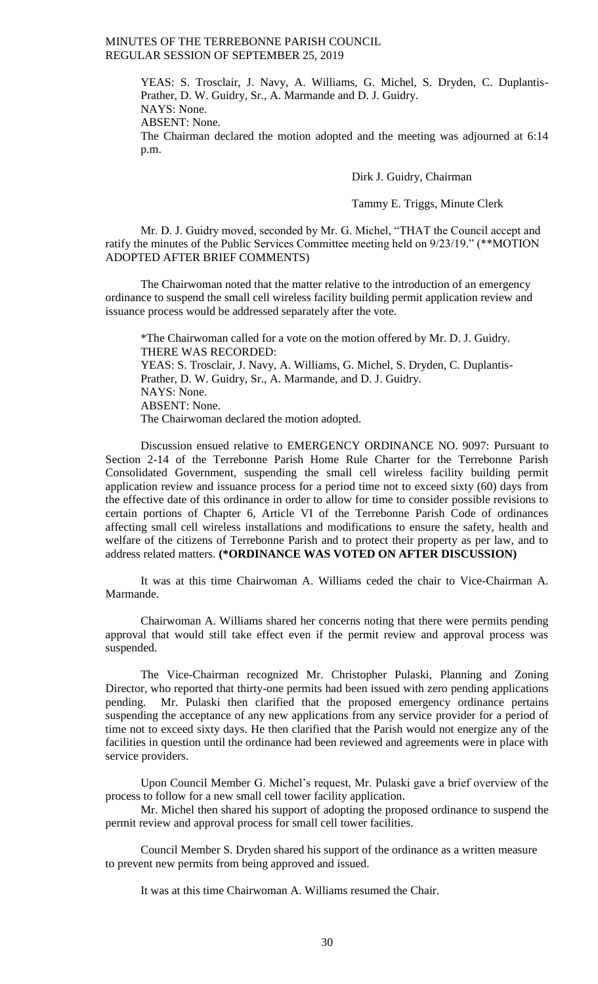YEAS: S. Trosclair, J. Navy, A. Williams, G. Michel, S. Dryden, C. Duplantis-Prather, D. W. Guidry, Sr., A. Marmande and D. J. Guidry. NAYS: None.

ABSENT: None.

The Chairman declared the motion adopted and the meeting was adjourned at 6:14 p.m.

Dirk J. Guidry, Chairman

Tammy E. Triggs, Minute Clerk

Mr. D. J. Guidry moved, seconded by Mr. G. Michel, "THAT the Council accept and ratify the minutes of the Public Services Committee meeting held on 9/23/19." (\*\*MOTION ADOPTED AFTER BRIEF COMMENTS)

The Chairwoman noted that the matter relative to the introduction of an emergency ordinance to suspend the small cell wireless facility building permit application review and issuance process would be addressed separately after the vote.

\*The Chairwoman called for a vote on the motion offered by Mr. D. J. Guidry. THERE WAS RECORDED: YEAS: S. Trosclair, J. Navy, A. Williams, G. Michel, S. Dryden, C. Duplantis-Prather, D. W. Guidry, Sr., A. Marmande, and D. J. Guidry. NAYS: None. ABSENT: None. The Chairwoman declared the motion adopted.

Discussion ensued relative to EMERGENCY ORDINANCE NO. 9097: Pursuant to Section 2-14 of the Terrebonne Parish Home Rule Charter for the Terrebonne Parish Consolidated Government, suspending the small cell wireless facility building permit application review and issuance process for a period time not to exceed sixty (60) days from the effective date of this ordinance in order to allow for time to consider possible revisions to certain portions of Chapter 6, Article VI of the Terrebonne Parish Code of ordinances affecting small cell wireless installations and modifications to ensure the safety, health and welfare of the citizens of Terrebonne Parish and to protect their property as per law, and to address related matters. **(\*ORDINANCE WAS VOTED ON AFTER DISCUSSION)**

It was at this time Chairwoman A. Williams ceded the chair to Vice-Chairman A. Marmande.

Chairwoman A. Williams shared her concerns noting that there were permits pending approval that would still take effect even if the permit review and approval process was suspended.

The Vice-Chairman recognized Mr. Christopher Pulaski, Planning and Zoning Director, who reported that thirty-one permits had been issued with zero pending applications pending. Mr. Pulaski then clarified that the proposed emergency ordinance pertains suspending the acceptance of any new applications from any service provider for a period of time not to exceed sixty days. He then clarified that the Parish would not energize any of the facilities in question until the ordinance had been reviewed and agreements were in place with service providers.

Upon Council Member G. Michel's request, Mr. Pulaski gave a brief overview of the process to follow for a new small cell tower facility application.

Mr. Michel then shared his support of adopting the proposed ordinance to suspend the permit review and approval process for small cell tower facilities.

Council Member S. Dryden shared his support of the ordinance as a written measure to prevent new permits from being approved and issued.

It was at this time Chairwoman A. Williams resumed the Chair.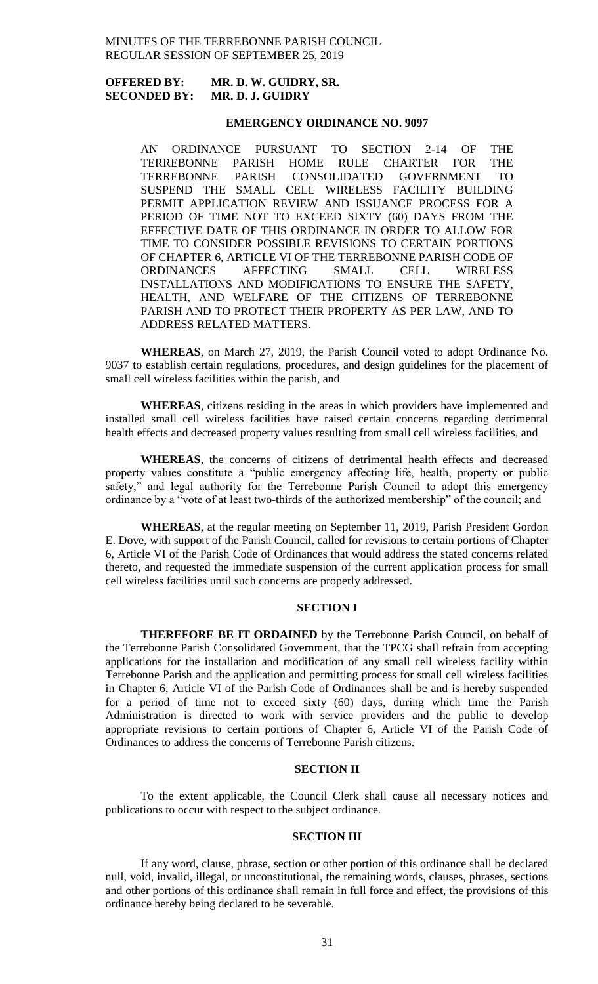# **OFFERED BY: MR. D. W. GUIDRY, SR. SECONDED BY: MR. D. J. GUIDRY**

## **EMERGENCY ORDINANCE NO. 9097**

AN ORDINANCE PURSUANT TO SECTION 2-14 OF THE TERREBONNE PARISH HOME RULE CHARTER FOR THE TERREBONNE PARISH CONSOLIDATED GOVERNMENT TO SUSPEND THE SMALL CELL WIRELESS FACILITY BUILDING PERMIT APPLICATION REVIEW AND ISSUANCE PROCESS FOR A PERIOD OF TIME NOT TO EXCEED SIXTY (60) DAYS FROM THE EFFECTIVE DATE OF THIS ORDINANCE IN ORDER TO ALLOW FOR TIME TO CONSIDER POSSIBLE REVISIONS TO CERTAIN PORTIONS OF CHAPTER 6, ARTICLE VI OF THE TERREBONNE PARISH CODE OF ORDINANCES AFFECTING SMALL CELL WIRELESS INSTALLATIONS AND MODIFICATIONS TO ENSURE THE SAFETY, HEALTH, AND WELFARE OF THE CITIZENS OF TERREBONNE PARISH AND TO PROTECT THEIR PROPERTY AS PER LAW, AND TO ADDRESS RELATED MATTERS.

**WHEREAS**, on March 27, 2019, the Parish Council voted to adopt Ordinance No. 9037 to establish certain regulations, procedures, and design guidelines for the placement of small cell wireless facilities within the parish, and

**WHEREAS**, citizens residing in the areas in which providers have implemented and installed small cell wireless facilities have raised certain concerns regarding detrimental health effects and decreased property values resulting from small cell wireless facilities, and

**WHEREAS**, the concerns of citizens of detrimental health effects and decreased property values constitute a "public emergency affecting life, health, property or public safety," and legal authority for the Terrebonne Parish Council to adopt this emergency ordinance by a "vote of at least two-thirds of the authorized membership" of the council; and

**WHEREAS**, at the regular meeting on September 11, 2019, Parish President Gordon E. Dove, with support of the Parish Council, called for revisions to certain portions of Chapter 6, Article VI of the Parish Code of Ordinances that would address the stated concerns related thereto, and requested the immediate suspension of the current application process for small cell wireless facilities until such concerns are properly addressed.

## **SECTION I**

**THEREFORE BE IT ORDAINED** by the Terrebonne Parish Council, on behalf of the Terrebonne Parish Consolidated Government, that the TPCG shall refrain from accepting applications for the installation and modification of any small cell wireless facility within Terrebonne Parish and the application and permitting process for small cell wireless facilities in Chapter 6, Article VI of the Parish Code of Ordinances shall be and is hereby suspended for a period of time not to exceed sixty (60) days, during which time the Parish Administration is directed to work with service providers and the public to develop appropriate revisions to certain portions of Chapter 6, Article VI of the Parish Code of Ordinances to address the concerns of Terrebonne Parish citizens.

# **SECTION II**

To the extent applicable, the Council Clerk shall cause all necessary notices and publications to occur with respect to the subject ordinance.

### **SECTION III**

If any word, clause, phrase, section or other portion of this ordinance shall be declared null, void, invalid, illegal, or unconstitutional, the remaining words, clauses, phrases, sections and other portions of this ordinance shall remain in full force and effect, the provisions of this ordinance hereby being declared to be severable.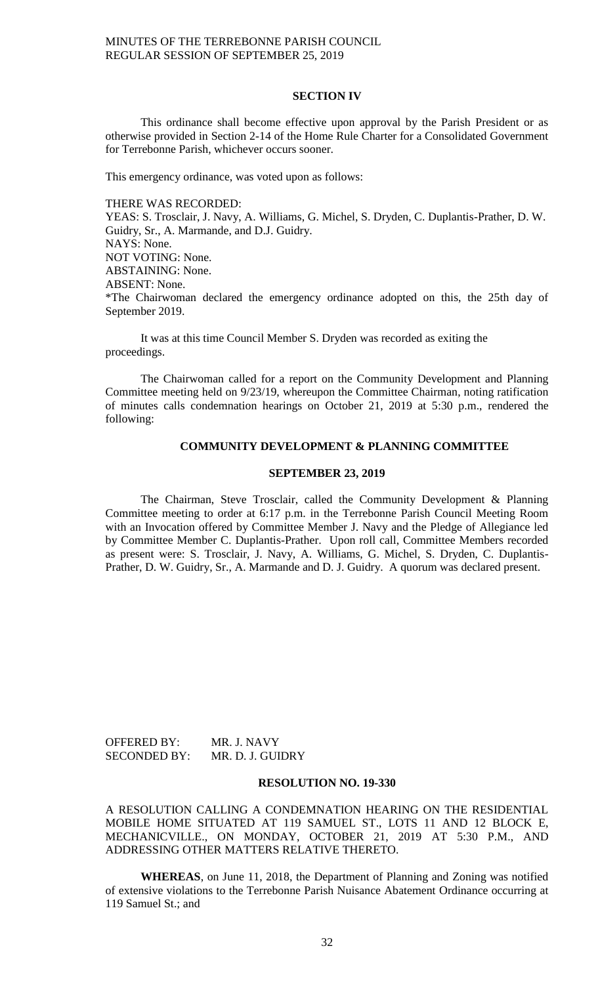## **SECTION IV**

This ordinance shall become effective upon approval by the Parish President or as otherwise provided in Section 2-14 of the Home Rule Charter for a Consolidated Government for Terrebonne Parish, whichever occurs sooner.

This emergency ordinance, was voted upon as follows:

#### THERE WAS RECORDED:

YEAS: S. Trosclair, J. Navy, A. Williams, G. Michel, S. Dryden, C. Duplantis-Prather, D. W. Guidry, Sr., A. Marmande, and D.J. Guidry. NAYS: None. NOT VOTING: None. ABSTAINING: None. ABSENT: None. \*The Chairwoman declared the emergency ordinance adopted on this, the 25th day of September 2019.

It was at this time Council Member S. Dryden was recorded as exiting the proceedings.

The Chairwoman called for a report on the Community Development and Planning Committee meeting held on 9/23/19, whereupon the Committee Chairman, noting ratification of minutes calls condemnation hearings on October 21, 2019 at 5:30 p.m., rendered the following:

#### **COMMUNITY DEVELOPMENT & PLANNING COMMITTEE**

## **SEPTEMBER 23, 2019**

The Chairman, Steve Trosclair, called the Community Development & Planning Committee meeting to order at 6:17 p.m. in the Terrebonne Parish Council Meeting Room with an Invocation offered by Committee Member J. Navy and the Pledge of Allegiance led by Committee Member C. Duplantis-Prather. Upon roll call, Committee Members recorded as present were: S. Trosclair, J. Navy, A. Williams, G. Michel, S. Dryden, C. Duplantis-Prather, D. W. Guidry, Sr., A. Marmande and D. J. Guidry. A quorum was declared present.

OFFERED BY: MR. J. NAVY SECONDED BY: MR. D. J. GUIDRY

#### **RESOLUTION NO. 19-330**

A RESOLUTION CALLING A CONDEMNATION HEARING ON THE RESIDENTIAL MOBILE HOME SITUATED AT 119 SAMUEL ST., LOTS 11 AND 12 BLOCK E, MECHANICVILLE., ON MONDAY, OCTOBER 21, 2019 AT 5:30 P.M., AND ADDRESSING OTHER MATTERS RELATIVE THERETO.

**WHEREAS**, on June 11, 2018, the Department of Planning and Zoning was notified of extensive violations to the Terrebonne Parish Nuisance Abatement Ordinance occurring at 119 Samuel St.; and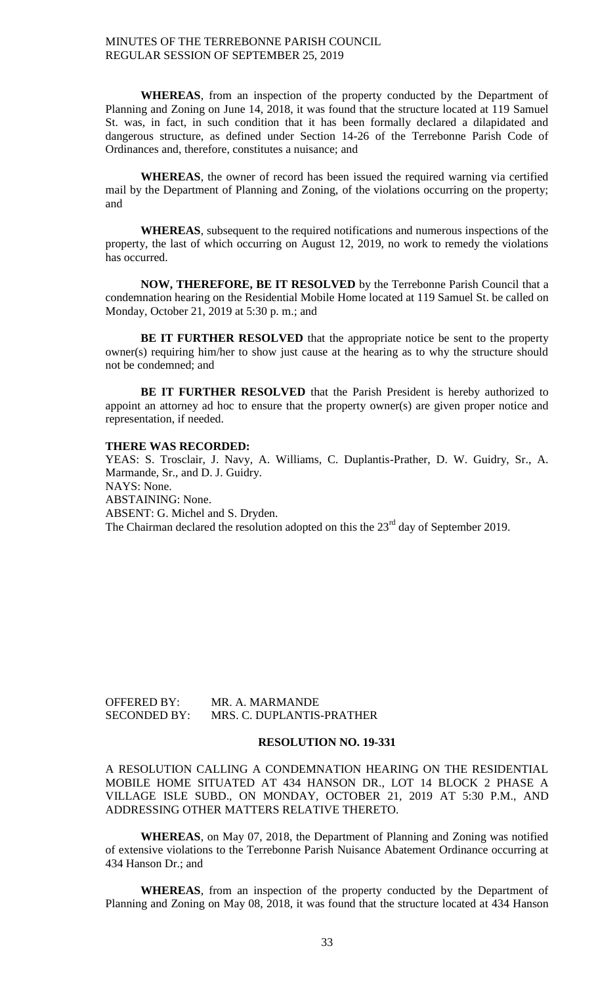**WHEREAS**, from an inspection of the property conducted by the Department of Planning and Zoning on June 14, 2018, it was found that the structure located at 119 Samuel St. was, in fact, in such condition that it has been formally declared a dilapidated and dangerous structure, as defined under Section 14-26 of the Terrebonne Parish Code of Ordinances and, therefore, constitutes a nuisance; and

**WHEREAS**, the owner of record has been issued the required warning via certified mail by the Department of Planning and Zoning, of the violations occurring on the property; and

**WHEREAS**, subsequent to the required notifications and numerous inspections of the property, the last of which occurring on August 12, 2019, no work to remedy the violations has occurred.

**NOW, THEREFORE, BE IT RESOLVED** by the Terrebonne Parish Council that a condemnation hearing on the Residential Mobile Home located at 119 Samuel St. be called on Monday, October 21, 2019 at 5:30 p. m.; and

**BE IT FURTHER RESOLVED** that the appropriate notice be sent to the property owner(s) requiring him/her to show just cause at the hearing as to why the structure should not be condemned; and

**BE IT FURTHER RESOLVED** that the Parish President is hereby authorized to appoint an attorney ad hoc to ensure that the property owner(s) are given proper notice and representation, if needed.

### **THERE WAS RECORDED:**

YEAS: S. Trosclair, J. Navy, A. Williams, C. Duplantis-Prather, D. W. Guidry, Sr., A. Marmande, Sr., and D. J. Guidry. NAYS: None. ABSTAINING: None. ABSENT: G. Michel and S. Dryden. The Chairman declared the resolution adopted on this the  $23<sup>rd</sup>$  day of September 2019.

OFFERED BY: MR. A. MARMANDE SECONDED BY: MRS. C. DUPLANTIS-PRATHER

#### **RESOLUTION NO. 19-331**

A RESOLUTION CALLING A CONDEMNATION HEARING ON THE RESIDENTIAL MOBILE HOME SITUATED AT 434 HANSON DR., LOT 14 BLOCK 2 PHASE A VILLAGE ISLE SUBD., ON MONDAY, OCTOBER 21, 2019 AT 5:30 P.M., AND ADDRESSING OTHER MATTERS RELATIVE THERETO.

**WHEREAS**, on May 07, 2018, the Department of Planning and Zoning was notified of extensive violations to the Terrebonne Parish Nuisance Abatement Ordinance occurring at 434 Hanson Dr.; and

**WHEREAS**, from an inspection of the property conducted by the Department of Planning and Zoning on May 08, 2018, it was found that the structure located at 434 Hanson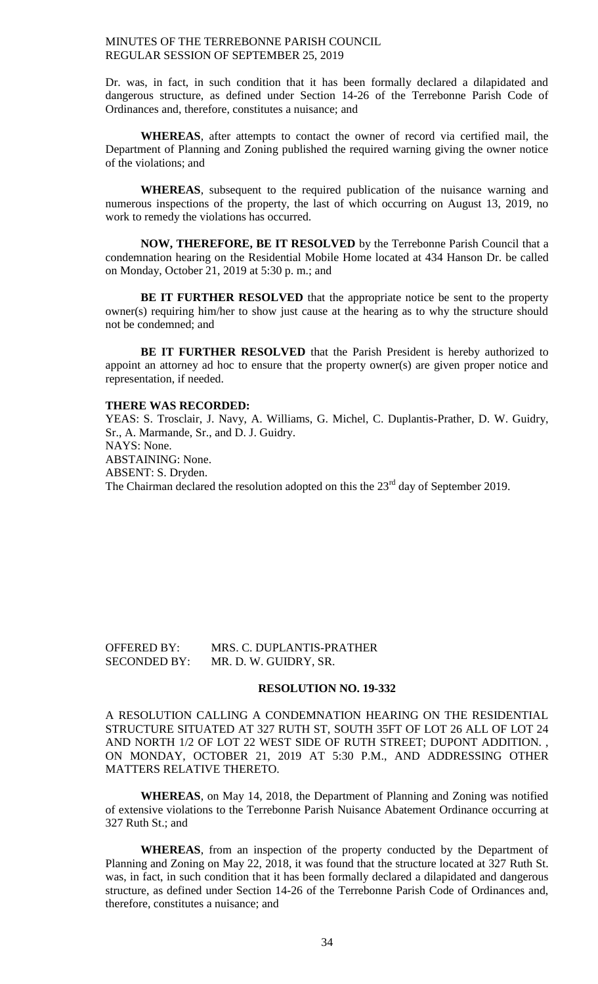Dr. was, in fact, in such condition that it has been formally declared a dilapidated and dangerous structure, as defined under Section 14-26 of the Terrebonne Parish Code of Ordinances and, therefore, constitutes a nuisance; and

**WHEREAS**, after attempts to contact the owner of record via certified mail, the Department of Planning and Zoning published the required warning giving the owner notice of the violations; and

**WHEREAS**, subsequent to the required publication of the nuisance warning and numerous inspections of the property, the last of which occurring on August 13, 2019, no work to remedy the violations has occurred.

**NOW, THEREFORE, BE IT RESOLVED** by the Terrebonne Parish Council that a condemnation hearing on the Residential Mobile Home located at 434 Hanson Dr. be called on Monday, October 21, 2019 at 5:30 p. m.; and

**BE IT FURTHER RESOLVED** that the appropriate notice be sent to the property owner(s) requiring him/her to show just cause at the hearing as to why the structure should not be condemned; and

**BE IT FURTHER RESOLVED** that the Parish President is hereby authorized to appoint an attorney ad hoc to ensure that the property owner(s) are given proper notice and representation, if needed.

#### **THERE WAS RECORDED:**

YEAS: S. Trosclair, J. Navy, A. Williams, G. Michel, C. Duplantis-Prather, D. W. Guidry, Sr., A. Marmande, Sr., and D. J. Guidry. NAYS: None. ABSTAINING: None. ABSENT: S. Dryden. The Chairman declared the resolution adopted on this the  $23<sup>rd</sup>$  day of September 2019.

OFFERED BY: MRS. C. DUPLANTIS-PRATHER SECONDED BY: MR. D. W. GUIDRY, SR.

# **RESOLUTION NO. 19-332**

A RESOLUTION CALLING A CONDEMNATION HEARING ON THE RESIDENTIAL STRUCTURE SITUATED AT 327 RUTH ST, SOUTH 35FT OF LOT 26 ALL OF LOT 24 AND NORTH 1/2 OF LOT 22 WEST SIDE OF RUTH STREET; DUPONT ADDITION. , ON MONDAY, OCTOBER 21, 2019 AT 5:30 P.M., AND ADDRESSING OTHER MATTERS RELATIVE THERETO.

**WHEREAS**, on May 14, 2018, the Department of Planning and Zoning was notified of extensive violations to the Terrebonne Parish Nuisance Abatement Ordinance occurring at 327 Ruth St.; and

**WHEREAS**, from an inspection of the property conducted by the Department of Planning and Zoning on May 22, 2018, it was found that the structure located at 327 Ruth St. was, in fact, in such condition that it has been formally declared a dilapidated and dangerous structure, as defined under Section 14-26 of the Terrebonne Parish Code of Ordinances and, therefore, constitutes a nuisance; and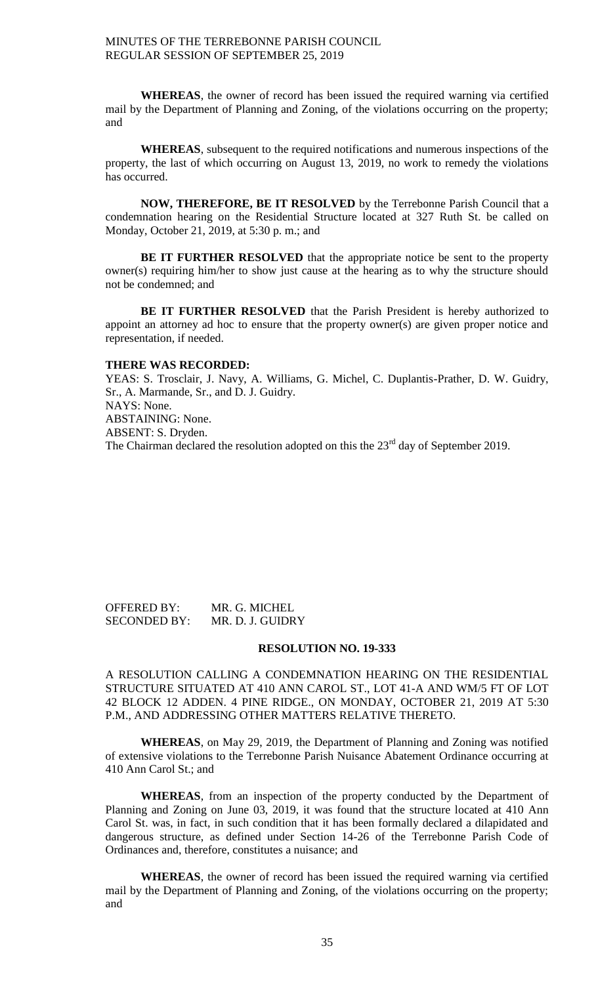**WHEREAS**, the owner of record has been issued the required warning via certified mail by the Department of Planning and Zoning, of the violations occurring on the property; and

**WHEREAS**, subsequent to the required notifications and numerous inspections of the property, the last of which occurring on August 13, 2019, no work to remedy the violations has occurred.

**NOW, THEREFORE, BE IT RESOLVED** by the Terrebonne Parish Council that a condemnation hearing on the Residential Structure located at 327 Ruth St. be called on Monday, October 21, 2019, at 5:30 p. m.; and

**BE IT FURTHER RESOLVED** that the appropriate notice be sent to the property owner(s) requiring him/her to show just cause at the hearing as to why the structure should not be condemned; and

**BE IT FURTHER RESOLVED** that the Parish President is hereby authorized to appoint an attorney ad hoc to ensure that the property owner(s) are given proper notice and representation, if needed.

### **THERE WAS RECORDED:**

YEAS: S. Trosclair, J. Navy, A. Williams, G. Michel, C. Duplantis-Prather, D. W. Guidry, Sr., A. Marmande, Sr., and D. J. Guidry. NAYS: None. ABSTAINING: None. ABSENT: S. Dryden. The Chairman declared the resolution adopted on this the 23<sup>rd</sup> day of September 2019.

OFFERED BY: MR. G. MICHEL SECONDED BY: MR. D. J. GUIDRY

### **RESOLUTION NO. 19-333**

A RESOLUTION CALLING A CONDEMNATION HEARING ON THE RESIDENTIAL STRUCTURE SITUATED AT 410 ANN CAROL ST., LOT 41-A AND WM/5 FT OF LOT 42 BLOCK 12 ADDEN. 4 PINE RIDGE., ON MONDAY, OCTOBER 21, 2019 AT 5:30 P.M., AND ADDRESSING OTHER MATTERS RELATIVE THERETO.

**WHEREAS**, on May 29, 2019, the Department of Planning and Zoning was notified of extensive violations to the Terrebonne Parish Nuisance Abatement Ordinance occurring at 410 Ann Carol St.; and

**WHEREAS**, from an inspection of the property conducted by the Department of Planning and Zoning on June 03, 2019, it was found that the structure located at 410 Ann Carol St. was, in fact, in such condition that it has been formally declared a dilapidated and dangerous structure, as defined under Section 14-26 of the Terrebonne Parish Code of Ordinances and, therefore, constitutes a nuisance; and

**WHEREAS**, the owner of record has been issued the required warning via certified mail by the Department of Planning and Zoning, of the violations occurring on the property; and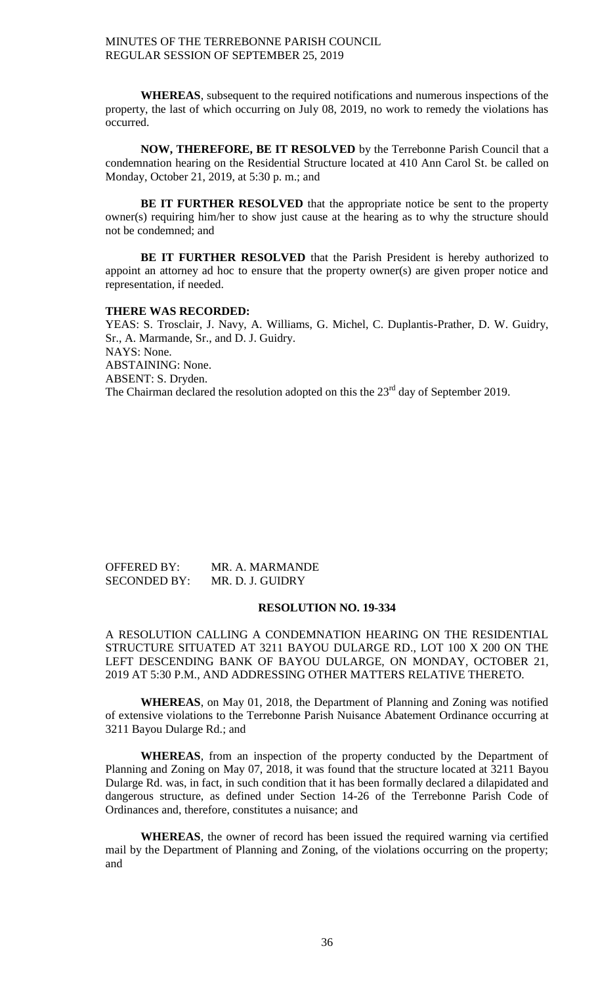**WHEREAS**, subsequent to the required notifications and numerous inspections of the property, the last of which occurring on July 08, 2019, no work to remedy the violations has occurred.

**NOW, THEREFORE, BE IT RESOLVED** by the Terrebonne Parish Council that a condemnation hearing on the Residential Structure located at 410 Ann Carol St. be called on Monday, October 21, 2019, at 5:30 p. m.; and

**BE IT FURTHER RESOLVED** that the appropriate notice be sent to the property owner(s) requiring him/her to show just cause at the hearing as to why the structure should not be condemned; and

**BE IT FURTHER RESOLVED** that the Parish President is hereby authorized to appoint an attorney ad hoc to ensure that the property owner(s) are given proper notice and representation, if needed.

#### **THERE WAS RECORDED:**

YEAS: S. Trosclair, J. Navy, A. Williams, G. Michel, C. Duplantis-Prather, D. W. Guidry, Sr., A. Marmande, Sr., and D. J. Guidry. NAYS: None. ABSTAINING: None. ABSENT: S. Dryden. The Chairman declared the resolution adopted on this the  $23<sup>rd</sup>$  day of September 2019.

## OFFERED BY: MR. A. MARMANDE SECONDED BY: MR. D. J. GUIDRY

#### **RESOLUTION NO. 19-334**

A RESOLUTION CALLING A CONDEMNATION HEARING ON THE RESIDENTIAL STRUCTURE SITUATED AT 3211 BAYOU DULARGE RD., LOT 100 X 200 ON THE LEFT DESCENDING BANK OF BAYOU DULARGE, ON MONDAY, OCTOBER 21, 2019 AT 5:30 P.M., AND ADDRESSING OTHER MATTERS RELATIVE THERETO.

**WHEREAS**, on May 01, 2018, the Department of Planning and Zoning was notified of extensive violations to the Terrebonne Parish Nuisance Abatement Ordinance occurring at 3211 Bayou Dularge Rd.; and

**WHEREAS**, from an inspection of the property conducted by the Department of Planning and Zoning on May 07, 2018, it was found that the structure located at 3211 Bayou Dularge Rd. was, in fact, in such condition that it has been formally declared a dilapidated and dangerous structure, as defined under Section 14-26 of the Terrebonne Parish Code of Ordinances and, therefore, constitutes a nuisance; and

**WHEREAS**, the owner of record has been issued the required warning via certified mail by the Department of Planning and Zoning, of the violations occurring on the property; and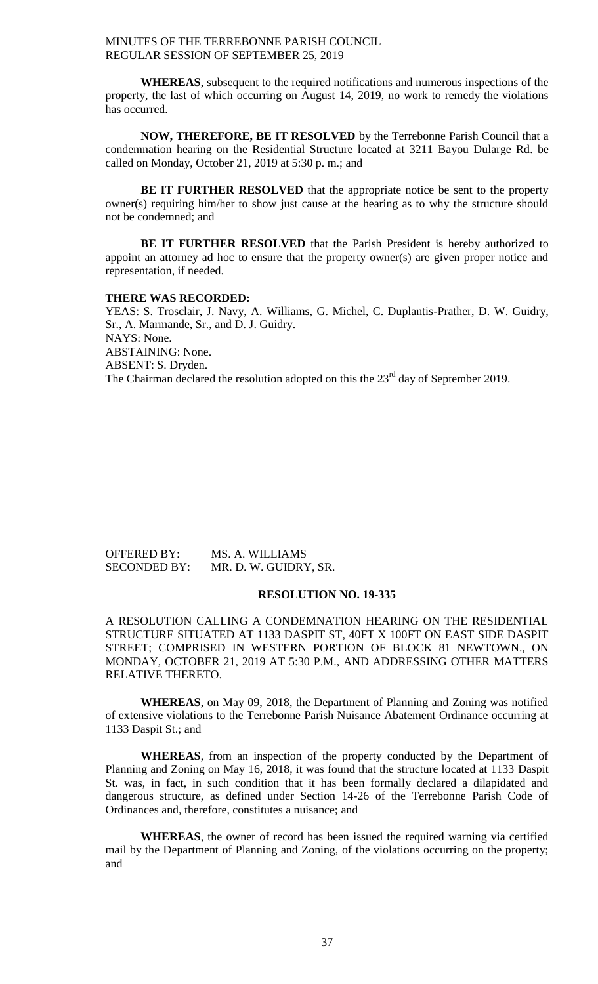**WHEREAS**, subsequent to the required notifications and numerous inspections of the property, the last of which occurring on August 14, 2019, no work to remedy the violations has occurred.

**NOW, THEREFORE, BE IT RESOLVED** by the Terrebonne Parish Council that a condemnation hearing on the Residential Structure located at 3211 Bayou Dularge Rd. be called on Monday, October 21, 2019 at 5:30 p. m.; and

**BE IT FURTHER RESOLVED** that the appropriate notice be sent to the property owner(s) requiring him/her to show just cause at the hearing as to why the structure should not be condemned; and

**BE IT FURTHER RESOLVED** that the Parish President is hereby authorized to appoint an attorney ad hoc to ensure that the property owner(s) are given proper notice and representation, if needed.

#### **THERE WAS RECORDED:**

YEAS: S. Trosclair, J. Navy, A. Williams, G. Michel, C. Duplantis-Prather, D. W. Guidry, Sr., A. Marmande, Sr., and D. J. Guidry. NAYS: None. ABSTAINING: None. ABSENT: S. Dryden. The Chairman declared the resolution adopted on this the  $23<sup>rd</sup>$  day of September 2019.

| <b>OFFERED BY:</b>  | MS. A. WILLIAMS       |
|---------------------|-----------------------|
| <b>SECONDED BY:</b> | MR. D. W. GUIDRY, SR. |

## **RESOLUTION NO. 19-335**

A RESOLUTION CALLING A CONDEMNATION HEARING ON THE RESIDENTIAL STRUCTURE SITUATED AT 1133 DASPIT ST, 40FT X 100FT ON EAST SIDE DASPIT STREET; COMPRISED IN WESTERN PORTION OF BLOCK 81 NEWTOWN., ON MONDAY, OCTOBER 21, 2019 AT 5:30 P.M., AND ADDRESSING OTHER MATTERS RELATIVE THERETO.

**WHEREAS**, on May 09, 2018, the Department of Planning and Zoning was notified of extensive violations to the Terrebonne Parish Nuisance Abatement Ordinance occurring at 1133 Daspit St.; and

**WHEREAS**, from an inspection of the property conducted by the Department of Planning and Zoning on May 16, 2018, it was found that the structure located at 1133 Daspit St. was, in fact, in such condition that it has been formally declared a dilapidated and dangerous structure, as defined under Section 14-26 of the Terrebonne Parish Code of Ordinances and, therefore, constitutes a nuisance; and

**WHEREAS**, the owner of record has been issued the required warning via certified mail by the Department of Planning and Zoning, of the violations occurring on the property; and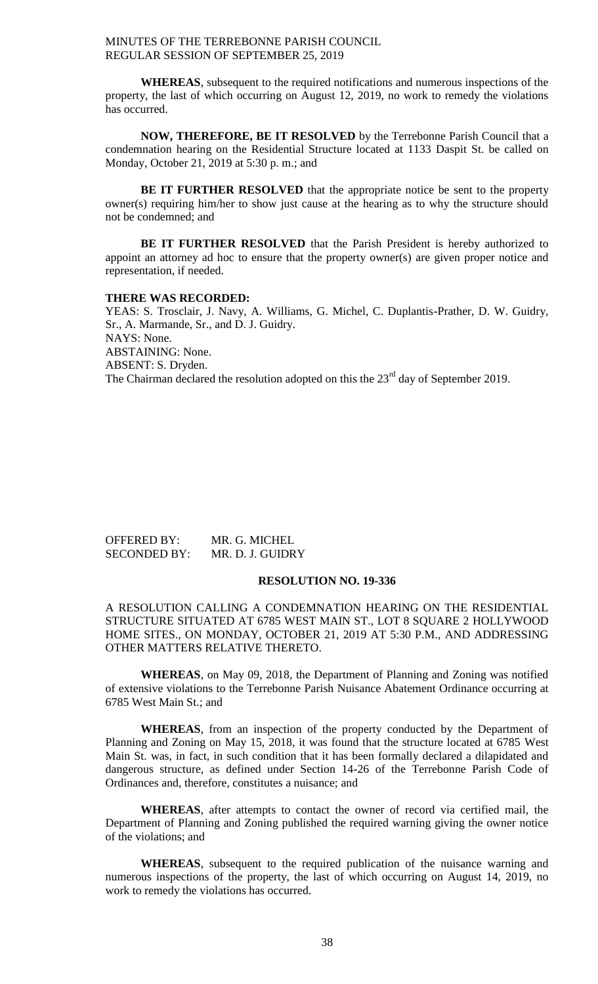**WHEREAS**, subsequent to the required notifications and numerous inspections of the property, the last of which occurring on August 12, 2019, no work to remedy the violations has occurred.

**NOW, THEREFORE, BE IT RESOLVED** by the Terrebonne Parish Council that a condemnation hearing on the Residential Structure located at 1133 Daspit St. be called on Monday, October 21, 2019 at 5:30 p. m.; and

**BE IT FURTHER RESOLVED** that the appropriate notice be sent to the property owner(s) requiring him/her to show just cause at the hearing as to why the structure should not be condemned; and

**BE IT FURTHER RESOLVED** that the Parish President is hereby authorized to appoint an attorney ad hoc to ensure that the property owner(s) are given proper notice and representation, if needed.

#### **THERE WAS RECORDED:**

YEAS: S. Trosclair, J. Navy, A. Williams, G. Michel, C. Duplantis-Prather, D. W. Guidry, Sr., A. Marmande, Sr., and D. J. Guidry. NAYS: None. ABSTAINING: None. ABSENT: S. Dryden. The Chairman declared the resolution adopted on this the  $23<sup>rd</sup>$  day of September 2019.

| <b>OFFERED BY:</b>  | MR. G. MICHEL    |
|---------------------|------------------|
| <b>SECONDED BY:</b> | MR. D. J. GUIDRY |

## **RESOLUTION NO. 19-336**

A RESOLUTION CALLING A CONDEMNATION HEARING ON THE RESIDENTIAL STRUCTURE SITUATED AT 6785 WEST MAIN ST., LOT 8 SQUARE 2 HOLLYWOOD HOME SITES., ON MONDAY, OCTOBER 21, 2019 AT 5:30 P.M., AND ADDRESSING OTHER MATTERS RELATIVE THERETO.

**WHEREAS**, on May 09, 2018, the Department of Planning and Zoning was notified of extensive violations to the Terrebonne Parish Nuisance Abatement Ordinance occurring at 6785 West Main St.; and

**WHEREAS**, from an inspection of the property conducted by the Department of Planning and Zoning on May 15, 2018, it was found that the structure located at 6785 West Main St. was, in fact, in such condition that it has been formally declared a dilapidated and dangerous structure, as defined under Section 14-26 of the Terrebonne Parish Code of Ordinances and, therefore, constitutes a nuisance; and

**WHEREAS**, after attempts to contact the owner of record via certified mail, the Department of Planning and Zoning published the required warning giving the owner notice of the violations; and

**WHEREAS**, subsequent to the required publication of the nuisance warning and numerous inspections of the property, the last of which occurring on August 14, 2019, no work to remedy the violations has occurred.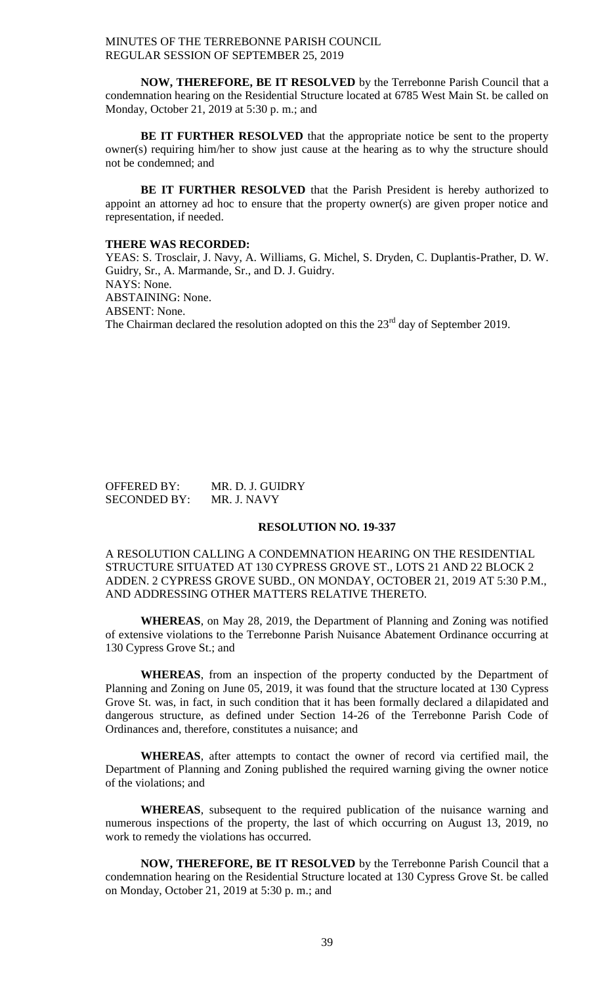**NOW, THEREFORE, BE IT RESOLVED** by the Terrebonne Parish Council that a condemnation hearing on the Residential Structure located at 6785 West Main St. be called on Monday, October 21, 2019 at 5:30 p. m.; and

**BE IT FURTHER RESOLVED** that the appropriate notice be sent to the property owner(s) requiring him/her to show just cause at the hearing as to why the structure should not be condemned; and

**BE IT FURTHER RESOLVED** that the Parish President is hereby authorized to appoint an attorney ad hoc to ensure that the property owner(s) are given proper notice and representation, if needed.

## **THERE WAS RECORDED:**

YEAS: S. Trosclair, J. Navy, A. Williams, G. Michel, S. Dryden, C. Duplantis-Prather, D. W. Guidry, Sr., A. Marmande, Sr., and D. J. Guidry. NAYS: None. ABSTAINING: None. ABSENT: None. The Chairman declared the resolution adopted on this the  $23<sup>rd</sup>$  day of September 2019.

OFFERED BY: MR. D. J. GUIDRY SECONDED BY: MR. J. NAVY

## **RESOLUTION NO. 19-337**

A RESOLUTION CALLING A CONDEMNATION HEARING ON THE RESIDENTIAL STRUCTURE SITUATED AT 130 CYPRESS GROVE ST., LOTS 21 AND 22 BLOCK 2 ADDEN. 2 CYPRESS GROVE SUBD., ON MONDAY, OCTOBER 21, 2019 AT 5:30 P.M., AND ADDRESSING OTHER MATTERS RELATIVE THERETO.

**WHEREAS**, on May 28, 2019, the Department of Planning and Zoning was notified of extensive violations to the Terrebonne Parish Nuisance Abatement Ordinance occurring at 130 Cypress Grove St.; and

**WHEREAS**, from an inspection of the property conducted by the Department of Planning and Zoning on June 05, 2019, it was found that the structure located at 130 Cypress Grove St. was, in fact, in such condition that it has been formally declared a dilapidated and dangerous structure, as defined under Section 14-26 of the Terrebonne Parish Code of Ordinances and, therefore, constitutes a nuisance; and

**WHEREAS**, after attempts to contact the owner of record via certified mail, the Department of Planning and Zoning published the required warning giving the owner notice of the violations; and

**WHEREAS**, subsequent to the required publication of the nuisance warning and numerous inspections of the property, the last of which occurring on August 13, 2019, no work to remedy the violations has occurred.

**NOW, THEREFORE, BE IT RESOLVED** by the Terrebonne Parish Council that a condemnation hearing on the Residential Structure located at 130 Cypress Grove St. be called on Monday, October 21, 2019 at 5:30 p. m.; and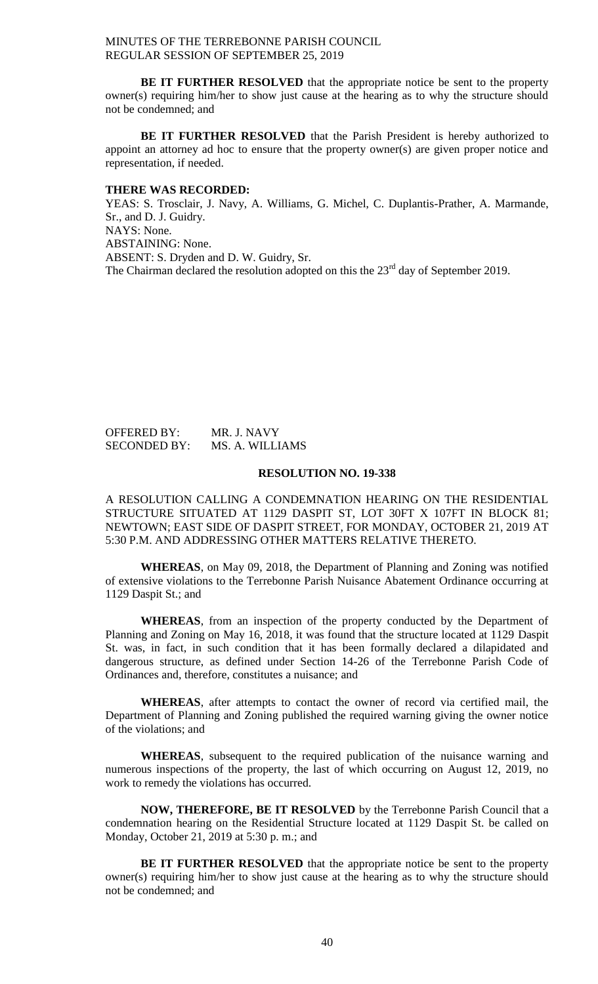**BE IT FURTHER RESOLVED** that the appropriate notice be sent to the property owner(s) requiring him/her to show just cause at the hearing as to why the structure should not be condemned; and

**BE IT FURTHER RESOLVED** that the Parish President is hereby authorized to appoint an attorney ad hoc to ensure that the property owner(s) are given proper notice and representation, if needed.

### **THERE WAS RECORDED:**

YEAS: S. Trosclair, J. Navy, A. Williams, G. Michel, C. Duplantis-Prather, A. Marmande, Sr., and D. J. Guidry. NAYS: None. ABSTAINING: None. ABSENT: S. Dryden and D. W. Guidry, Sr. The Chairman declared the resolution adopted on this the 23<sup>rd</sup> day of September 2019.

# OFFERED BY: MR. J. NAVY SECONDED BY: MS. A. WILLIAMS

## **RESOLUTION NO. 19-338**

A RESOLUTION CALLING A CONDEMNATION HEARING ON THE RESIDENTIAL STRUCTURE SITUATED AT 1129 DASPIT ST, LOT 30FT X 107FT IN BLOCK 81; NEWTOWN; EAST SIDE OF DASPIT STREET, FOR MONDAY, OCTOBER 21, 2019 AT 5:30 P.M. AND ADDRESSING OTHER MATTERS RELATIVE THERETO.

**WHEREAS**, on May 09, 2018, the Department of Planning and Zoning was notified of extensive violations to the Terrebonne Parish Nuisance Abatement Ordinance occurring at 1129 Daspit St.; and

**WHEREAS**, from an inspection of the property conducted by the Department of Planning and Zoning on May 16, 2018, it was found that the structure located at 1129 Daspit St. was, in fact, in such condition that it has been formally declared a dilapidated and dangerous structure, as defined under Section 14-26 of the Terrebonne Parish Code of Ordinances and, therefore, constitutes a nuisance; and

**WHEREAS**, after attempts to contact the owner of record via certified mail, the Department of Planning and Zoning published the required warning giving the owner notice of the violations; and

**WHEREAS**, subsequent to the required publication of the nuisance warning and numerous inspections of the property, the last of which occurring on August 12, 2019, no work to remedy the violations has occurred.

**NOW, THEREFORE, BE IT RESOLVED** by the Terrebonne Parish Council that a condemnation hearing on the Residential Structure located at 1129 Daspit St. be called on Monday, October 21, 2019 at 5:30 p. m.; and

**BE IT FURTHER RESOLVED** that the appropriate notice be sent to the property owner(s) requiring him/her to show just cause at the hearing as to why the structure should not be condemned; and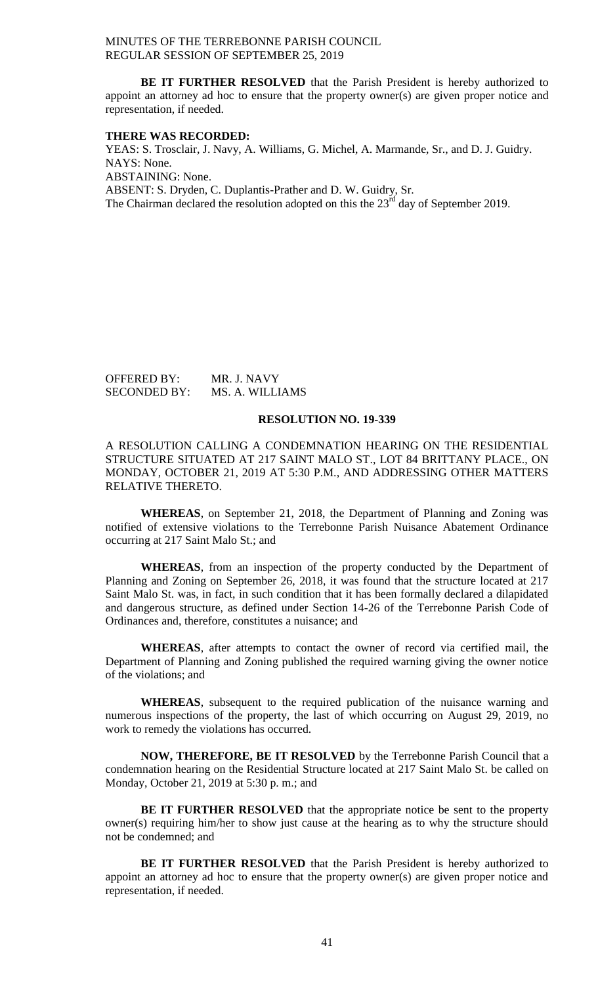**BE IT FURTHER RESOLVED** that the Parish President is hereby authorized to appoint an attorney ad hoc to ensure that the property owner(s) are given proper notice and representation, if needed.

#### **THERE WAS RECORDED:**

YEAS: S. Trosclair, J. Navy, A. Williams, G. Michel, A. Marmande, Sr., and D. J. Guidry. NAYS: None. ABSTAINING: None. ABSENT: S. Dryden, C. Duplantis-Prather and D. W. Guidry, Sr. The Chairman declared the resolution adopted on this the  $23<sup>rd</sup>$  day of September 2019.

| <b>OFFERED BY:</b>  | MR. J. NAVY     |
|---------------------|-----------------|
| <b>SECONDED BY:</b> | MS. A. WILLIAMS |

#### **RESOLUTION NO. 19-339**

A RESOLUTION CALLING A CONDEMNATION HEARING ON THE RESIDENTIAL STRUCTURE SITUATED AT 217 SAINT MALO ST., LOT 84 BRITTANY PLACE., ON MONDAY, OCTOBER 21, 2019 AT 5:30 P.M., AND ADDRESSING OTHER MATTERS RELATIVE THERETO.

**WHEREAS**, on September 21, 2018, the Department of Planning and Zoning was notified of extensive violations to the Terrebonne Parish Nuisance Abatement Ordinance occurring at 217 Saint Malo St.; and

**WHEREAS**, from an inspection of the property conducted by the Department of Planning and Zoning on September 26, 2018, it was found that the structure located at 217 Saint Malo St. was, in fact, in such condition that it has been formally declared a dilapidated and dangerous structure, as defined under Section 14-26 of the Terrebonne Parish Code of Ordinances and, therefore, constitutes a nuisance; and

**WHEREAS**, after attempts to contact the owner of record via certified mail, the Department of Planning and Zoning published the required warning giving the owner notice of the violations; and

**WHEREAS**, subsequent to the required publication of the nuisance warning and numerous inspections of the property, the last of which occurring on August 29, 2019, no work to remedy the violations has occurred.

**NOW, THEREFORE, BE IT RESOLVED** by the Terrebonne Parish Council that a condemnation hearing on the Residential Structure located at 217 Saint Malo St. be called on Monday, October 21, 2019 at 5:30 p. m.; and

**BE IT FURTHER RESOLVED** that the appropriate notice be sent to the property owner(s) requiring him/her to show just cause at the hearing as to why the structure should not be condemned; and

**BE IT FURTHER RESOLVED** that the Parish President is hereby authorized to appoint an attorney ad hoc to ensure that the property owner(s) are given proper notice and representation, if needed.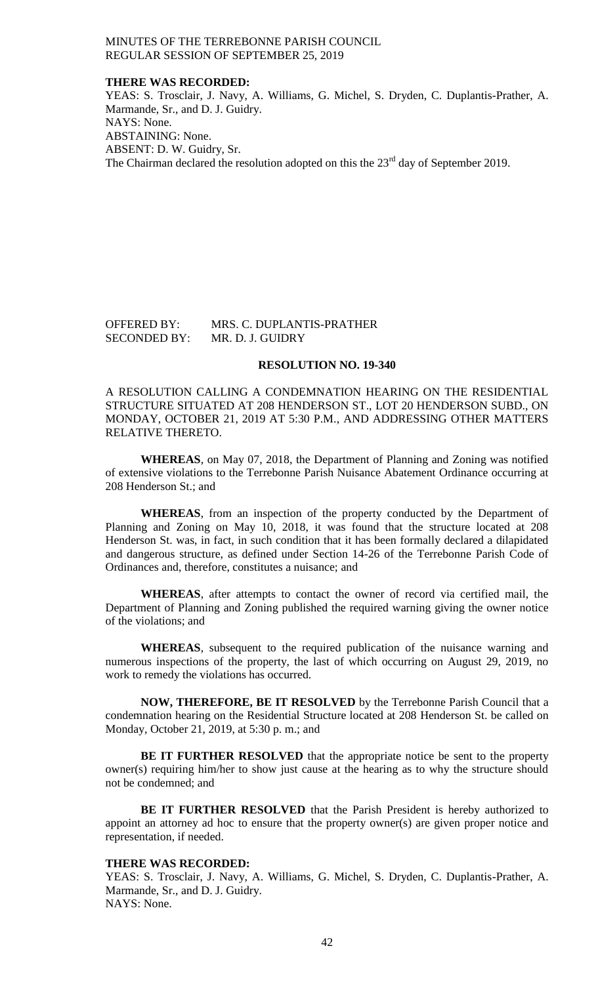### **THERE WAS RECORDED:**

YEAS: S. Trosclair, J. Navy, A. Williams, G. Michel, S. Dryden, C. Duplantis-Prather, A. Marmande, Sr., and D. J. Guidry. NAYS: None. ABSTAINING: None. ABSENT: D. W. Guidry, Sr. The Chairman declared the resolution adopted on this the  $23<sup>rd</sup>$  day of September 2019.

## OFFERED BY: MRS. C. DUPLANTIS-PRATHER SECONDED BY: MR. D. J. GUIDRY

#### **RESOLUTION NO. 19-340**

A RESOLUTION CALLING A CONDEMNATION HEARING ON THE RESIDENTIAL STRUCTURE SITUATED AT 208 HENDERSON ST., LOT 20 HENDERSON SUBD., ON MONDAY, OCTOBER 21, 2019 AT 5:30 P.M., AND ADDRESSING OTHER MATTERS RELATIVE THERETO.

**WHEREAS**, on May 07, 2018, the Department of Planning and Zoning was notified of extensive violations to the Terrebonne Parish Nuisance Abatement Ordinance occurring at 208 Henderson St.; and

**WHEREAS**, from an inspection of the property conducted by the Department of Planning and Zoning on May 10, 2018, it was found that the structure located at 208 Henderson St. was, in fact, in such condition that it has been formally declared a dilapidated and dangerous structure, as defined under Section 14-26 of the Terrebonne Parish Code of Ordinances and, therefore, constitutes a nuisance; and

**WHEREAS**, after attempts to contact the owner of record via certified mail, the Department of Planning and Zoning published the required warning giving the owner notice of the violations; and

**WHEREAS**, subsequent to the required publication of the nuisance warning and numerous inspections of the property, the last of which occurring on August 29, 2019, no work to remedy the violations has occurred.

**NOW, THEREFORE, BE IT RESOLVED** by the Terrebonne Parish Council that a condemnation hearing on the Residential Structure located at 208 Henderson St. be called on Monday, October 21, 2019, at 5:30 p. m.; and

**BE IT FURTHER RESOLVED** that the appropriate notice be sent to the property owner(s) requiring him/her to show just cause at the hearing as to why the structure should not be condemned; and

**BE IT FURTHER RESOLVED** that the Parish President is hereby authorized to appoint an attorney ad hoc to ensure that the property owner(s) are given proper notice and representation, if needed.

#### **THERE WAS RECORDED:**

YEAS: S. Trosclair, J. Navy, A. Williams, G. Michel, S. Dryden, C. Duplantis-Prather, A. Marmande, Sr., and D. J. Guidry. NAYS: None.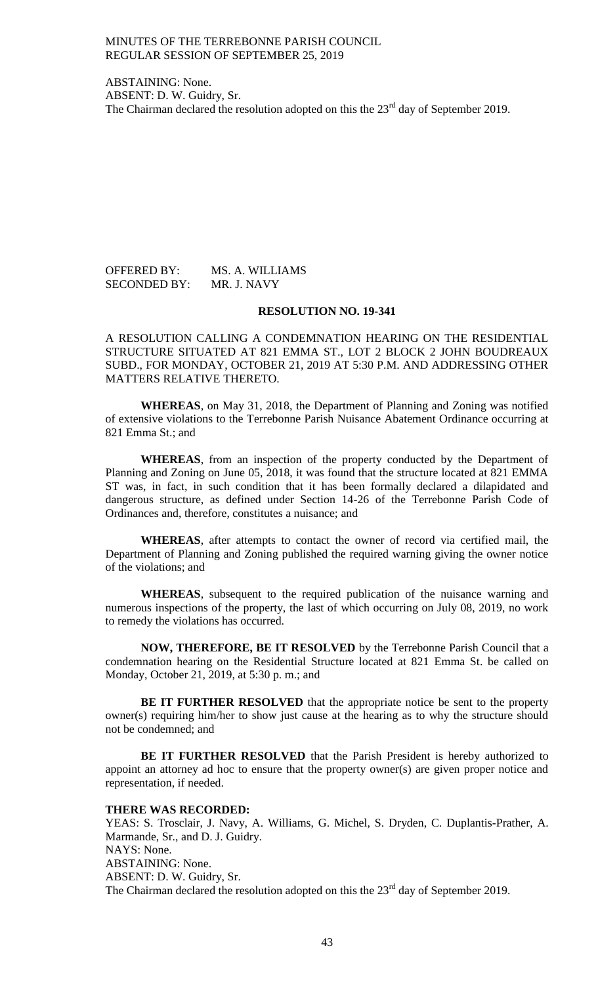ABSTAINING: None. ABSENT: D. W. Guidry, Sr. The Chairman declared the resolution adopted on this the  $23<sup>rd</sup>$  day of September 2019.

OFFERED BY: MS. A. WILLIAMS SECONDED BY: MR. J. NAVY

## **RESOLUTION NO. 19-341**

A RESOLUTION CALLING A CONDEMNATION HEARING ON THE RESIDENTIAL STRUCTURE SITUATED AT 821 EMMA ST., LOT 2 BLOCK 2 JOHN BOUDREAUX SUBD., FOR MONDAY, OCTOBER 21, 2019 AT 5:30 P.M. AND ADDRESSING OTHER MATTERS RELATIVE THERETO.

**WHEREAS**, on May 31, 2018, the Department of Planning and Zoning was notified of extensive violations to the Terrebonne Parish Nuisance Abatement Ordinance occurring at 821 Emma St.; and

**WHEREAS**, from an inspection of the property conducted by the Department of Planning and Zoning on June 05, 2018, it was found that the structure located at 821 EMMA ST was, in fact, in such condition that it has been formally declared a dilapidated and dangerous structure, as defined under Section 14-26 of the Terrebonne Parish Code of Ordinances and, therefore, constitutes a nuisance; and

**WHEREAS**, after attempts to contact the owner of record via certified mail, the Department of Planning and Zoning published the required warning giving the owner notice of the violations; and

**WHEREAS**, subsequent to the required publication of the nuisance warning and numerous inspections of the property, the last of which occurring on July 08, 2019, no work to remedy the violations has occurred.

**NOW, THEREFORE, BE IT RESOLVED** by the Terrebonne Parish Council that a condemnation hearing on the Residential Structure located at 821 Emma St. be called on Monday, October 21, 2019, at 5:30 p. m.; and

**BE IT FURTHER RESOLVED** that the appropriate notice be sent to the property owner(s) requiring him/her to show just cause at the hearing as to why the structure should not be condemned; and

**BE IT FURTHER RESOLVED** that the Parish President is hereby authorized to appoint an attorney ad hoc to ensure that the property owner(s) are given proper notice and representation, if needed.

## **THERE WAS RECORDED:**

YEAS: S. Trosclair, J. Navy, A. Williams, G. Michel, S. Dryden, C. Duplantis-Prather, A. Marmande, Sr., and D. J. Guidry. NAYS: None. ABSTAINING: None. ABSENT: D. W. Guidry, Sr. The Chairman declared the resolution adopted on this the  $23<sup>rd</sup>$  day of September 2019.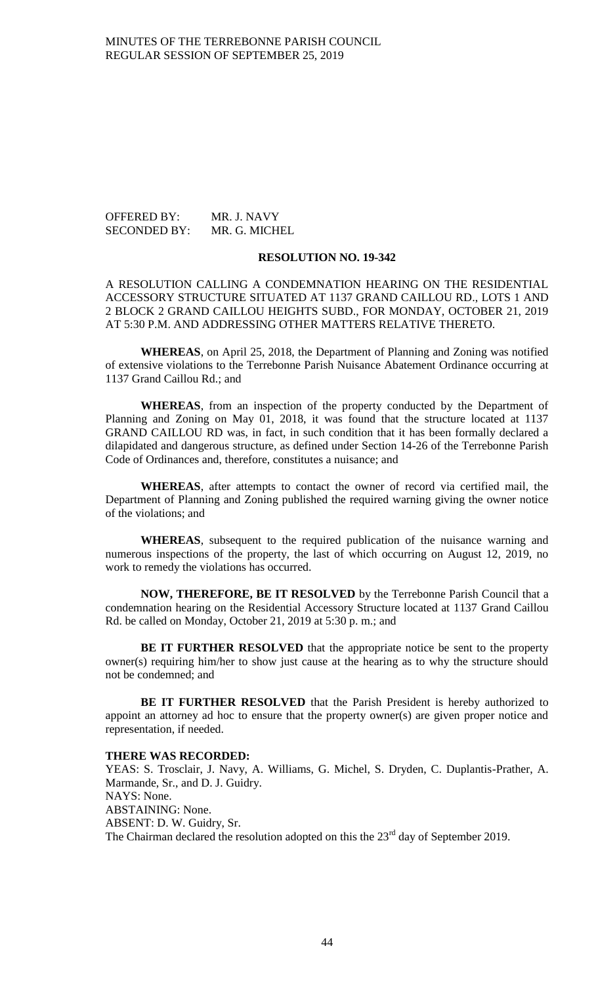OFFERED BY: MR. J. NAVY SECONDED BY: MR. G. MICHEL

## **RESOLUTION NO. 19-342**

A RESOLUTION CALLING A CONDEMNATION HEARING ON THE RESIDENTIAL ACCESSORY STRUCTURE SITUATED AT 1137 GRAND CAILLOU RD., LOTS 1 AND 2 BLOCK 2 GRAND CAILLOU HEIGHTS SUBD., FOR MONDAY, OCTOBER 21, 2019 AT 5:30 P.M. AND ADDRESSING OTHER MATTERS RELATIVE THERETO.

**WHEREAS**, on April 25, 2018, the Department of Planning and Zoning was notified of extensive violations to the Terrebonne Parish Nuisance Abatement Ordinance occurring at 1137 Grand Caillou Rd.; and

**WHEREAS**, from an inspection of the property conducted by the Department of Planning and Zoning on May 01, 2018, it was found that the structure located at 1137 GRAND CAILLOU RD was, in fact, in such condition that it has been formally declared a dilapidated and dangerous structure, as defined under Section 14-26 of the Terrebonne Parish Code of Ordinances and, therefore, constitutes a nuisance; and

**WHEREAS**, after attempts to contact the owner of record via certified mail, the Department of Planning and Zoning published the required warning giving the owner notice of the violations; and

**WHEREAS**, subsequent to the required publication of the nuisance warning and numerous inspections of the property, the last of which occurring on August 12, 2019, no work to remedy the violations has occurred.

**NOW, THEREFORE, BE IT RESOLVED** by the Terrebonne Parish Council that a condemnation hearing on the Residential Accessory Structure located at 1137 Grand Caillou Rd. be called on Monday, October 21, 2019 at 5:30 p. m.; and

**BE IT FURTHER RESOLVED** that the appropriate notice be sent to the property owner(s) requiring him/her to show just cause at the hearing as to why the structure should not be condemned; and

**BE IT FURTHER RESOLVED** that the Parish President is hereby authorized to appoint an attorney ad hoc to ensure that the property owner(s) are given proper notice and representation, if needed.

#### **THERE WAS RECORDED:**

YEAS: S. Trosclair, J. Navy, A. Williams, G. Michel, S. Dryden, C. Duplantis-Prather, A. Marmande, Sr., and D. J. Guidry. NAYS: None. ABSTAINING: None. ABSENT: D. W. Guidry, Sr. The Chairman declared the resolution adopted on this the  $23<sup>rd</sup>$  day of September 2019.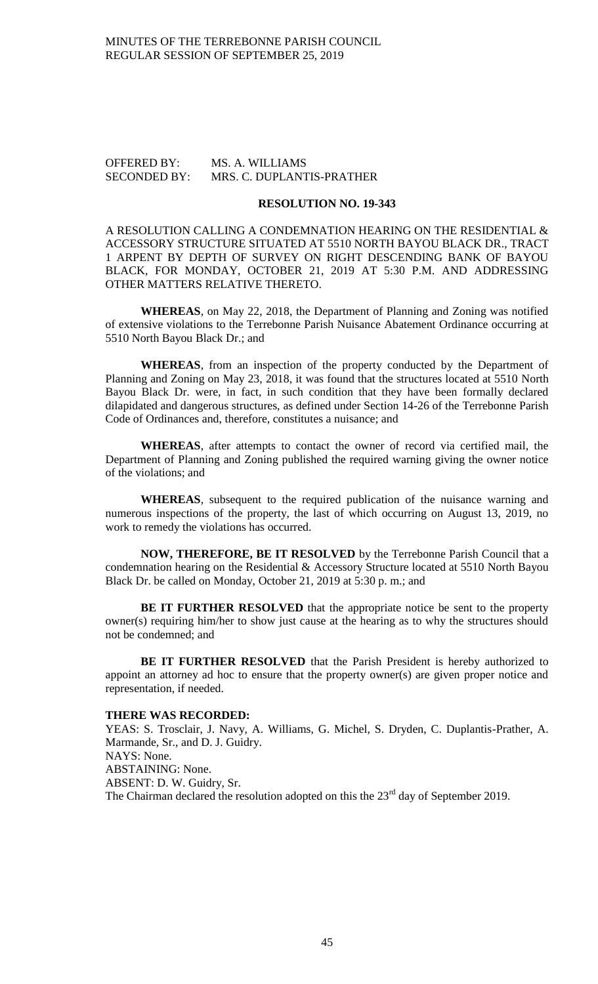## OFFERED BY: MS. A. WILLIAMS SECONDED BY: MRS. C. DUPLANTIS-PRATHER

#### **RESOLUTION NO. 19-343**

A RESOLUTION CALLING A CONDEMNATION HEARING ON THE RESIDENTIAL & ACCESSORY STRUCTURE SITUATED AT 5510 NORTH BAYOU BLACK DR., TRACT 1 ARPENT BY DEPTH OF SURVEY ON RIGHT DESCENDING BANK OF BAYOU BLACK, FOR MONDAY, OCTOBER 21, 2019 AT 5:30 P.M. AND ADDRESSING OTHER MATTERS RELATIVE THERETO.

**WHEREAS**, on May 22, 2018, the Department of Planning and Zoning was notified of extensive violations to the Terrebonne Parish Nuisance Abatement Ordinance occurring at 5510 North Bayou Black Dr.; and

**WHEREAS**, from an inspection of the property conducted by the Department of Planning and Zoning on May 23, 2018, it was found that the structures located at 5510 North Bayou Black Dr. were, in fact, in such condition that they have been formally declared dilapidated and dangerous structures, as defined under Section 14-26 of the Terrebonne Parish Code of Ordinances and, therefore, constitutes a nuisance; and

**WHEREAS**, after attempts to contact the owner of record via certified mail, the Department of Planning and Zoning published the required warning giving the owner notice of the violations; and

**WHEREAS**, subsequent to the required publication of the nuisance warning and numerous inspections of the property, the last of which occurring on August 13, 2019, no work to remedy the violations has occurred.

**NOW, THEREFORE, BE IT RESOLVED** by the Terrebonne Parish Council that a condemnation hearing on the Residential & Accessory Structure located at 5510 North Bayou Black Dr. be called on Monday, October 21, 2019 at 5:30 p. m.; and

**BE IT FURTHER RESOLVED** that the appropriate notice be sent to the property owner(s) requiring him/her to show just cause at the hearing as to why the structures should not be condemned; and

**BE IT FURTHER RESOLVED** that the Parish President is hereby authorized to appoint an attorney ad hoc to ensure that the property owner(s) are given proper notice and representation, if needed.

### **THERE WAS RECORDED:**

YEAS: S. Trosclair, J. Navy, A. Williams, G. Michel, S. Dryden, C. Duplantis-Prather, A. Marmande, Sr., and D. J. Guidry. NAYS: None. ABSTAINING: None. ABSENT: D. W. Guidry, Sr. The Chairman declared the resolution adopted on this the  $23<sup>rd</sup>$  day of September 2019.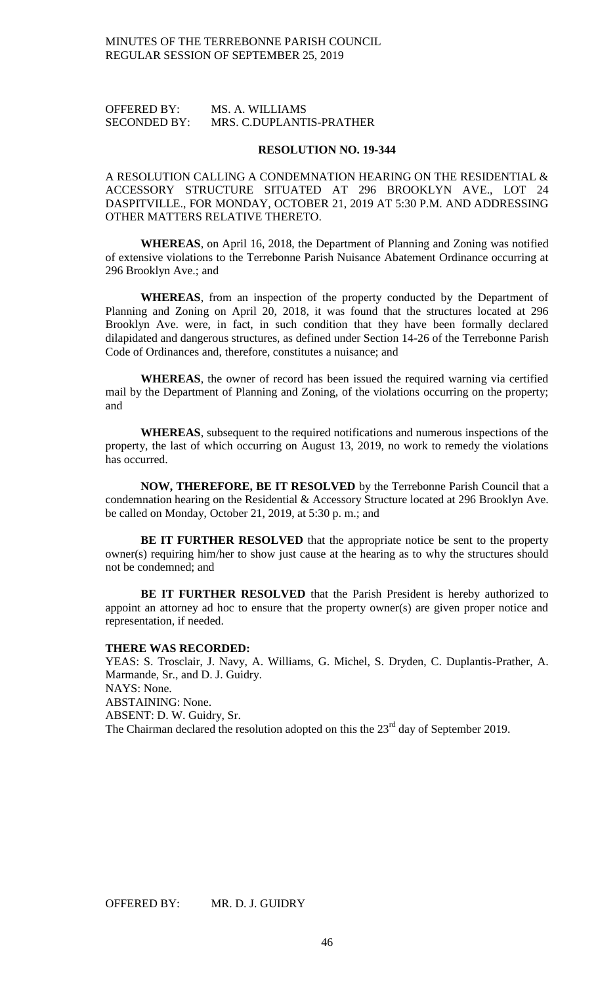# OFFERED BY: MS. A. WILLIAMS SECONDED BY: MRS. C.DUPLANTIS-PRATHER

#### **RESOLUTION NO. 19-344**

A RESOLUTION CALLING A CONDEMNATION HEARING ON THE RESIDENTIAL & ACCESSORY STRUCTURE SITUATED AT 296 BROOKLYN AVE., LOT 24 DASPITVILLE., FOR MONDAY, OCTOBER 21, 2019 AT 5:30 P.M. AND ADDRESSING OTHER MATTERS RELATIVE THERETO.

**WHEREAS**, on April 16, 2018, the Department of Planning and Zoning was notified of extensive violations to the Terrebonne Parish Nuisance Abatement Ordinance occurring at 296 Brooklyn Ave.; and

**WHEREAS**, from an inspection of the property conducted by the Department of Planning and Zoning on April 20, 2018, it was found that the structures located at 296 Brooklyn Ave. were, in fact, in such condition that they have been formally declared dilapidated and dangerous structures, as defined under Section 14-26 of the Terrebonne Parish Code of Ordinances and, therefore, constitutes a nuisance; and

**WHEREAS**, the owner of record has been issued the required warning via certified mail by the Department of Planning and Zoning, of the violations occurring on the property; and

**WHEREAS**, subsequent to the required notifications and numerous inspections of the property, the last of which occurring on August 13, 2019, no work to remedy the violations has occurred.

**NOW, THEREFORE, BE IT RESOLVED** by the Terrebonne Parish Council that a condemnation hearing on the Residential & Accessory Structure located at 296 Brooklyn Ave. be called on Monday, October 21, 2019, at 5:30 p. m.; and

**BE IT FURTHER RESOLVED** that the appropriate notice be sent to the property owner(s) requiring him/her to show just cause at the hearing as to why the structures should not be condemned; and

**BE IT FURTHER RESOLVED** that the Parish President is hereby authorized to appoint an attorney ad hoc to ensure that the property owner(s) are given proper notice and representation, if needed.

#### **THERE WAS RECORDED:**

YEAS: S. Trosclair, J. Navy, A. Williams, G. Michel, S. Dryden, C. Duplantis-Prather, A. Marmande, Sr., and D. J. Guidry. NAYS: None. ABSTAINING: None. ABSENT: D. W. Guidry, Sr. The Chairman declared the resolution adopted on this the  $23<sup>rd</sup>$  day of September 2019.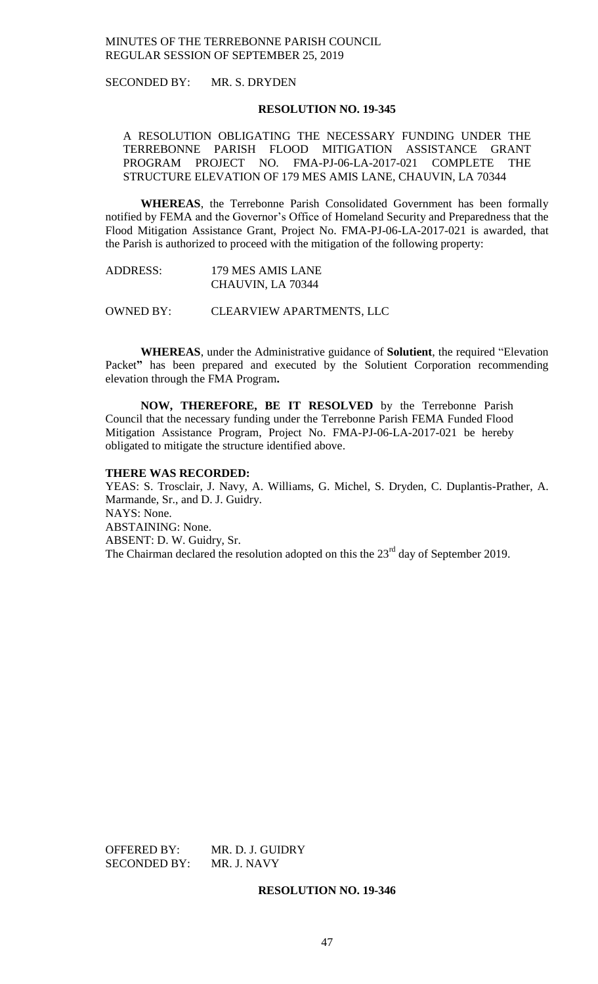SECONDED BY: MR. S. DRYDEN

### **RESOLUTION NO. 19-345**

A RESOLUTION OBLIGATING THE NECESSARY FUNDING UNDER THE TERREBONNE PARISH FLOOD MITIGATION ASSISTANCE GRANT PROGRAM PROJECT NO. FMA-PJ-06-LA-2017-021 COMPLETE THE STRUCTURE ELEVATION OF 179 MES AMIS LANE, CHAUVIN, LA 70344

**WHEREAS**, the Terrebonne Parish Consolidated Government has been formally notified by FEMA and the Governor's Office of Homeland Security and Preparedness that the Flood Mitigation Assistance Grant, Project No. FMA-PJ-06-LA-2017-021 is awarded, that the Parish is authorized to proceed with the mitigation of the following property:

| <b>ADDRESS:</b> | 179 MES AMIS LANE |
|-----------------|-------------------|
|                 | CHAUVIN, LA 70344 |

OWNED BY: CLEARVIEW APARTMENTS, LLC

**WHEREAS**, under the Administrative guidance of **Solutient**, the required "Elevation Packet**"** has been prepared and executed by the Solutient Corporation recommending elevation through the FMA Program**.**

**NOW, THEREFORE, BE IT RESOLVED** by the Terrebonne Parish Council that the necessary funding under the Terrebonne Parish FEMA Funded Flood Mitigation Assistance Program, Project No. FMA-PJ-06-LA-2017-021 be hereby obligated to mitigate the structure identified above.

# **THERE WAS RECORDED:**

YEAS: S. Trosclair, J. Navy, A. Williams, G. Michel, S. Dryden, C. Duplantis-Prather, A. Marmande, Sr., and D. J. Guidry. NAYS: None. ABSTAINING: None. ABSENT: D. W. Guidry, Sr. The Chairman declared the resolution adopted on this the  $23<sup>rd</sup>$  day of September 2019.

OFFERED BY: MR. D. J. GUIDRY SECONDED BY: MR. J. NAVY

# **RESOLUTION NO. 19-346**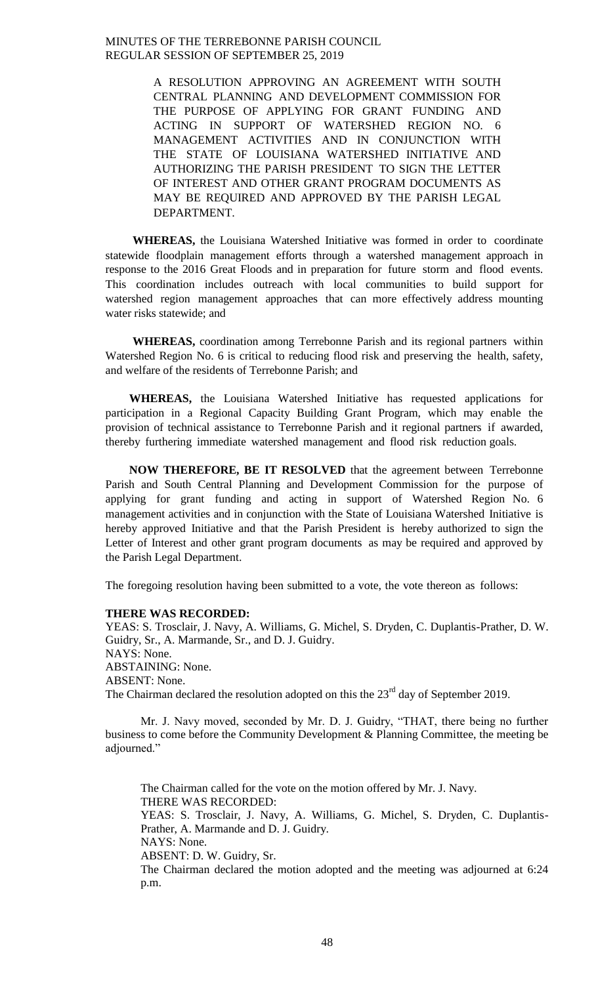> A RESOLUTION APPROVING AN AGREEMENT WITH SOUTH CENTRAL PLANNING AND DEVELOPMENT COMMISSION FOR THE PURPOSE OF APPLYING FOR GRANT FUNDING AND ACTING IN SUPPORT OF WATERSHED REGION NO. 6 MANAGEMENT ACTIVITIES AND IN CONJUNCTION WITH THE STATE OF LOUISIANA WATERSHED INITIATIVE AND AUTHORIZING THE PARISH PRESIDENT TO SIGN THE LETTER OF INTEREST AND OTHER GRANT PROGRAM DOCUMENTS AS MAY BE REQUIRED AND APPROVED BY THE PARISH LEGAL DEPARTMENT.

**WHEREAS,** the Louisiana Watershed Initiative was formed in order to coordinate statewide floodplain management efforts through a watershed management approach in response to the 2016 Great Floods and in preparation for future storm and flood events. This coordination includes outreach with local communities to build support for watershed region management approaches that can more effectively address mounting water risks statewide; and

**WHEREAS,** coordination among Terrebonne Parish and its regional partners within Watershed Region No. 6 is critical to reducing flood risk and preserving the health, safety, and welfare of the residents of Terrebonne Parish; and

**WHEREAS,** the Louisiana Watershed Initiative has requested applications for participation in a Regional Capacity Building Grant Program, which may enable the provision of technical assistance to Terrebonne Parish and it regional partners if awarded, thereby furthering immediate watershed management and flood risk reduction goals.

**NOW THEREFORE, BE IT RESOLVED** that the agreement between Terrebonne Parish and South Central Planning and Development Commission for the purpose of applying for grant funding and acting in support of Watershed Region No. 6 management activities and in conjunction with the State of Louisiana Watershed Initiative is hereby approved Initiative and that the Parish President is hereby authorized to sign the Letter of Interest and other grant program documents as may be required and approved by the Parish Legal Department.

The foregoing resolution having been submitted to a vote, the vote thereon as follows:

#### **THERE WAS RECORDED:**

YEAS: S. Trosclair, J. Navy, A. Williams, G. Michel, S. Dryden, C. Duplantis-Prather, D. W. Guidry, Sr., A. Marmande, Sr., and D. J. Guidry. NAYS: None. ABSTAINING: None. ABSENT: None. The Chairman declared the resolution adopted on this the  $23<sup>rd</sup>$  day of September 2019.

Mr. J. Navy moved, seconded by Mr. D. J. Guidry, "THAT, there being no further business to come before the Community Development & Planning Committee, the meeting be adjourned."

The Chairman called for the vote on the motion offered by Mr. J. Navy. THERE WAS RECORDED: YEAS: S. Trosclair, J. Navy, A. Williams, G. Michel, S. Dryden, C. Duplantis-Prather, A. Marmande and D. J. Guidry. NAYS: None. ABSENT: D. W. Guidry, Sr.

The Chairman declared the motion adopted and the meeting was adjourned at 6:24 p.m.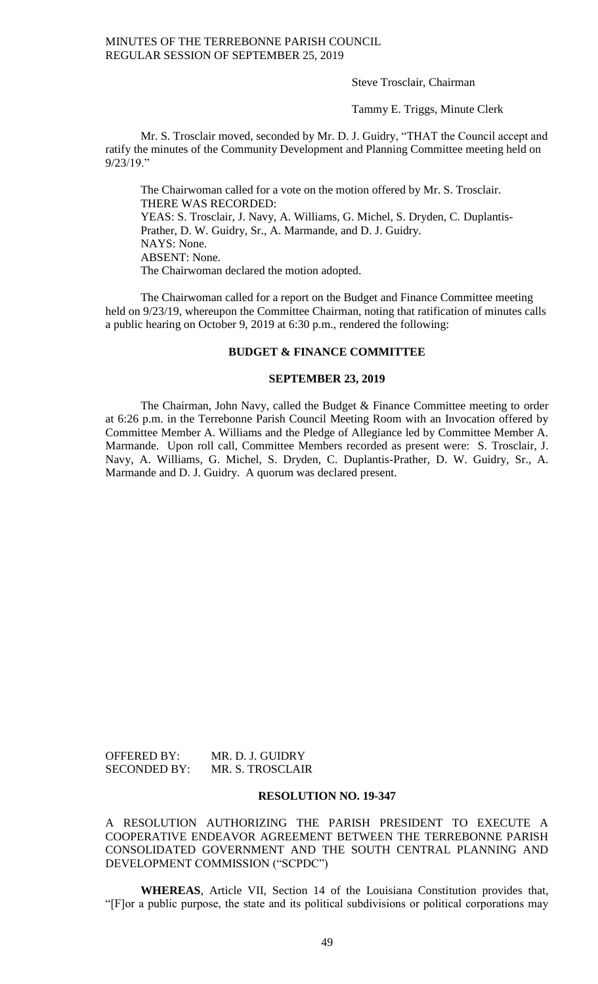Steve Trosclair, Chairman

Tammy E. Triggs, Minute Clerk

Mr. S. Trosclair moved, seconded by Mr. D. J. Guidry, "THAT the Council accept and ratify the minutes of the Community Development and Planning Committee meeting held on 9/23/19."

The Chairwoman called for a vote on the motion offered by Mr. S. Trosclair. THERE WAS RECORDED: YEAS: S. Trosclair, J. Navy, A. Williams, G. Michel, S. Dryden, C. Duplantis-Prather, D. W. Guidry, Sr., A. Marmande, and D. J. Guidry. NAYS: None. ABSENT: None. The Chairwoman declared the motion adopted.

The Chairwoman called for a report on the Budget and Finance Committee meeting held on  $9/23/19$ , whereupon the Committee Chairman, noting that ratification of minutes calls a public hearing on October 9, 2019 at 6:30 p.m., rendered the following:

## **BUDGET & FINANCE COMMITTEE**

## **SEPTEMBER 23, 2019**

The Chairman, John Navy, called the Budget & Finance Committee meeting to order at 6:26 p.m. in the Terrebonne Parish Council Meeting Room with an Invocation offered by Committee Member A. Williams and the Pledge of Allegiance led by Committee Member A. Marmande. Upon roll call, Committee Members recorded as present were: S. Trosclair, J. Navy, A. Williams, G. Michel, S. Dryden, C. Duplantis-Prather, D. W. Guidry, Sr., A. Marmande and D. J. Guidry. A quorum was declared present.

OFFERED BY: MR. D. J. GUIDRY SECONDED BY: MR. S. TROSCLAIR

## **RESOLUTION NO. 19-347**

A RESOLUTION AUTHORIZING THE PARISH PRESIDENT TO EXECUTE A COOPERATIVE ENDEAVOR AGREEMENT BETWEEN THE TERREBONNE PARISH CONSOLIDATED GOVERNMENT AND THE SOUTH CENTRAL PLANNING AND DEVELOPMENT COMMISSION ("SCPDC")

**WHEREAS**, Article VII, Section 14 of the Louisiana Constitution provides that, "[F]or a public purpose, the state and its political subdivisions or political corporations may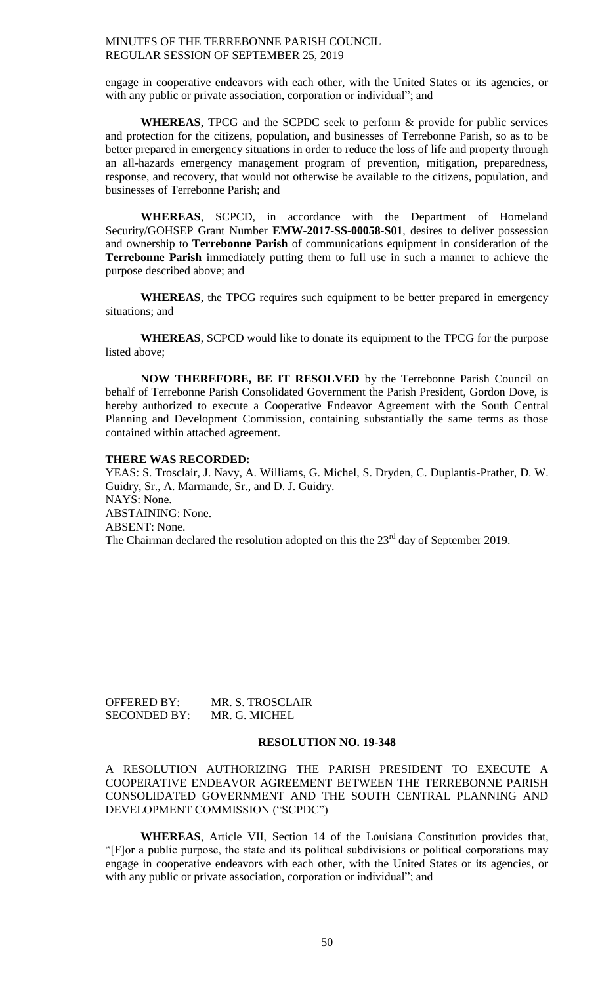engage in cooperative endeavors with each other, with the United States or its agencies, or with any public or private association, corporation or individual"; and

**WHEREAS**, TPCG and the SCPDC seek to perform & provide for public services and protection for the citizens, population, and businesses of Terrebonne Parish, so as to be better prepared in emergency situations in order to reduce the loss of life and property through an all-hazards emergency management program of prevention, mitigation, preparedness, response, and recovery, that would not otherwise be available to the citizens, population, and businesses of Terrebonne Parish; and

**WHEREAS**, SCPCD, in accordance with the Department of Homeland Security/GOHSEP Grant Number **EMW-2017-SS-00058-S01**, desires to deliver possession and ownership to **Terrebonne Parish** of communications equipment in consideration of the **Terrebonne Parish** immediately putting them to full use in such a manner to achieve the purpose described above; and

**WHEREAS**, the TPCG requires such equipment to be better prepared in emergency situations; and

**WHEREAS**, SCPCD would like to donate its equipment to the TPCG for the purpose listed above;

**NOW THEREFORE, BE IT RESOLVED** by the Terrebonne Parish Council on behalf of Terrebonne Parish Consolidated Government the Parish President, Gordon Dove, is hereby authorized to execute a Cooperative Endeavor Agreement with the South Central Planning and Development Commission, containing substantially the same terms as those contained within attached agreement.

## **THERE WAS RECORDED:**

YEAS: S. Trosclair, J. Navy, A. Williams, G. Michel, S. Dryden, C. Duplantis-Prather, D. W. Guidry, Sr., A. Marmande, Sr., and D. J. Guidry. NAYS: None. ABSTAINING: None. ABSENT: None. The Chairman declared the resolution adopted on this the  $23<sup>rd</sup>$  day of September 2019.

| OFFERED BY:         | MR. S. TROSCLAIR |
|---------------------|------------------|
| <b>SECONDED BY:</b> | MR. G. MICHEL    |

#### **RESOLUTION NO. 19-348**

A RESOLUTION AUTHORIZING THE PARISH PRESIDENT TO EXECUTE A COOPERATIVE ENDEAVOR AGREEMENT BETWEEN THE TERREBONNE PARISH CONSOLIDATED GOVERNMENT AND THE SOUTH CENTRAL PLANNING AND DEVELOPMENT COMMISSION ("SCPDC")

**WHEREAS**, Article VII, Section 14 of the Louisiana Constitution provides that, "[F]or a public purpose, the state and its political subdivisions or political corporations may engage in cooperative endeavors with each other, with the United States or its agencies, or with any public or private association, corporation or individual"; and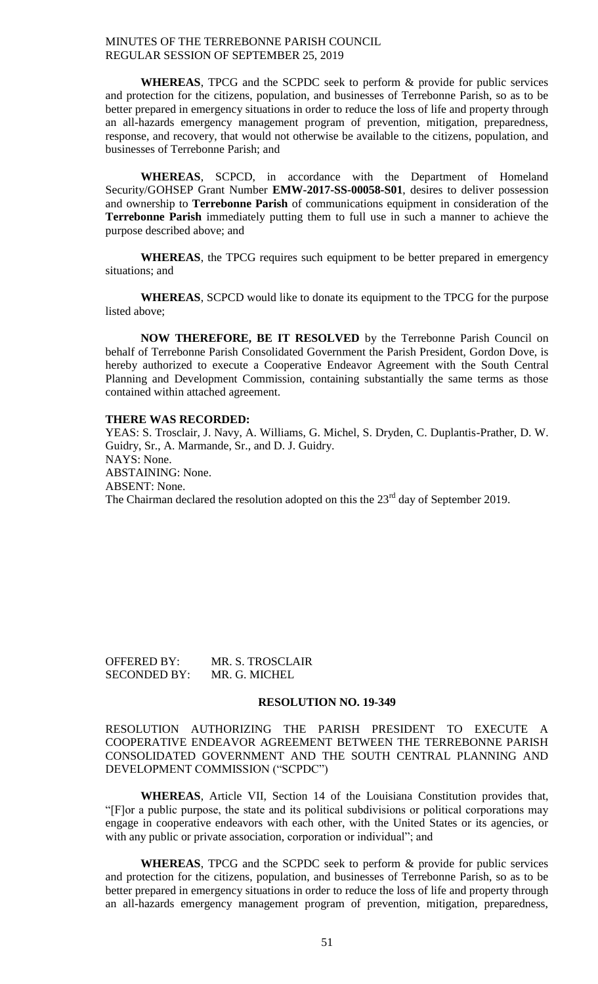**WHEREAS**, TPCG and the SCPDC seek to perform & provide for public services and protection for the citizens, population, and businesses of Terrebonne Parish, so as to be better prepared in emergency situations in order to reduce the loss of life and property through an all-hazards emergency management program of prevention, mitigation, preparedness, response, and recovery, that would not otherwise be available to the citizens, population, and businesses of Terrebonne Parish; and

**WHEREAS**, SCPCD, in accordance with the Department of Homeland Security/GOHSEP Grant Number **EMW-2017-SS-00058-S01**, desires to deliver possession and ownership to **Terrebonne Parish** of communications equipment in consideration of the **Terrebonne Parish** immediately putting them to full use in such a manner to achieve the purpose described above; and

**WHEREAS**, the TPCG requires such equipment to be better prepared in emergency situations; and

**WHEREAS**, SCPCD would like to donate its equipment to the TPCG for the purpose listed above;

**NOW THEREFORE, BE IT RESOLVED** by the Terrebonne Parish Council on behalf of Terrebonne Parish Consolidated Government the Parish President, Gordon Dove, is hereby authorized to execute a Cooperative Endeavor Agreement with the South Central Planning and Development Commission, containing substantially the same terms as those contained within attached agreement.

#### **THERE WAS RECORDED:**

YEAS: S. Trosclair, J. Navy, A. Williams, G. Michel, S. Dryden, C. Duplantis-Prather, D. W. Guidry, Sr., A. Marmande, Sr., and D. J. Guidry. NAYS: None. ABSTAINING: None. ABSENT: None. The Chairman declared the resolution adopted on this the  $23<sup>rd</sup>$  day of September 2019.

OFFERED BY: MR. S. TROSCLAIR SECONDED BY: MR. G. MICHEL

#### **RESOLUTION NO. 19-349**

RESOLUTION AUTHORIZING THE PARISH PRESIDENT TO EXECUTE A COOPERATIVE ENDEAVOR AGREEMENT BETWEEN THE TERREBONNE PARISH CONSOLIDATED GOVERNMENT AND THE SOUTH CENTRAL PLANNING AND DEVELOPMENT COMMISSION ("SCPDC")

**WHEREAS**, Article VII, Section 14 of the Louisiana Constitution provides that, "[F]or a public purpose, the state and its political subdivisions or political corporations may engage in cooperative endeavors with each other, with the United States or its agencies, or with any public or private association, corporation or individual"; and

**WHEREAS**, TPCG and the SCPDC seek to perform & provide for public services and protection for the citizens, population, and businesses of Terrebonne Parish, so as to be better prepared in emergency situations in order to reduce the loss of life and property through an all-hazards emergency management program of prevention, mitigation, preparedness,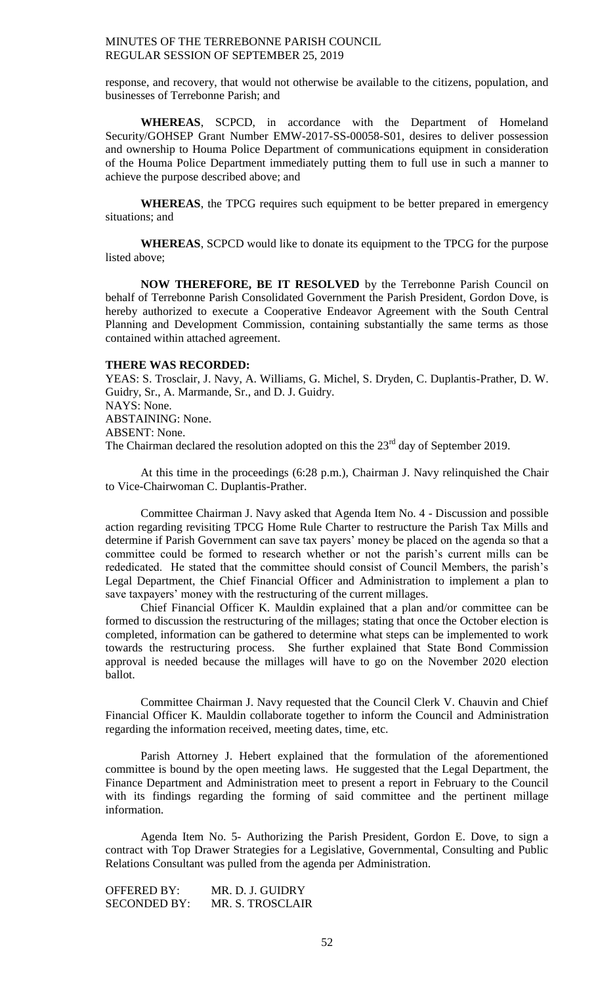response, and recovery, that would not otherwise be available to the citizens, population, and businesses of Terrebonne Parish; and

**WHEREAS**, SCPCD, in accordance with the Department of Homeland Security/GOHSEP Grant Number EMW-2017-SS-00058-S01, desires to deliver possession and ownership to Houma Police Department of communications equipment in consideration of the Houma Police Department immediately putting them to full use in such a manner to achieve the purpose described above; and

**WHEREAS**, the TPCG requires such equipment to be better prepared in emergency situations; and

**WHEREAS**, SCPCD would like to donate its equipment to the TPCG for the purpose listed above;

**NOW THEREFORE, BE IT RESOLVED** by the Terrebonne Parish Council on behalf of Terrebonne Parish Consolidated Government the Parish President, Gordon Dove, is hereby authorized to execute a Cooperative Endeavor Agreement with the South Central Planning and Development Commission, containing substantially the same terms as those contained within attached agreement.

### **THERE WAS RECORDED:**

YEAS: S. Trosclair, J. Navy, A. Williams, G. Michel, S. Dryden, C. Duplantis-Prather, D. W. Guidry, Sr., A. Marmande, Sr., and D. J. Guidry. NAYS: None. ABSTAINING: None. ABSENT: None. The Chairman declared the resolution adopted on this the  $23<sup>rd</sup>$  day of September 2019.

At this time in the proceedings (6:28 p.m.), Chairman J. Navy relinquished the Chair to Vice-Chairwoman C. Duplantis-Prather.

Committee Chairman J. Navy asked that Agenda Item No. 4 - Discussion and possible action regarding revisiting TPCG Home Rule Charter to restructure the Parish Tax Mills and determine if Parish Government can save tax payers' money be placed on the agenda so that a committee could be formed to research whether or not the parish's current mills can be rededicated. He stated that the committee should consist of Council Members, the parish's Legal Department, the Chief Financial Officer and Administration to implement a plan to save taxpayers' money with the restructuring of the current millages.

Chief Financial Officer K. Mauldin explained that a plan and/or committee can be formed to discussion the restructuring of the millages; stating that once the October election is completed, information can be gathered to determine what steps can be implemented to work towards the restructuring process. She further explained that State Bond Commission approval is needed because the millages will have to go on the November 2020 election ballot.

Committee Chairman J. Navy requested that the Council Clerk V. Chauvin and Chief Financial Officer K. Mauldin collaborate together to inform the Council and Administration regarding the information received, meeting dates, time, etc.

Parish Attorney J. Hebert explained that the formulation of the aforementioned committee is bound by the open meeting laws. He suggested that the Legal Department, the Finance Department and Administration meet to present a report in February to the Council with its findings regarding the forming of said committee and the pertinent millage information.

Agenda Item No. 5- Authorizing the Parish President, Gordon E. Dove, to sign a contract with Top Drawer Strategies for a Legislative, Governmental, Consulting and Public Relations Consultant was pulled from the agenda per Administration.

| OFFERED BY:         | MR. D. J. GUIDRY |
|---------------------|------------------|
| <b>SECONDED BY:</b> | MR. S. TROSCLAIR |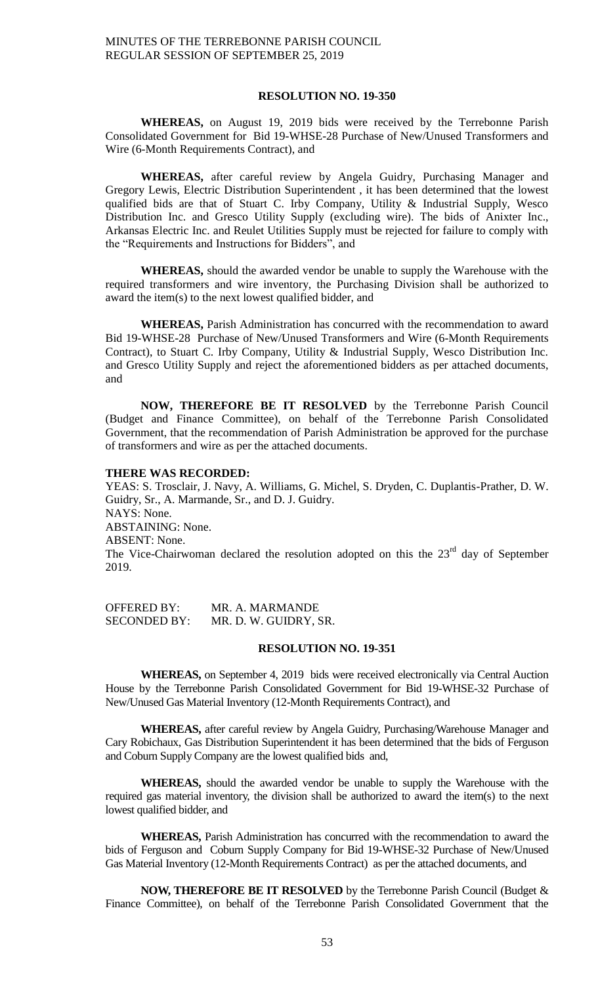#### **RESOLUTION NO. 19-350**

**WHEREAS,** on August 19, 2019 bids were received by the Terrebonne Parish Consolidated Government for Bid 19-WHSE-28 Purchase of New/Unused Transformers and Wire (6-Month Requirements Contract), and

**WHEREAS,** after careful review by Angela Guidry, Purchasing Manager and Gregory Lewis, Electric Distribution Superintendent , it has been determined that the lowest qualified bids are that of Stuart C. Irby Company, Utility & Industrial Supply, Wesco Distribution Inc. and Gresco Utility Supply (excluding wire). The bids of Anixter Inc., Arkansas Electric Inc. and Reulet Utilities Supply must be rejected for failure to comply with the "Requirements and Instructions for Bidders", and

**WHEREAS,** should the awarded vendor be unable to supply the Warehouse with the required transformers and wire inventory, the Purchasing Division shall be authorized to award the item(s) to the next lowest qualified bidder, and

**WHEREAS,** Parish Administration has concurred with the recommendation to award Bid 19-WHSE-28 Purchase of New/Unused Transformers and Wire (6-Month Requirements Contract), to Stuart C. Irby Company, Utility & Industrial Supply, Wesco Distribution Inc. and Gresco Utility Supply and reject the aforementioned bidders as per attached documents, and

**NOW, THEREFORE BE IT RESOLVED** by the Terrebonne Parish Council (Budget and Finance Committee), on behalf of the Terrebonne Parish Consolidated Government, that the recommendation of Parish Administration be approved for the purchase of transformers and wire as per the attached documents.

### **THERE WAS RECORDED:**

YEAS: S. Trosclair, J. Navy, A. Williams, G. Michel, S. Dryden, C. Duplantis-Prather, D. W. Guidry, Sr., A. Marmande, Sr., and D. J. Guidry. NAYS: None. ABSTAINING: None. ABSENT: None. The Vice-Chairwoman declared the resolution adopted on this the  $23<sup>rd</sup>$  day of September 2019.

OFFERED BY: MR. A. MARMANDE SECONDED BY: MR. D. W. GUIDRY, SR.

#### **RESOLUTION NO. 19-351**

**WHEREAS,** on September 4, 2019 bids were received electronically via Central Auction House by the Terrebonne Parish Consolidated Government for Bid 19-WHSE-32 Purchase of New/Unused Gas Material Inventory (12-Month Requirements Contract), and

**WHEREAS,** after careful review by Angela Guidry, Purchasing/Warehouse Manager and Cary Robichaux, Gas Distribution Superintendent it has been determined that the bids of Ferguson and Coburn Supply Company are the lowest qualified bids and,

**WHEREAS,** should the awarded vendor be unable to supply the Warehouse with the required gas material inventory, the division shall be authorized to award the item(s) to the next lowest qualified bidder, and

**WHEREAS,** Parish Administration has concurred with the recommendation to award the bids of Ferguson and Coburn Supply Company for Bid 19-WHSE-32 Purchase of New/Unused Gas Material Inventory (12-Month Requirements Contract) as per the attached documents, and

**NOW, THEREFORE BE IT RESOLVED** by the Terrebonne Parish Council (Budget & Finance Committee), on behalf of the Terrebonne Parish Consolidated Government that the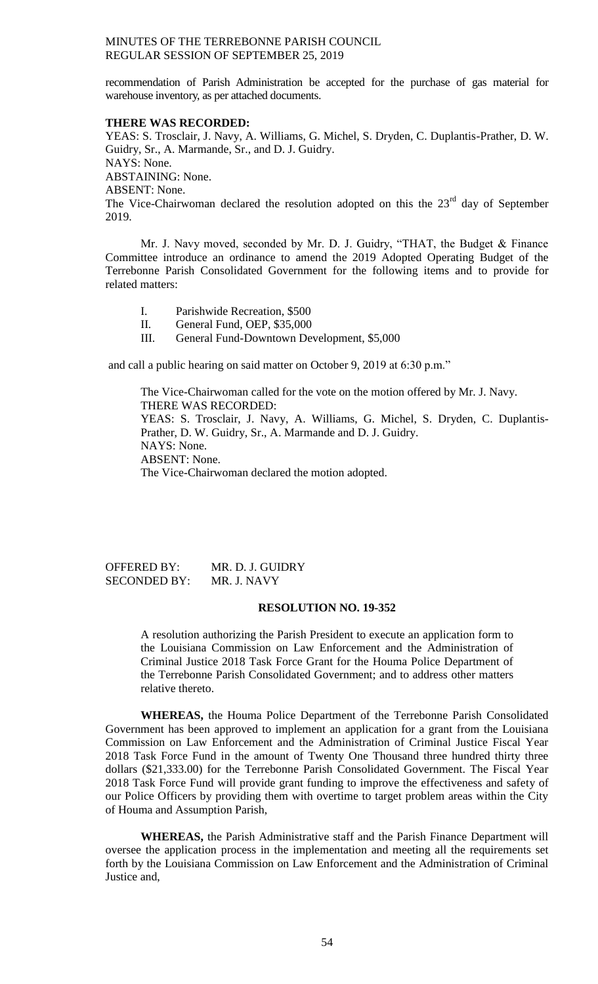recommendation of Parish Administration be accepted for the purchase of gas material for warehouse inventory, as per attached documents.

#### **THERE WAS RECORDED:**

YEAS: S. Trosclair, J. Navy, A. Williams, G. Michel, S. Dryden, C. Duplantis-Prather, D. W. Guidry, Sr., A. Marmande, Sr., and D. J. Guidry. NAYS: None. ABSTAINING: None. ABSENT: None. The Vice-Chairwoman declared the resolution adopted on this the  $23<sup>rd</sup>$  day of September 2019.

Mr. J. Navy moved, seconded by Mr. D. J. Guidry, "THAT, the Budget & Finance Committee introduce an ordinance to amend the 2019 Adopted Operating Budget of the Terrebonne Parish Consolidated Government for the following items and to provide for related matters:

- I. Parishwide Recreation, \$500
- II. General Fund, OEP, \$35,000
- III. General Fund-Downtown Development, \$5,000

and call a public hearing on said matter on October 9, 2019 at 6:30 p.m."

The Vice-Chairwoman called for the vote on the motion offered by Mr. J. Navy. THERE WAS RECORDED: YEAS: S. Trosclair, J. Navy, A. Williams, G. Michel, S. Dryden, C. Duplantis-Prather, D. W. Guidry, Sr., A. Marmande and D. J. Guidry. NAYS: None. ABSENT: None. The Vice-Chairwoman declared the motion adopted.

## OFFERED BY: MR. D. J. GUIDRY SECONDED BY: MR. J. NAVY

#### **RESOLUTION NO. 19-352**

A resolution authorizing the Parish President to execute an application form to the Louisiana Commission on Law Enforcement and the Administration of Criminal Justice 2018 Task Force Grant for the Houma Police Department of the Terrebonne Parish Consolidated Government; and to address other matters relative thereto.

**WHEREAS,** the Houma Police Department of the Terrebonne Parish Consolidated Government has been approved to implement an application for a grant from the Louisiana Commission on Law Enforcement and the Administration of Criminal Justice Fiscal Year 2018 Task Force Fund in the amount of Twenty One Thousand three hundred thirty three dollars (\$21,333.00) for the Terrebonne Parish Consolidated Government. The Fiscal Year 2018 Task Force Fund will provide grant funding to improve the effectiveness and safety of our Police Officers by providing them with overtime to target problem areas within the City of Houma and Assumption Parish,

**WHEREAS,** the Parish Administrative staff and the Parish Finance Department will oversee the application process in the implementation and meeting all the requirements set forth by the Louisiana Commission on Law Enforcement and the Administration of Criminal Justice and,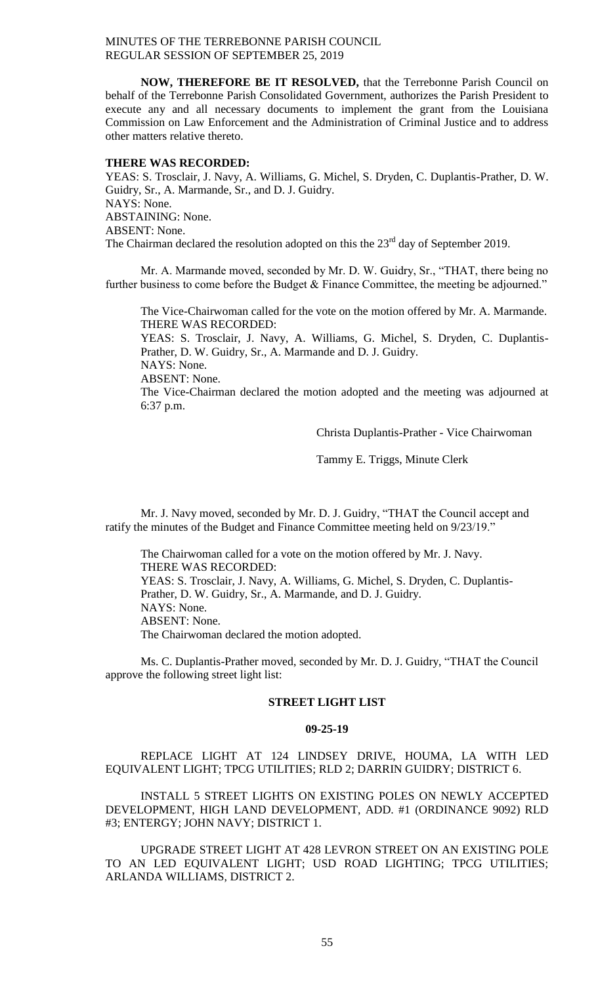**NOW, THEREFORE BE IT RESOLVED,** that the Terrebonne Parish Council on behalf of the Terrebonne Parish Consolidated Government, authorizes the Parish President to execute any and all necessary documents to implement the grant from the Louisiana Commission on Law Enforcement and the Administration of Criminal Justice and to address other matters relative thereto.

#### **THERE WAS RECORDED:**

YEAS: S. Trosclair, J. Navy, A. Williams, G. Michel, S. Dryden, C. Duplantis-Prather, D. W. Guidry, Sr., A. Marmande, Sr., and D. J. Guidry. NAYS: None. ABSTAINING: None. ABSENT: None. The Chairman declared the resolution adopted on this the  $23<sup>rd</sup>$  day of September 2019.

Mr. A. Marmande moved, seconded by Mr. D. W. Guidry, Sr., "THAT, there being no further business to come before the Budget & Finance Committee, the meeting be adjourned."

The Vice-Chairwoman called for the vote on the motion offered by Mr. A. Marmande. THERE WAS RECORDED:

YEAS: S. Trosclair, J. Navy, A. Williams, G. Michel, S. Dryden, C. Duplantis-Prather, D. W. Guidry, Sr., A. Marmande and D. J. Guidry. NAYS: None.

ABSENT: None.

The Vice-Chairman declared the motion adopted and the meeting was adjourned at 6:37 p.m.

Christa Duplantis-Prather - Vice Chairwoman

Tammy E. Triggs, Minute Clerk

Mr. J. Navy moved, seconded by Mr. D. J. Guidry, "THAT the Council accept and ratify the minutes of the Budget and Finance Committee meeting held on 9/23/19."

The Chairwoman called for a vote on the motion offered by Mr. J. Navy. THERE WAS RECORDED: YEAS: S. Trosclair, J. Navy, A. Williams, G. Michel, S. Dryden, C. Duplantis-Prather, D. W. Guidry, Sr., A. Marmande, and D. J. Guidry. NAYS: None. ABSENT: None. The Chairwoman declared the motion adopted.

Ms. C. Duplantis-Prather moved, seconded by Mr. D. J. Guidry, "THAT the Council approve the following street light list:

#### **STREET LIGHT LIST**

#### **09-25-19**

REPLACE LIGHT AT 124 LINDSEY DRIVE, HOUMA, LA WITH LED EQUIVALENT LIGHT; TPCG UTILITIES; RLD 2; DARRIN GUIDRY; DISTRICT 6.

INSTALL 5 STREET LIGHTS ON EXISTING POLES ON NEWLY ACCEPTED DEVELOPMENT, HIGH LAND DEVELOPMENT, ADD. #1 (ORDINANCE 9092) RLD #3; ENTERGY; JOHN NAVY; DISTRICT 1.

UPGRADE STREET LIGHT AT 428 LEVRON STREET ON AN EXISTING POLE TO AN LED EQUIVALENT LIGHT; USD ROAD LIGHTING; TPCG UTILITIES; ARLANDA WILLIAMS, DISTRICT 2.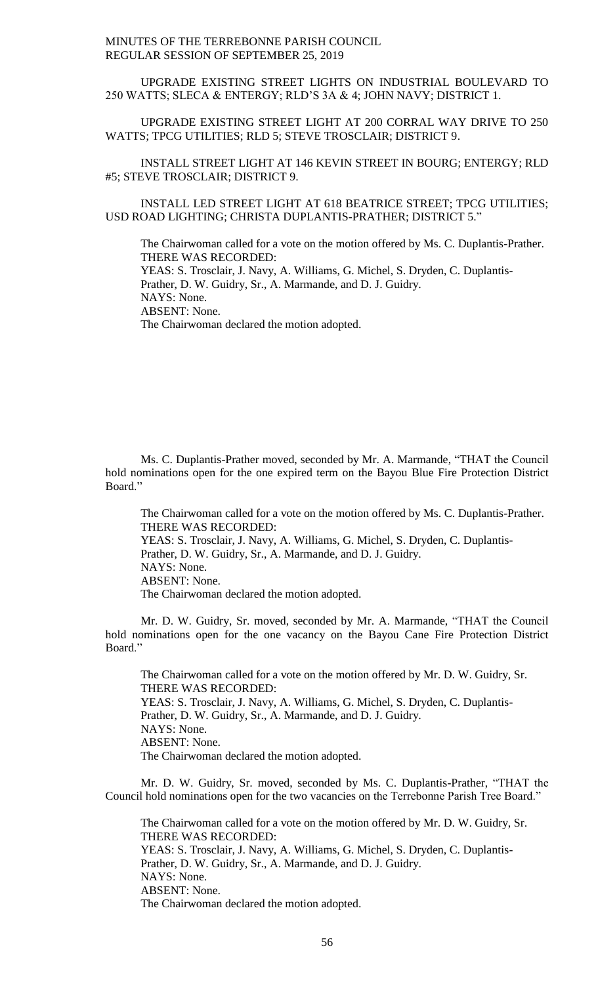UPGRADE EXISTING STREET LIGHTS ON INDUSTRIAL BOULEVARD TO 250 WATTS; SLECA & ENTERGY; RLD'S 3A & 4; JOHN NAVY; DISTRICT 1.

UPGRADE EXISTING STREET LIGHT AT 200 CORRAL WAY DRIVE TO 250 WATTS; TPCG UTILITIES; RLD 5; STEVE TROSCLAIR; DISTRICT 9.

INSTALL STREET LIGHT AT 146 KEVIN STREET IN BOURG; ENTERGY; RLD #5; STEVE TROSCLAIR; DISTRICT 9.

INSTALL LED STREET LIGHT AT 618 BEATRICE STREET; TPCG UTILITIES; USD ROAD LIGHTING; CHRISTA DUPLANTIS-PRATHER; DISTRICT 5."

The Chairwoman called for a vote on the motion offered by Ms. C. Duplantis-Prather. THERE WAS RECORDED:

YEAS: S. Trosclair, J. Navy, A. Williams, G. Michel, S. Dryden, C. Duplantis-

Prather, D. W. Guidry, Sr., A. Marmande, and D. J. Guidry.

NAYS: None. ABSENT: None.

The Chairwoman declared the motion adopted.

Ms. C. Duplantis-Prather moved, seconded by Mr. A. Marmande, "THAT the Council hold nominations open for the one expired term on the Bayou Blue Fire Protection District Board."

The Chairwoman called for a vote on the motion offered by Ms. C. Duplantis-Prather. THERE WAS RECORDED: YEAS: S. Trosclair, J. Navy, A. Williams, G. Michel, S. Dryden, C. Duplantis-Prather, D. W. Guidry, Sr., A. Marmande, and D. J. Guidry. NAYS: None. ABSENT: None. The Chairwoman declared the motion adopted.

Mr. D. W. Guidry, Sr. moved, seconded by Mr. A. Marmande, "THAT the Council hold nominations open for the one vacancy on the Bayou Cane Fire Protection District Board."

The Chairwoman called for a vote on the motion offered by Mr. D. W. Guidry, Sr. THERE WAS RECORDED: YEAS: S. Trosclair, J. Navy, A. Williams, G. Michel, S. Dryden, C. Duplantis-Prather, D. W. Guidry, Sr., A. Marmande, and D. J. Guidry. NAYS: None. ABSENT: None. The Chairwoman declared the motion adopted.

Mr. D. W. Guidry, Sr. moved, seconded by Ms. C. Duplantis-Prather, "THAT the Council hold nominations open for the two vacancies on the Terrebonne Parish Tree Board."

The Chairwoman called for a vote on the motion offered by Mr. D. W. Guidry, Sr. THERE WAS RECORDED: YEAS: S. Trosclair, J. Navy, A. Williams, G. Michel, S. Dryden, C. Duplantis-Prather, D. W. Guidry, Sr., A. Marmande, and D. J. Guidry. NAYS: None. ABSENT: None. The Chairwoman declared the motion adopted.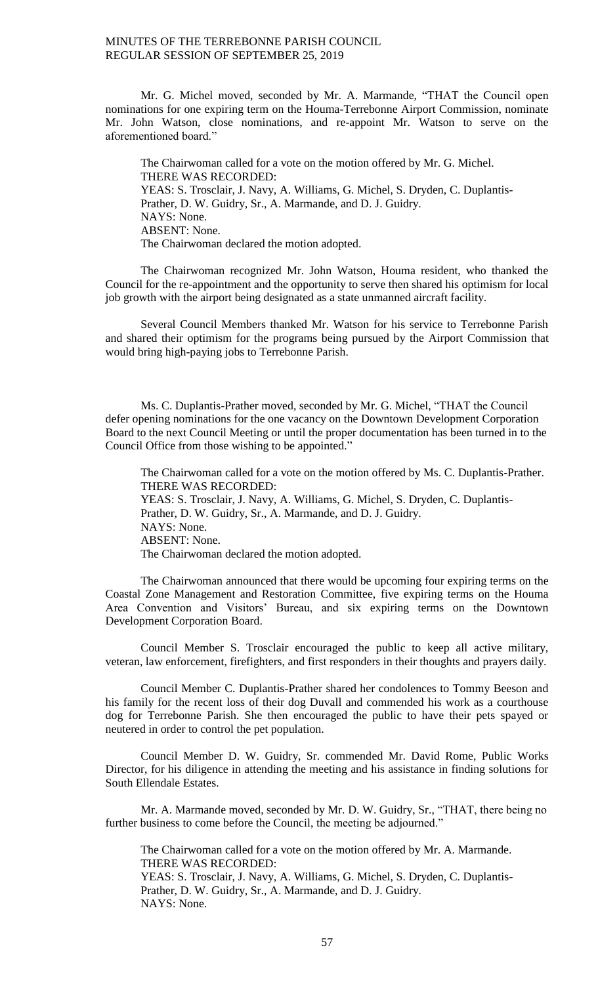Mr. G. Michel moved, seconded by Mr. A. Marmande, "THAT the Council open nominations for one expiring term on the Houma-Terrebonne Airport Commission, nominate Mr. John Watson, close nominations, and re-appoint Mr. Watson to serve on the aforementioned board."

The Chairwoman called for a vote on the motion offered by Mr. G. Michel. THERE WAS RECORDED: YEAS: S. Trosclair, J. Navy, A. Williams, G. Michel, S. Dryden, C. Duplantis-Prather, D. W. Guidry, Sr., A. Marmande, and D. J. Guidry. NAYS: None. ABSENT: None. The Chairwoman declared the motion adopted.

The Chairwoman recognized Mr. John Watson, Houma resident, who thanked the Council for the re-appointment and the opportunity to serve then shared his optimism for local job growth with the airport being designated as a state unmanned aircraft facility.

Several Council Members thanked Mr. Watson for his service to Terrebonne Parish and shared their optimism for the programs being pursued by the Airport Commission that would bring high-paying jobs to Terrebonne Parish.

Ms. C. Duplantis-Prather moved, seconded by Mr. G. Michel, "THAT the Council defer opening nominations for the one vacancy on the Downtown Development Corporation Board to the next Council Meeting or until the proper documentation has been turned in to the Council Office from those wishing to be appointed."

The Chairwoman called for a vote on the motion offered by Ms. C. Duplantis-Prather. THERE WAS RECORDED: YEAS: S. Trosclair, J. Navy, A. Williams, G. Michel, S. Dryden, C. Duplantis-Prather, D. W. Guidry, Sr., A. Marmande, and D. J. Guidry. NAYS: None. ABSENT: None. The Chairwoman declared the motion adopted.

The Chairwoman announced that there would be upcoming four expiring terms on the Coastal Zone Management and Restoration Committee, five expiring terms on the Houma Area Convention and Visitors' Bureau, and six expiring terms on the Downtown Development Corporation Board.

Council Member S. Trosclair encouraged the public to keep all active military, veteran, law enforcement, firefighters, and first responders in their thoughts and prayers daily.

Council Member C. Duplantis-Prather shared her condolences to Tommy Beeson and his family for the recent loss of their dog Duvall and commended his work as a courthouse dog for Terrebonne Parish. She then encouraged the public to have their pets spayed or neutered in order to control the pet population.

Council Member D. W. Guidry, Sr. commended Mr. David Rome, Public Works Director, for his diligence in attending the meeting and his assistance in finding solutions for South Ellendale Estates.

Mr. A. Marmande moved, seconded by Mr. D. W. Guidry, Sr., "THAT, there being no further business to come before the Council, the meeting be adjourned."

The Chairwoman called for a vote on the motion offered by Mr. A. Marmande. THERE WAS RECORDED: YEAS: S. Trosclair, J. Navy, A. Williams, G. Michel, S. Dryden, C. Duplantis-Prather, D. W. Guidry, Sr., A. Marmande, and D. J. Guidry. NAYS: None.